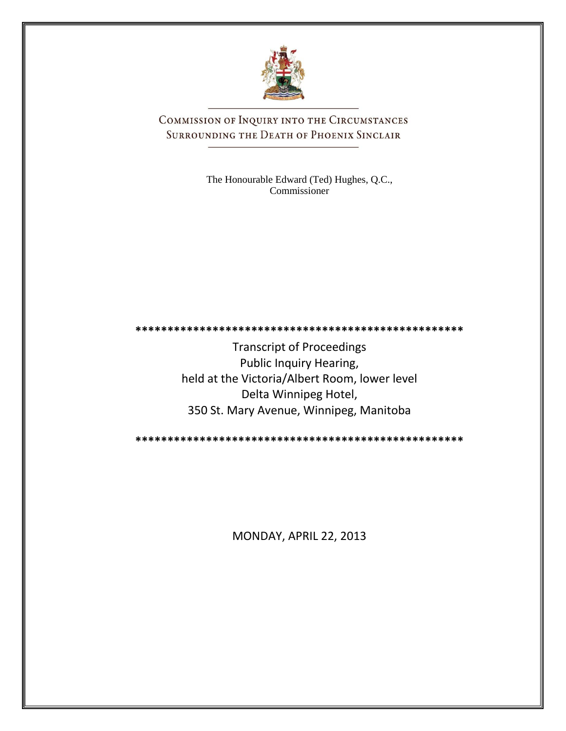

COMMISSION OF INQUIRY INTO THE CIRCUMSTANCES SURROUNDING THE DEATH OF PHOENIX SINCLAIR

> The Honourable Edward (Ted) Hughes, Q.C., Commissioner

**\*\*\*\*\*\*\*\*\*\*\*\*\*\*\*\*\*\*\*\*\*\*\*\*\*\*\*\*\*\*\*\*\*\*\*\*\*\*\*\*\*\*\*\*\*\*\*\*\*\*\***

Transcript of Proceedings Public Inquiry Hearing, held at the Victoria/Albert Room, lower level Delta Winnipeg Hotel, 350 St. Mary Avenue, Winnipeg, Manitoba

**\*\*\*\*\*\*\*\*\*\*\*\*\*\*\*\*\*\*\*\*\*\*\*\*\*\*\*\*\*\*\*\*\*\*\*\*\*\*\*\*\*\*\*\*\*\*\*\*\*\*\***

MONDAY, APRIL 22, 2013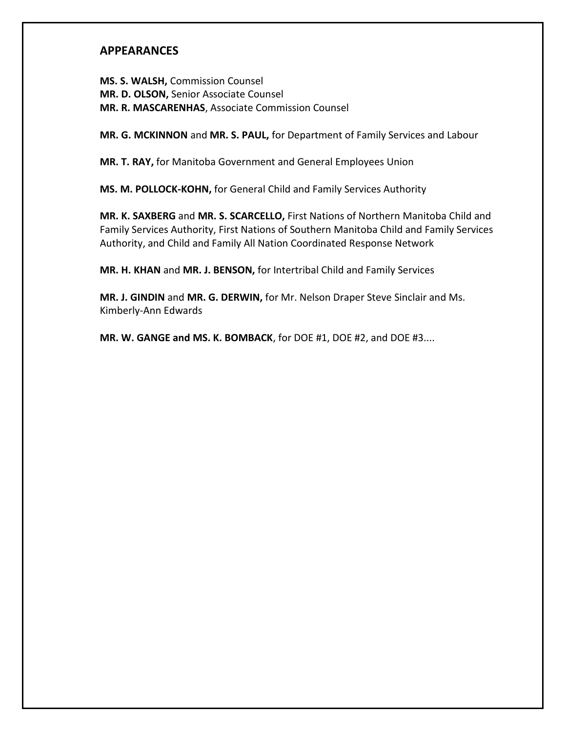## **APPEARANCES**

**MS. S. WALSH,** Commission Counsel **MR. D. OLSON,** Senior Associate Counsel **MR. R. MASCARENHAS**, Associate Commission Counsel

**MR. G. MCKINNON** and **MR. S. PAUL,** for Department of Family Services and Labour

**MR. T. RAY,** for Manitoba Government and General Employees Union

**MS. M. POLLOCK-KOHN,** for General Child and Family Services Authority

**MR. K. SAXBERG** and **MR. S. SCARCELLO,** First Nations of Northern Manitoba Child and Family Services Authority, First Nations of Southern Manitoba Child and Family Services Authority, and Child and Family All Nation Coordinated Response Network

**MR. H. KHAN** and **MR. J. BENSON,** for Intertribal Child and Family Services

**MR. J. GINDIN** and **MR. G. DERWIN,** for Mr. Nelson Draper Steve Sinclair and Ms. Kimberly-Ann Edwards

**MR. W. GANGE and MS. K. BOMBACK**, for DOE #1, DOE #2, and DOE #3....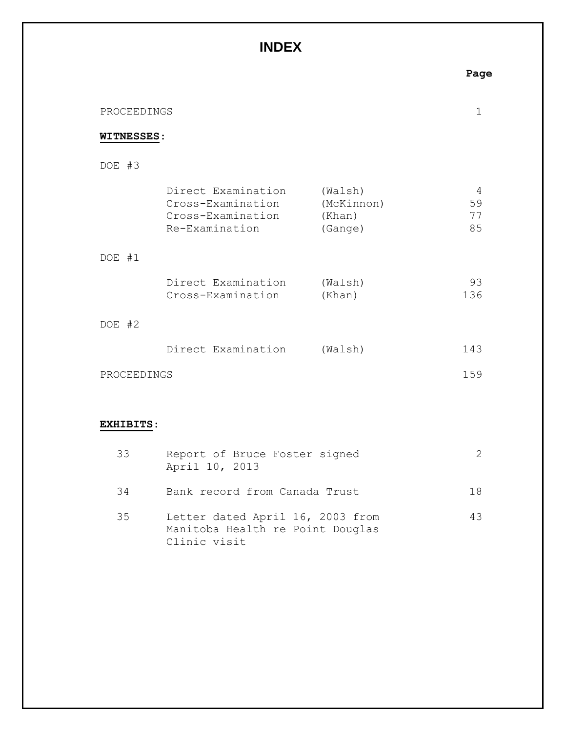## **INDEX**

| PROCEEDINGS       |                                                                                |                                            |                     |  |
|-------------------|--------------------------------------------------------------------------------|--------------------------------------------|---------------------|--|
| <b>WITNESSES:</b> |                                                                                |                                            |                     |  |
| DOE #3            |                                                                                |                                            |                     |  |
|                   | Direct Examination<br>Cross-Examination<br>Cross-Examination<br>Re-Examination | (Walsh)<br>(McKinnon)<br>(Khan)<br>(Gange) | 4<br>59<br>77<br>85 |  |
| DOE #1            |                                                                                |                                            |                     |  |
|                   | Direct Examination<br>Cross-Examination                                        | (Walsh)<br>(Khan)                          | 93<br>136           |  |
| DOE #2            |                                                                                |                                            |                     |  |
|                   | Direct Examination                                                             | (Walsh)                                    | 143                 |  |
| PROCEEDINGS       |                                                                                |                                            | 159                 |  |
|                   |                                                                                |                                            |                     |  |

## **EXHIBITS**:

| 33 | Report of Bruce Foster signed<br>April 10, 2013                                      |    |
|----|--------------------------------------------------------------------------------------|----|
| 34 | Bank record from Canada Trust                                                        | 18 |
| 35 | Letter dated April 16, 2003 from<br>Manitoba Health re Point Douglas<br>Clinic visit | 43 |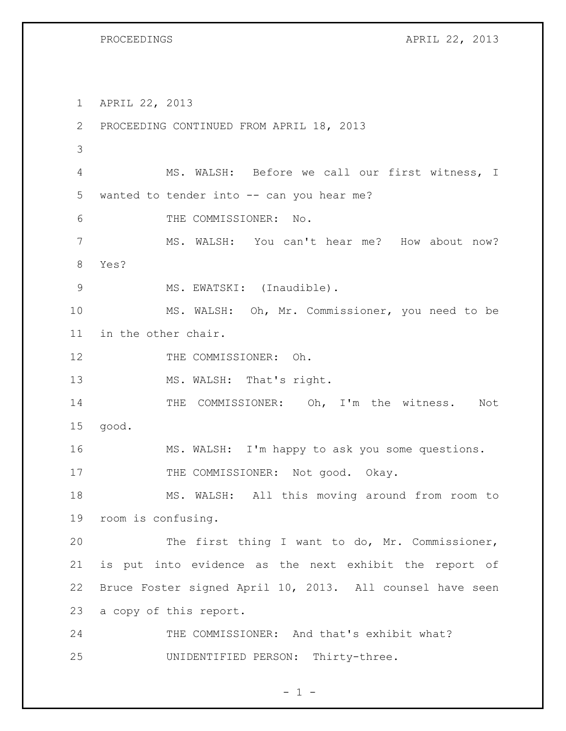PROCEEDINGS APRIL 22, 2013

 APRIL 22, 2013 PROCEEDING CONTINUED FROM APRIL 18, 2013 MS. WALSH: Before we call our first witness, I wanted to tender into -- can you hear me? THE COMMISSIONER: No. MS. WALSH: You can't hear me? How about now? Yes? 9 MS. EWATSKI: (Inaudible). MS. WALSH: Oh, Mr. Commissioner, you need to be in the other chair. 12 THE COMMISSIONER: Oh. 13 MS. WALSH: That's right. 14 THE COMMISSIONER: Oh, I'm the witness. Not good. MS. WALSH: I'm happy to ask you some questions. 17 THE COMMISSIONER: Not good. Okay. MS. WALSH: All this moving around from room to room is confusing. The first thing I want to do, Mr. Commissioner, is put into evidence as the next exhibit the report of Bruce Foster signed April 10, 2013. All counsel have seen a copy of this report. 24 THE COMMISSIONER: And that's exhibit what? UNIDENTIFIED PERSON: Thirty-three.

 $- 1 -$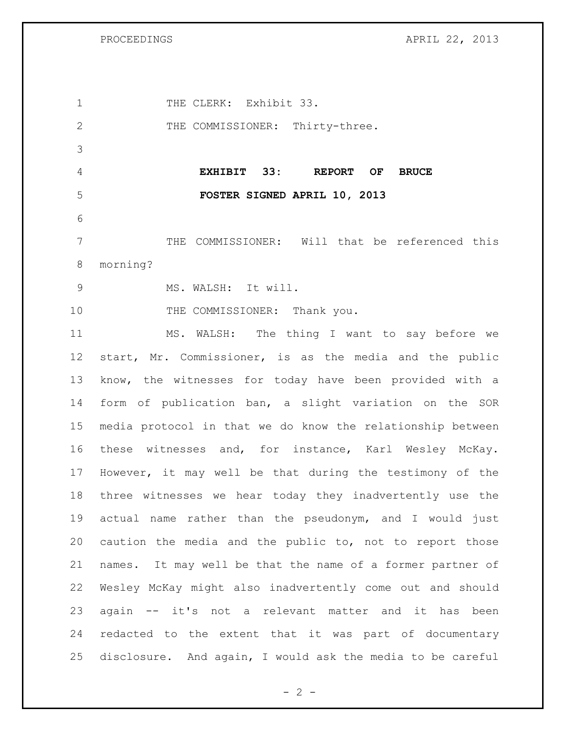PROCEEDINGS APRIL 22, 2013

1 THE CLERK: Exhibit 33. 2 THE COMMISSIONER: Thirty-three. **EXHIBIT 33: REPORT OF BRUCE FOSTER SIGNED APRIL 10, 2013** THE COMMISSIONER: Will that be referenced this morning? MS. WALSH: It will. 10 THE COMMISSIONER: Thank you. MS. WALSH: The thing I want to say before we start, Mr. Commissioner, is as the media and the public know, the witnesses for today have been provided with a form of publication ban, a slight variation on the SOR media protocol in that we do know the relationship between these witnesses and, for instance, Karl Wesley McKay. However, it may well be that during the testimony of the three witnesses we hear today they inadvertently use the actual name rather than the pseudonym, and I would just caution the media and the public to, not to report those names. It may well be that the name of a former partner of Wesley McKay might also inadvertently come out and should again -- it's not a relevant matter and it has been redacted to the extent that it was part of documentary disclosure. And again, I would ask the media to be careful

 $- 2 -$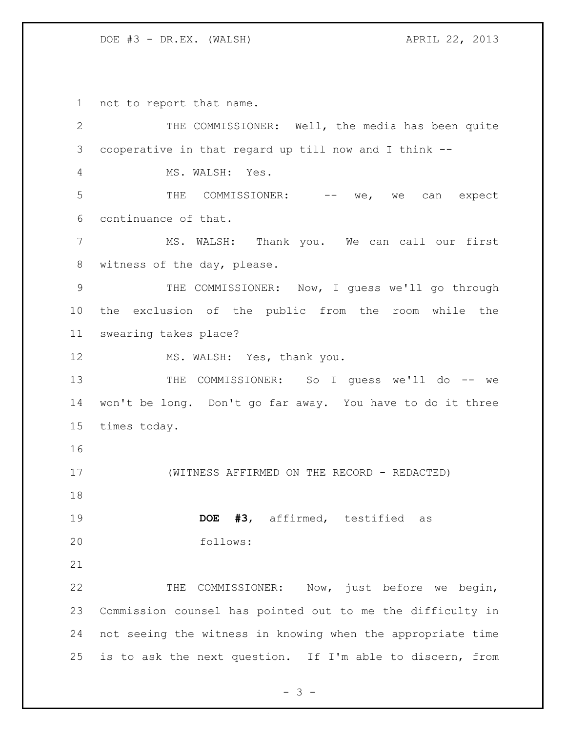not to report that name.

 THE COMMISSIONER: Well, the media has been quite cooperative in that regard up till now and I think -- MS. WALSH: Yes. 5 THE COMMISSIONER: -- we, we can expect continuance of that. MS. WALSH: Thank you. We can call our first witness of the day, please. THE COMMISSIONER: Now, I guess we'll go through the exclusion of the public from the room while the swearing takes place? 12 MS. WALSH: Yes, thank you. THE COMMISSIONER: So I guess we'll do -- we won't be long. Don't go far away. You have to do it three times today. (WITNESS AFFIRMED ON THE RECORD - REDACTED) **DOE #3**, affirmed, testified as follows: THE COMMISSIONER: Now, just before we begin, Commission counsel has pointed out to me the difficulty in not seeing the witness in knowing when the appropriate time is to ask the next question. If I'm able to discern, from

- 3 -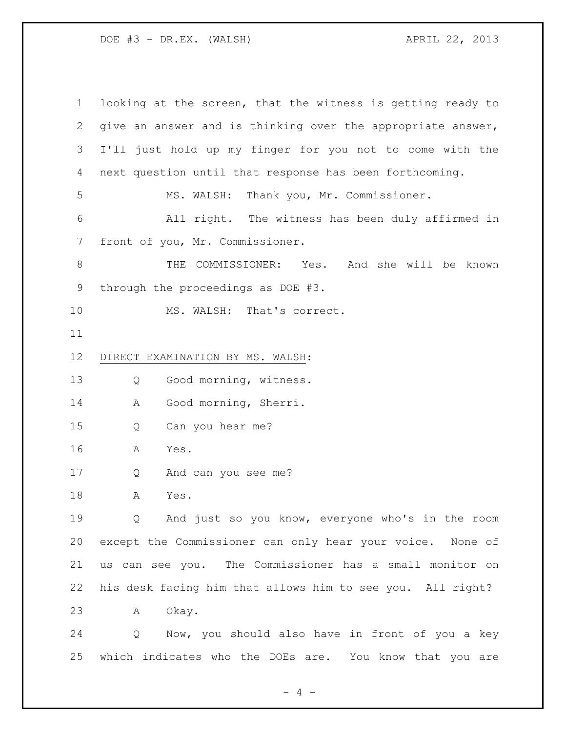looking at the screen, that the witness is getting ready to give an answer and is thinking over the appropriate answer, I'll just hold up my finger for you not to come with the next question until that response has been forthcoming. MS. WALSH: Thank you, Mr. Commissioner. All right. The witness has been duly affirmed in front of you, Mr. Commissioner. THE COMMISSIONER: Yes. And she will be known through the proceedings as DOE #3. 10 MS. WALSH: That's correct. DIRECT EXAMINATION BY MS. WALSH: Q Good morning, witness. 14 A Good morning, Sherri. Q Can you hear me? A Yes. Q And can you see me? A Yes. Q And just so you know, everyone who's in the room except the Commissioner can only hear your voice. None of us can see you. The Commissioner has a small monitor on his desk facing him that allows him to see you. All right? A Okay. Q Now, you should also have in front of you a key which indicates who the DOEs are. You know that you are

 $- 4 -$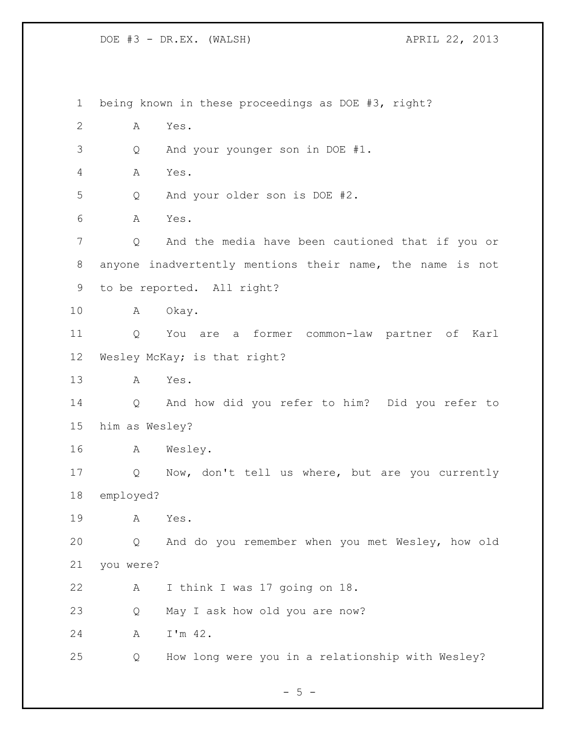being known in these proceedings as DOE #3, right? A Yes. Q And your younger son in DOE #1. A Yes. Q And your older son is DOE #2. A Yes. Q And the media have been cautioned that if you or anyone inadvertently mentions their name, the name is not to be reported. All right? A Okay. Q You are a former common-law partner of Karl Wesley McKay; is that right? A Yes. Q And how did you refer to him? Did you refer to him as Wesley? A Wesley. Q Now, don't tell us where, but are you currently employed? A Yes. Q And do you remember when you met Wesley, how old you were? A I think I was 17 going on 18. Q May I ask how old you are now? A I'm 42. Q How long were you in a relationship with Wesley?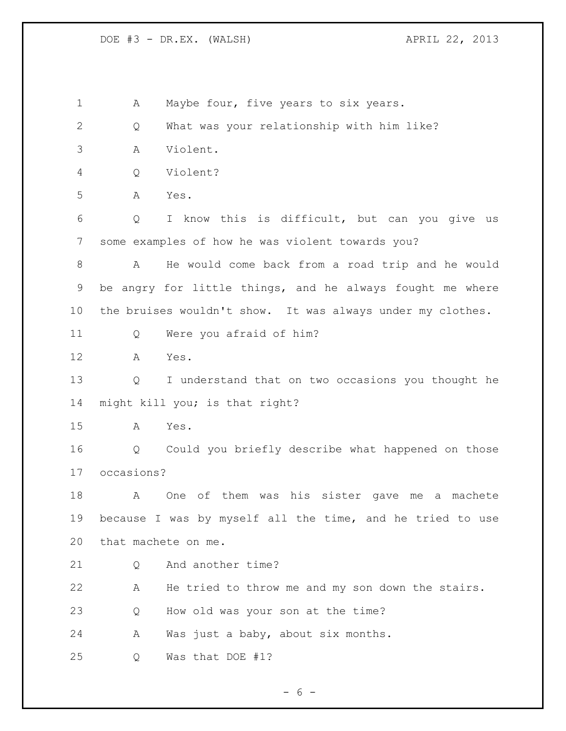1 A Maybe four, five years to six years. Q What was your relationship with him like? A Violent. Q Violent? A Yes. Q I know this is difficult, but can you give us some examples of how he was violent towards you? A He would come back from a road trip and he would be angry for little things, and he always fought me where the bruises wouldn't show. It was always under my clothes. Q Were you afraid of him? A Yes. Q I understand that on two occasions you thought he might kill you; is that right? A Yes. Q Could you briefly describe what happened on those occasions? A One of them was his sister gave me a machete because I was by myself all the time, and he tried to use that machete on me. 21 0 And another time? A He tried to throw me and my son down the stairs. Q How old was your son at the time? A Was just a baby, about six months. Q Was that DOE #1?

 $- 6 -$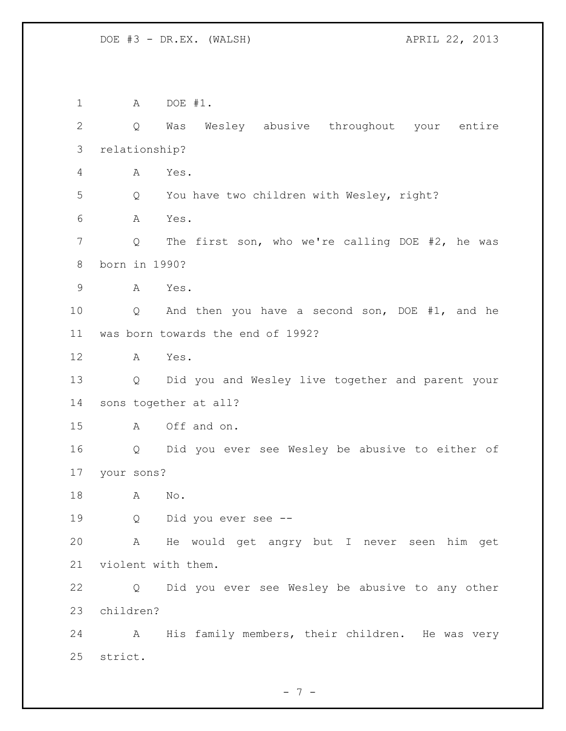A DOE #1. Q Was Wesley abusive throughout your entire relationship? A Yes. Q You have two children with Wesley, right? A Yes. 7 Q The first son, who we're calling DOE #2, he was born in 1990? A Yes. Q And then you have a second son, DOE #1, and he was born towards the end of 1992? A Yes. Q Did you and Wesley live together and parent your sons together at all? A Off and on. Q Did you ever see Wesley be abusive to either of your sons? A No. Q Did you ever see -- A He would get angry but I never seen him get violent with them. Q Did you ever see Wesley be abusive to any other children? A His family members, their children. He was very strict.

- 7 -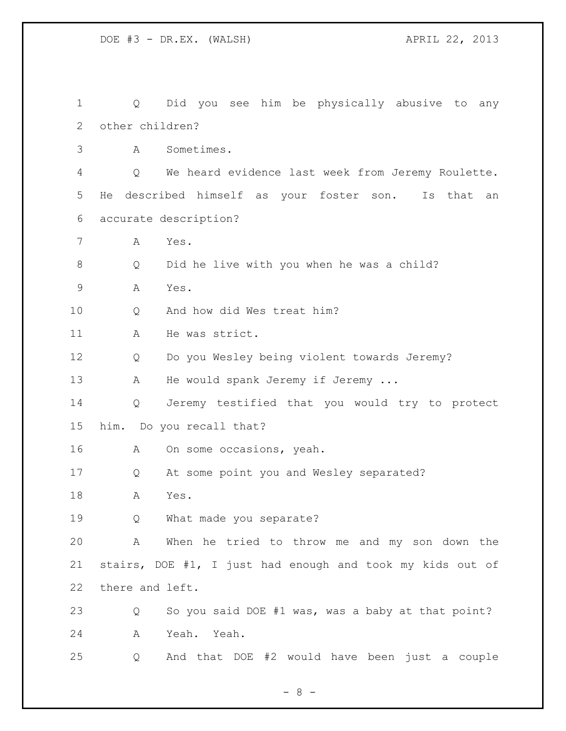Q Did you see him be physically abusive to any other children? A Sometimes. Q We heard evidence last week from Jeremy Roulette. He described himself as your foster son. Is that an accurate description? A Yes. Q Did he live with you when he was a child? A Yes. Q And how did Wes treat him? 11 A He was strict. Q Do you Wesley being violent towards Jeremy? 13 A He would spank Jeremy if Jeremy ... Q Jeremy testified that you would try to protect him. Do you recall that? A On some occasions, yeah. Q At some point you and Wesley separated? A Yes. Q What made you separate? A When he tried to throw me and my son down the stairs, DOE #1, I just had enough and took my kids out of there and left. Q So you said DOE #1 was, was a baby at that point? A Yeah. Yeah. Q And that DOE #2 would have been just a couple

- 8 -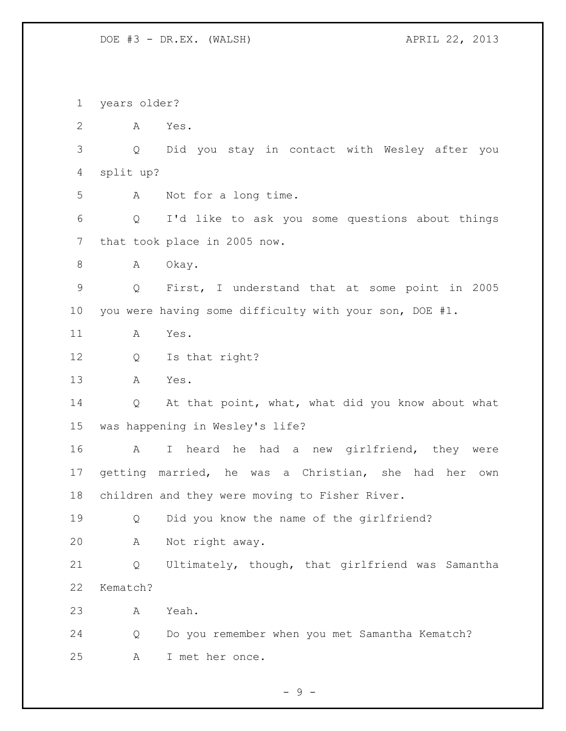years older? A Yes. Q Did you stay in contact with Wesley after you split up? A Not for a long time. Q I'd like to ask you some questions about things that took place in 2005 now. 8 A Okay. Q First, I understand that at some point in 2005 you were having some difficulty with your son, DOE #1. A Yes. Q Is that right? A Yes. Q At that point, what, what did you know about what was happening in Wesley's life? A I heard he had a new girlfriend, they were getting married, he was a Christian, she had her own children and they were moving to Fisher River. Q Did you know the name of the girlfriend? A Not right away. Q Ultimately, though, that girlfriend was Samantha Kematch? A Yeah. Q Do you remember when you met Samantha Kematch? A I met her once.

 $-9 -$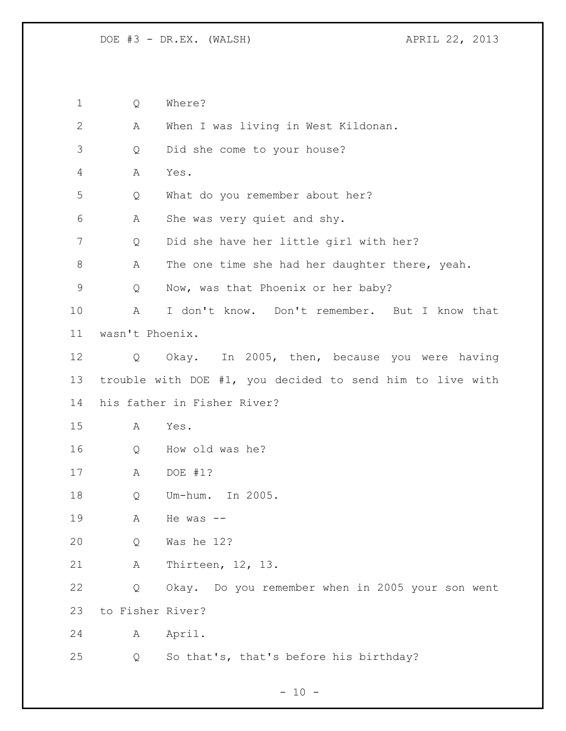Q Where?

| $\mathbf{2}$ | Α                | When I was living in West Kildonan.                       |
|--------------|------------------|-----------------------------------------------------------|
| 3            | Q                | Did she come to your house?                               |
| 4            | Α                | Yes.                                                      |
| 5            | Q                | What do you remember about her?                           |
| 6            | Α                | She was very quiet and shy.                               |
| 7            | Q                | Did she have her little girl with her?                    |
| 8            | Α                | The one time she had her daughter there, yeah.            |
| 9            | Q                | Now, was that Phoenix or her baby?                        |
| 10           | Α                | I don't know. Don't remember. But I know that             |
| 11           | wasn't Phoenix.  |                                                           |
| 12           | Q                | Okay. In 2005, then, because you were having              |
| 13           |                  | trouble with DOE #1, you decided to send him to live with |
| 14           |                  | his father in Fisher River?                               |
| 15           | А                | Yes.                                                      |
| 16           | Q                | How old was he?                                           |
| 17           | A                | DOE #1?                                                   |
| 18           | Q                | Um-hum. In 2005.                                          |
| 19           | Α                | He was $--$                                               |
| 20           | Q                | Was he 12?                                                |
| 21           | Α                | Thirteen, 12, 13.                                         |
| 22           | Q                | Okay. Do you remember when in 2005 your son went          |
| 23           | to Fisher River? |                                                           |
| 24           | Α                | April.                                                    |
| 25           | Q                | So that's, that's before his birthday?                    |

 $- 10 -$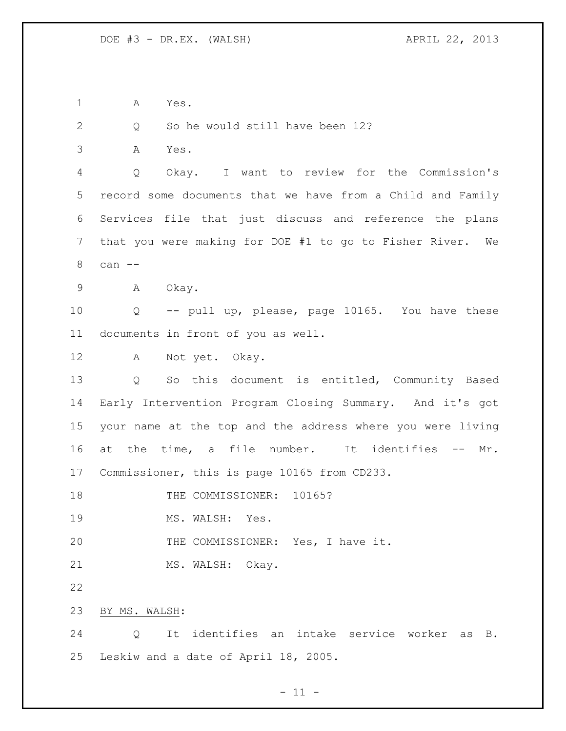A Yes.

2 Q So he would still have been 12?

A Yes.

 Q Okay. I want to review for the Commission's record some documents that we have from a Child and Family Services file that just discuss and reference the plans that you were making for DOE #1 to go to Fisher River. We can --

A Okay.

 Q -- pull up, please, page 10165. You have these documents in front of you as well.

A Not yet. Okay.

 Q So this document is entitled, Community Based Early Intervention Program Closing Summary. And it's got your name at the top and the address where you were living at the time, a file number. It identifies -- Mr. Commissioner, this is page 10165 from CD233.

18 THE COMMISSIONER: 10165?

19 MS. WALSH: Yes.

20 THE COMMISSIONER: Yes, I have it.

21 MS. WALSH: Okay.

BY MS. WALSH:

 Q It identifies an intake service worker as B. Leskiw and a date of April 18, 2005.

 $- 11 -$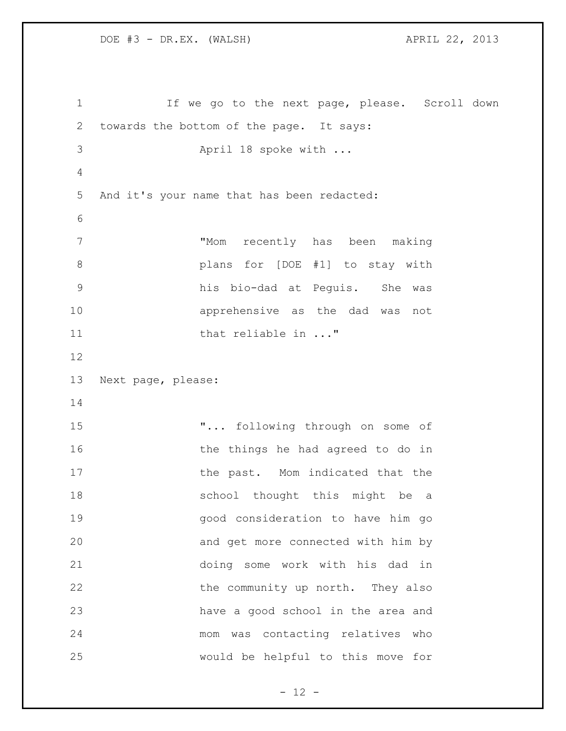If we go to the next page, please. Scroll down towards the bottom of the page. It says: April 18 spoke with ... And it's your name that has been redacted: "Mom recently has been making plans for [DOE #1] to stay with his bio-dad at Peguis. She was apprehensive as the dad was not 11 that reliable in ..." Next page, please: **"...** following through on some of 16 the things he had agreed to do in 17 the past. Mom indicated that the 18 school thought this might be a good consideration to have him go and get more connected with him by doing some work with his dad in 22 the community up north. They also have a good school in the area and mom was contacting relatives who would be helpful to this move for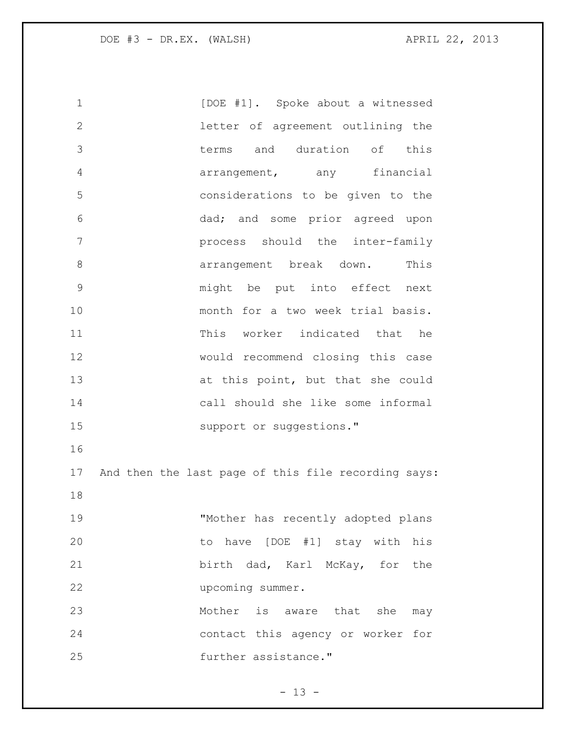1 [DOE #1]. Spoke about a witnessed letter of agreement outlining the terms and duration of this arrangement, any financial considerations to be given to the dad; and some prior agreed upon process should the inter-family **8 arrangement** break down. This might be put into effect next 10 month for a two week trial basis. This worker indicated that he would recommend closing this case 13 at this point, but that she could call should she like some informal 15 support or suggestions." And then the last page of this file recording says: "Mother has recently adopted plans to have [DOE #1] stay with his birth dad, Karl McKay, for the upcoming summer. 23 Mother is aware that she may contact this agency or worker for **further assistance.**"

 $- 13 -$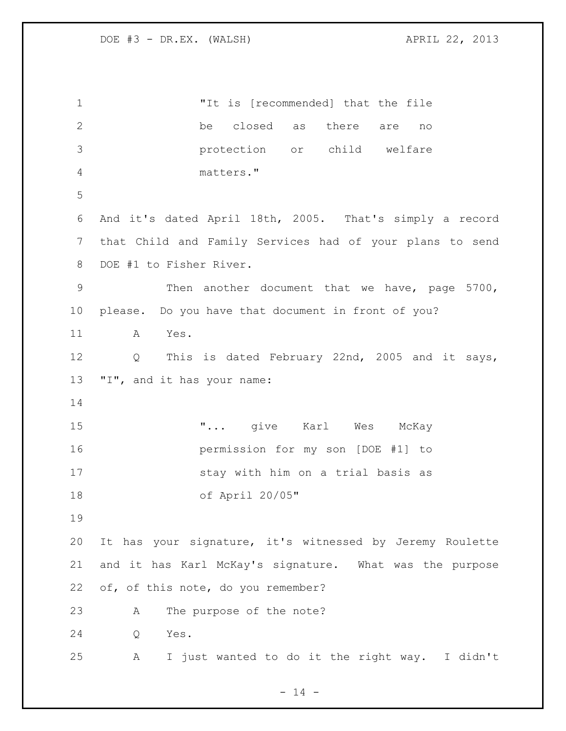"It is [recommended] that the file be closed as there are no protection or child welfare matters." And it's dated April 18th, 2005. That's simply a record that Child and Family Services had of your plans to send DOE #1 to Fisher River. Then another document that we have, page 5700, please. Do you have that document in front of you? A Yes. Q This is dated February 22nd, 2005 and it says, "I", and it has your name:  $\ldots$  yive Karl Wes McKay permission for my son [DOE #1] to stay with him on a trial basis as of April 20/05" It has your signature, it's witnessed by Jeremy Roulette and it has Karl McKay's signature. What was the purpose of, of this note, do you remember? A The purpose of the note? Q Yes. A I just wanted to do it the right way. I didn't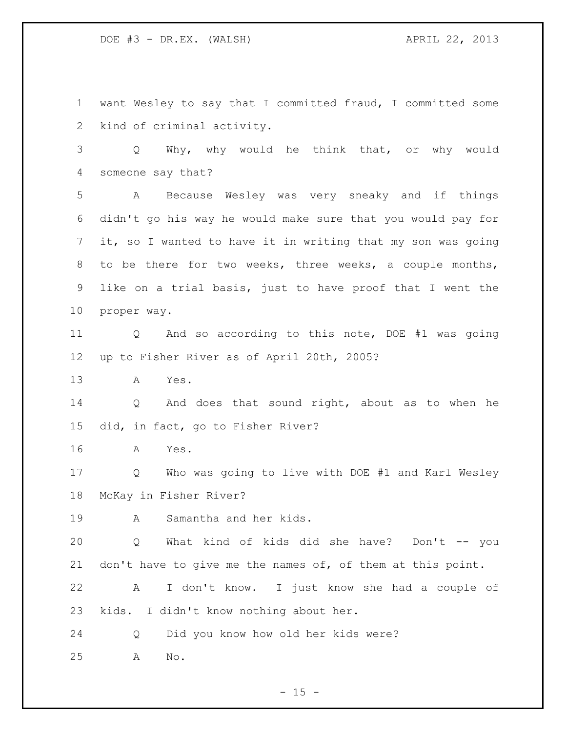want Wesley to say that I committed fraud, I committed some kind of criminal activity.

 Q Why, why would he think that, or why would someone say that?

 A Because Wesley was very sneaky and if things didn't go his way he would make sure that you would pay for it, so I wanted to have it in writing that my son was going to be there for two weeks, three weeks, a couple months, like on a trial basis, just to have proof that I went the proper way.

 Q And so according to this note, DOE #1 was going up to Fisher River as of April 20th, 2005?

A Yes.

14 Q And does that sound right, about as to when he did, in fact, go to Fisher River?

A Yes.

 Q Who was going to live with DOE #1 and Karl Wesley McKay in Fisher River?

A Samantha and her kids.

 Q What kind of kids did she have? Don't -- you 21 don't have to give me the names of, of them at this point.

 A I don't know. I just know she had a couple of kids. I didn't know nothing about her.

Q Did you know how old her kids were?

A No.

 $- 15 -$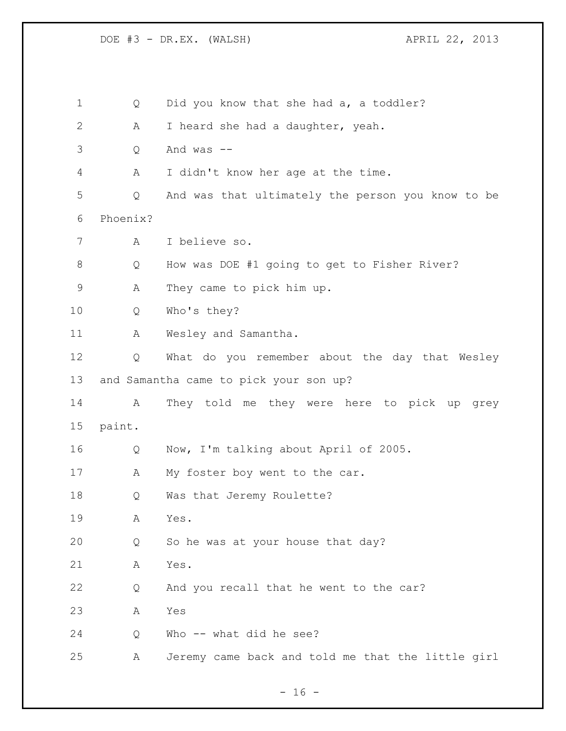DOE #3 - DR.EX. (WALSH) <br>
APRIL 22, 2013 1 Q Did you know that she had a, a toddler? A I heard she had a daughter, yeah. Q And was -- A I didn't know her age at the time. Q And was that ultimately the person you know to be Phoenix? A I believe so. Q How was DOE #1 going to get to Fisher River? A They came to pick him up. Q Who's they? 11 A Wesley and Samantha. Q What do you remember about the day that Wesley and Samantha came to pick your son up? A They told me they were here to pick up grey paint. Q Now, I'm talking about April of 2005. 17 A My foster boy went to the car. Q Was that Jeremy Roulette? A Yes. Q So he was at your house that day? A Yes. Q And you recall that he went to the car? A Yes Q Who -- what did he see? A Jeremy came back and told me that the little girl

 $- 16 -$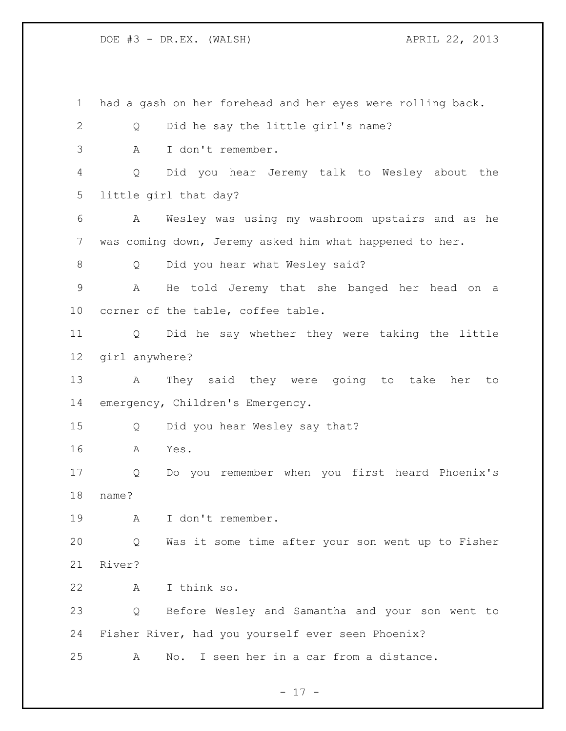had a gash on her forehead and her eyes were rolling back. Q Did he say the little girl's name? A I don't remember. Q Did you hear Jeremy talk to Wesley about the little girl that day? A Wesley was using my washroom upstairs and as he was coming down, Jeremy asked him what happened to her. Q Did you hear what Wesley said? A He told Jeremy that she banged her head on a corner of the table, coffee table. Q Did he say whether they were taking the little girl anywhere? A They said they were going to take her to emergency, Children's Emergency. Q Did you hear Wesley say that? A Yes. Q Do you remember when you first heard Phoenix's name? A I don't remember. Q Was it some time after your son went up to Fisher River? A I think so. Q Before Wesley and Samantha and your son went to Fisher River, had you yourself ever seen Phoenix? A No. I seen her in a car from a distance.

- 17 -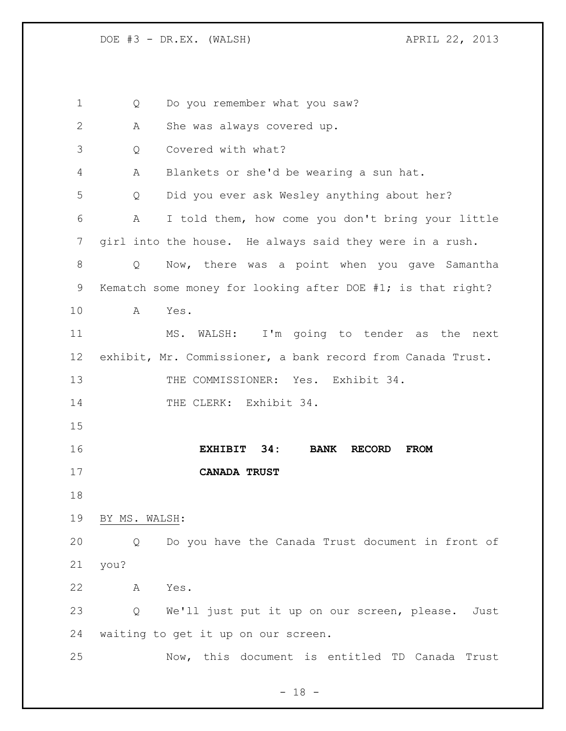1 Q Do you remember what you saw? A She was always covered up. Q Covered with what? A Blankets or she'd be wearing a sun hat. Q Did you ever ask Wesley anything about her? A I told them, how come you don't bring your little girl into the house. He always said they were in a rush. Q Now, there was a point when you gave Samantha Kematch some money for looking after DOE #1; is that right? A Yes. MS. WALSH: I'm going to tender as the next exhibit, Mr. Commissioner, a bank record from Canada Trust. 13 THE COMMISSIONER: Yes. Exhibit 34. 14 THE CLERK: Exhibit 34. **EXHIBIT 34: BANK RECORD FROM CANADA TRUST** BY MS. WALSH: Q Do you have the Canada Trust document in front of you? A Yes. Q We'll just put it up on our screen, please. Just waiting to get it up on our screen. Now, this document is entitled TD Canada Trust

- 18 -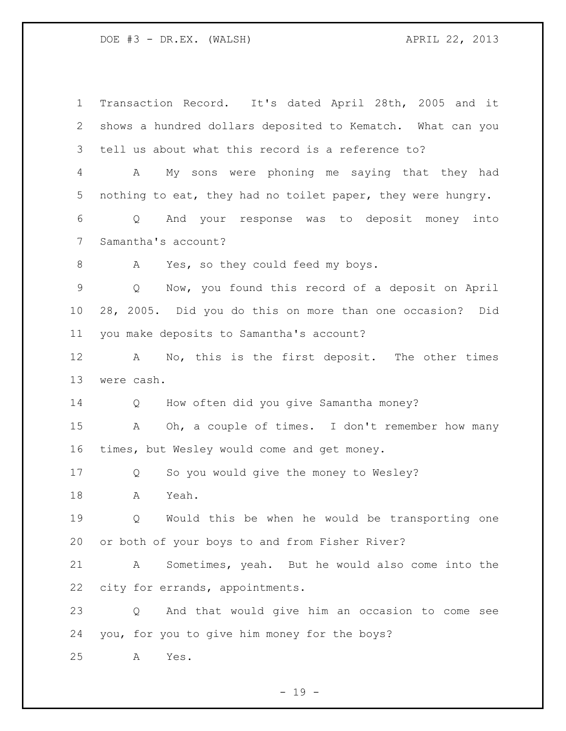| $\mathbf 1$    | Transaction Record. It's dated April 28th, 2005 and it      |
|----------------|-------------------------------------------------------------|
| 2              | shows a hundred dollars deposited to Kematch. What can you  |
| 3              | tell us about what this record is a reference to?           |
| 4              | My sons were phoning me saying that they had<br>А           |
| 5              | nothing to eat, they had no toilet paper, they were hungry. |
| 6              | And your response was to deposit money into<br>Q            |
| $7\phantom{.}$ | Samantha's account?                                         |
| 8              | Yes, so they could feed my boys.<br>A                       |
| $\mathsf 9$    | Now, you found this record of a deposit on April<br>Q       |
| 10             | 28, 2005. Did you do this on more than one occasion? Did    |
| 11             | you make deposits to Samantha's account?                    |
| 12             | No, this is the first deposit. The other times<br>A         |
| 13             | were cash.                                                  |
|                |                                                             |
| 14             | How often did you give Samantha money?<br>Q                 |
| 15             | Oh, a couple of times. I don't remember how many<br>Α       |
| 16             | times, but Wesley would come and get money.                 |
| 17             | So you would give the money to Wesley?<br>Q                 |
| 18             | Yeah.<br>Α                                                  |
| 19             | Would this be when he would be transporting one<br>Q        |
| 20             | or both of your boys to and from Fisher River?              |
| 21             | Sometimes, yeah. But he would also come into the<br>А       |
| 22             | city for errands, appointments.                             |
| 23             | And that would give him an occasion to come see<br>Q        |
| 24             | you, for you to give him money for the boys?                |

- 19 -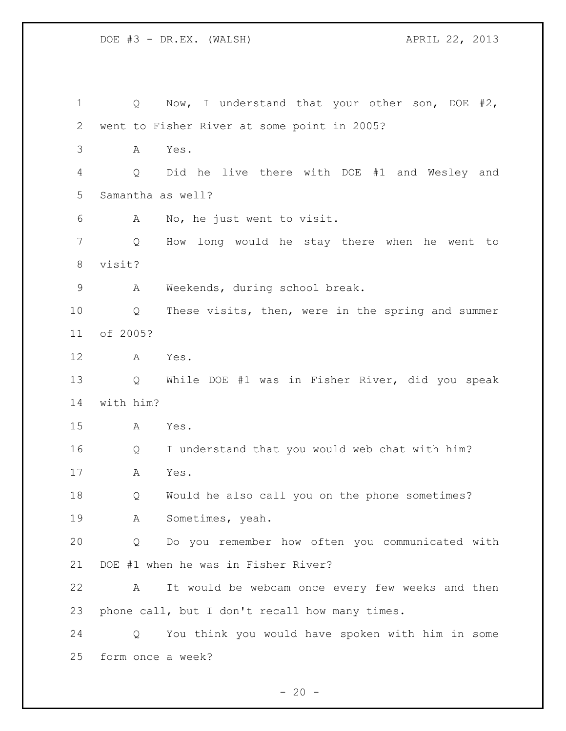1 Q Now, I understand that your other son, DOE #2, went to Fisher River at some point in 2005? A Yes. Q Did he live there with DOE #1 and Wesley and Samantha as well? A No, he just went to visit. Q How long would he stay there when he went to visit? A Weekends, during school break. Q These visits, then, were in the spring and summer of 2005? A Yes. Q While DOE #1 was in Fisher River, did you speak with him? A Yes. Q I understand that you would web chat with him? A Yes. Q Would he also call you on the phone sometimes? A Sometimes, yeah. Q Do you remember how often you communicated with DOE #1 when he was in Fisher River? A It would be webcam once every few weeks and then phone call, but I don't recall how many times. Q You think you would have spoken with him in some form once a week?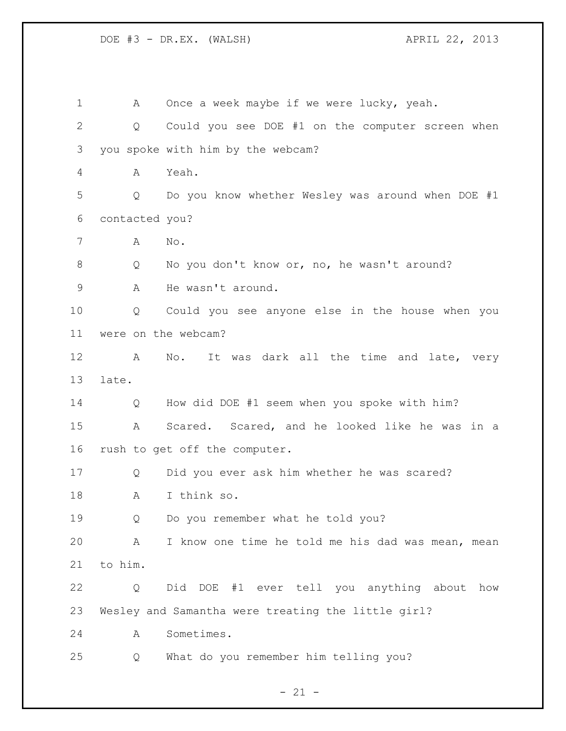A Once a week maybe if we were lucky, yeah. Q Could you see DOE #1 on the computer screen when you spoke with him by the webcam? A Yeah. Q Do you know whether Wesley was around when DOE #1 contacted you? A No. Q No you don't know or, no, he wasn't around? A He wasn't around. Q Could you see anyone else in the house when you were on the webcam? 12 A No. It was dark all the time and late, very late. Q How did DOE #1 seem when you spoke with him? A Scared. Scared, and he looked like he was in a rush to get off the computer. Q Did you ever ask him whether he was scared? A I think so. Q Do you remember what he told you? A I know one time he told me his dad was mean, mean to him. Q Did DOE #1 ever tell you anything about how Wesley and Samantha were treating the little girl? A Sometimes. Q What do you remember him telling you?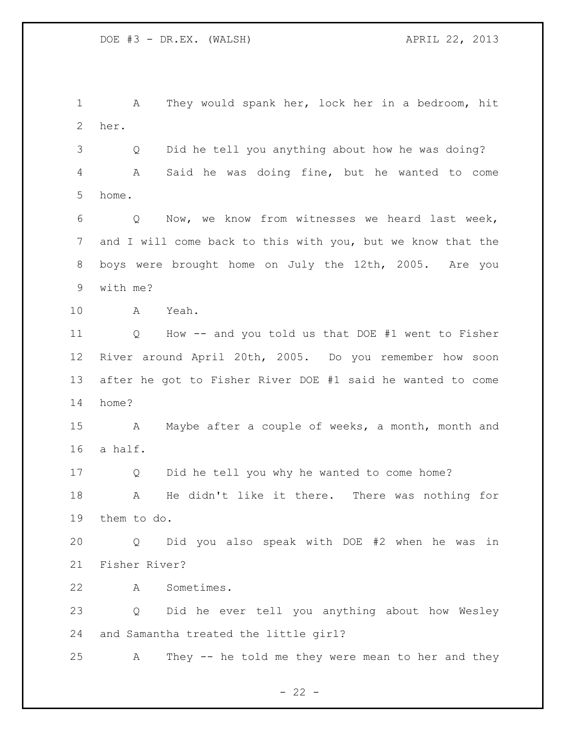A They would spank her, lock her in a bedroom, hit her.

 Q Did he tell you anything about how he was doing? A Said he was doing fine, but he wanted to come home.

 Q Now, we know from witnesses we heard last week, and I will come back to this with you, but we know that the boys were brought home on July the 12th, 2005. Are you with me?

A Yeah.

 Q How -- and you told us that DOE #1 went to Fisher River around April 20th, 2005. Do you remember how soon after he got to Fisher River DOE #1 said he wanted to come home?

 A Maybe after a couple of weeks, a month, month and a half.

 Q Did he tell you why he wanted to come home? A He didn't like it there. There was nothing for them to do.

 Q Did you also speak with DOE #2 when he was in Fisher River?

A Sometimes.

 Q Did he ever tell you anything about how Wesley and Samantha treated the little girl?

A They -- he told me they were mean to her and they

 $- 22 -$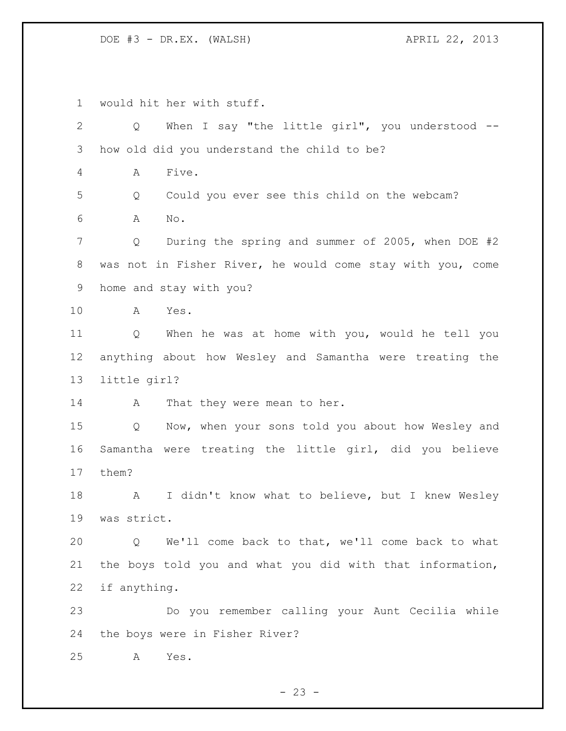would hit her with stuff.

| 2              | When I say "the little girl", you understood $-$ -<br>Q    |
|----------------|------------------------------------------------------------|
| $\mathcal{S}$  | how old did you understand the child to be?                |
| $\overline{4}$ | Five.<br>Α                                                 |
| 5              | Could you ever see this child on the webcam?<br>Q          |
| 6              | $\mathrm{No}$ .<br>Α                                       |
| 7              | During the spring and summer of 2005, when DOE #2<br>Q     |
| $8\,$          | was not in Fisher River, he would come stay with you, come |
| $\mathsf 9$    | home and stay with you?                                    |
| 10             | Yes.<br>A                                                  |
| 11             | Q<br>When he was at home with you, would he tell you       |
| 12             | anything about how Wesley and Samantha were treating the   |
| 13             | little girl?                                               |
| 14             | That they were mean to her.<br>A                           |
| 15             | Now, when your sons told you about how Wesley and<br>Q     |
| 16             | Samantha were treating the little girl, did you believe    |
| 17             | them?                                                      |
| 18             | I didn't know what to believe, but I knew Wesley<br>A      |
| 19             | was strict.                                                |
| 20             | We'll come back to that, we'll come back to what<br>Q      |
| 21             | the boys told you and what you did with that information,  |
| 22             | if anything.                                               |
| 23             | Do you remember calling your Aunt Cecilia while            |
| 24             | the boys were in Fisher River?                             |
| 25             | Yes.<br>A                                                  |
|                |                                                            |

- 23 -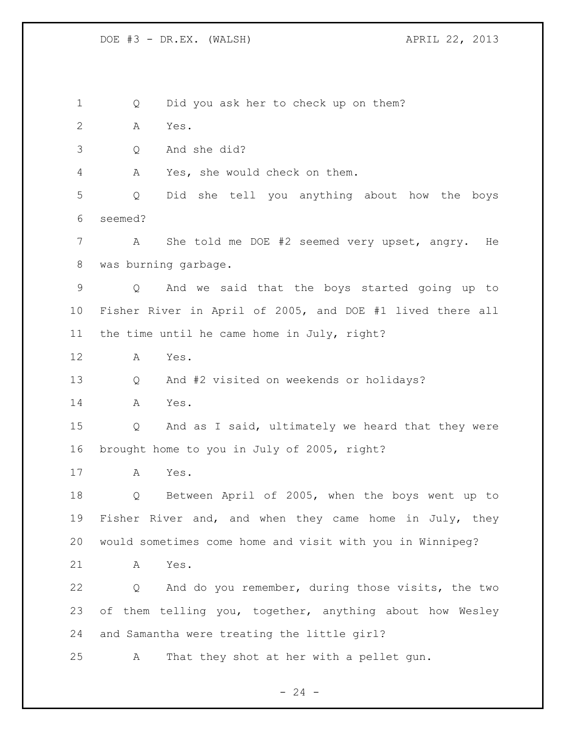Q Did you ask her to check up on them? A Yes. Q And she did? A Yes, she would check on them. Q Did she tell you anything about how the boys seemed? A She told me DOE #2 seemed very upset, angry. He was burning garbage. Q And we said that the boys started going up to Fisher River in April of 2005, and DOE #1 lived there all the time until he came home in July, right? A Yes. Q And #2 visited on weekends or holidays? A Yes. Q And as I said, ultimately we heard that they were brought home to you in July of 2005, right? A Yes. Q Between April of 2005, when the boys went up to Fisher River and, and when they came home in July, they would sometimes come home and visit with you in Winnipeg? A Yes. Q And do you remember, during those visits, the two of them telling you, together, anything about how Wesley and Samantha were treating the little girl? A That they shot at her with a pellet gun.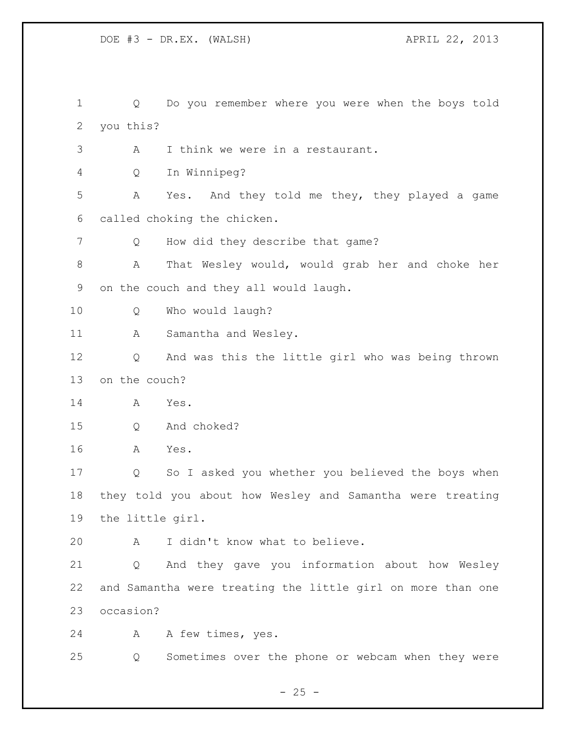Q Do you remember where you were when the boys told you this? A I think we were in a restaurant. Q In Winnipeg? A Yes. And they told me they, they played a game called choking the chicken. 7 Q How did they describe that game? A That Wesley would, would grab her and choke her on the couch and they all would laugh. Q Who would laugh? 11 A Samantha and Wesley. Q And was this the little girl who was being thrown on the couch? A Yes. Q And choked? A Yes. Q So I asked you whether you believed the boys when they told you about how Wesley and Samantha were treating the little girl. A I didn't know what to believe. Q And they gave you information about how Wesley and Samantha were treating the little girl on more than one occasion? A A few times, yes. Q Sometimes over the phone or webcam when they were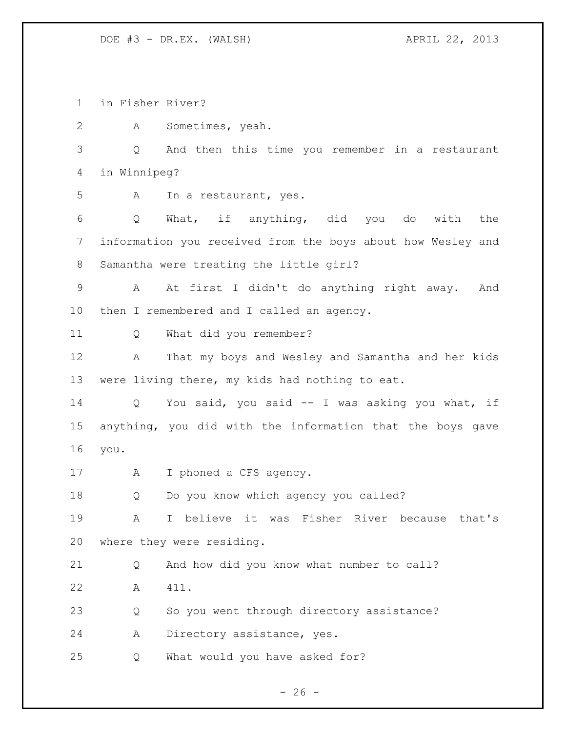in Fisher River?

A Sometimes, yeah.

 Q And then this time you remember in a restaurant in Winnipeg?

A In a restaurant, yes.

 Q What, if anything, did you do with the information you received from the boys about how Wesley and Samantha were treating the little girl?

 A At first I didn't do anything right away. And then I remembered and I called an agency.

Q What did you remember?

 A That my boys and Wesley and Samantha and her kids were living there, my kids had nothing to eat.

 Q You said, you said -- I was asking you what, if anything, you did with the information that the boys gave you.

A I phoned a CFS agency.

Q Do you know which agency you called?

 A I believe it was Fisher River because that's where they were residing.

 Q And how did you know what number to call? A 411.

Q So you went through directory assistance?

A Directory assistance, yes.

Q What would you have asked for?

 $- 26 -$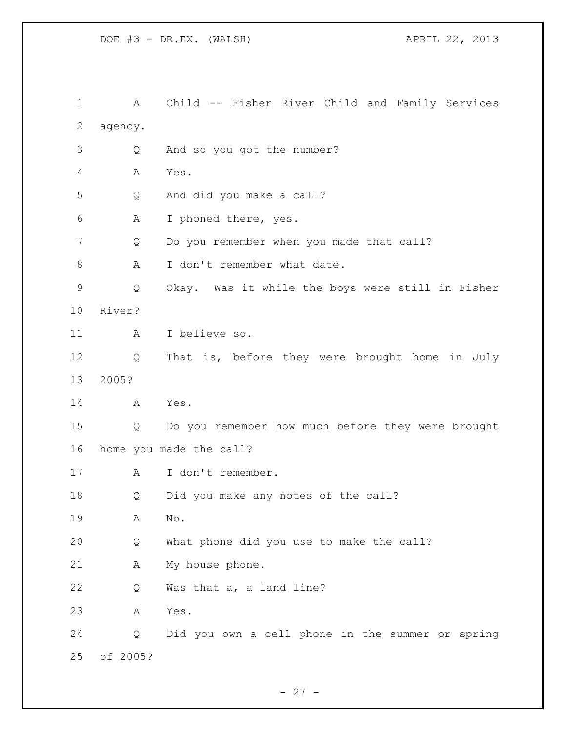A Child -- Fisher River Child and Family Services agency. Q And so you got the number? A Yes. Q And did you make a call? A I phoned there, yes. 7 Q Do you remember when you made that call? 8 A I don't remember what date. Q Okay. Was it while the boys were still in Fisher River? A I believe so. Q That is, before they were brought home in July 2005? A Yes. Q Do you remember how much before they were brought home you made the call? A I don't remember. Q Did you make any notes of the call? A No. Q What phone did you use to make the call? A My house phone. Q Was that a, a land line? A Yes. Q Did you own a cell phone in the summer or spring of 2005?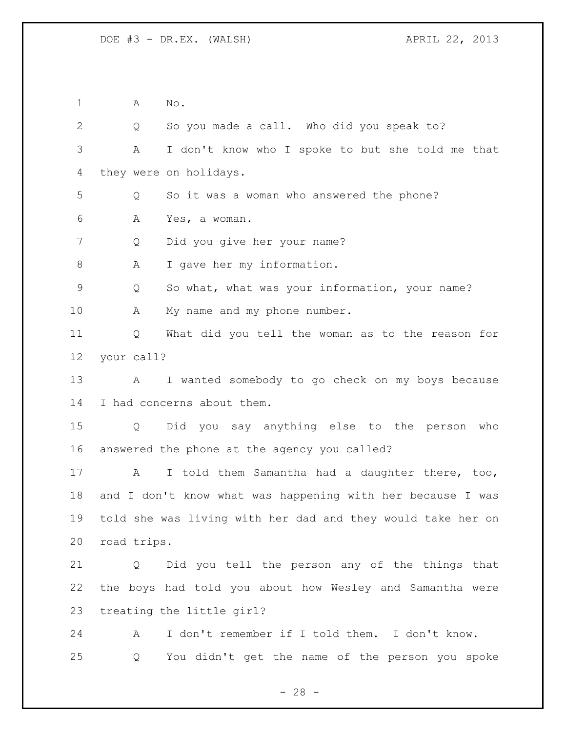A No. Q So you made a call. Who did you speak to? A I don't know who I spoke to but she told me that they were on holidays. Q So it was a woman who answered the phone? A Yes, a woman. Q Did you give her your name? 8 A I gave her my information. Q So what, what was your information, your name? 10 A My name and my phone number. Q What did you tell the woman as to the reason for your call? A I wanted somebody to go check on my boys because I had concerns about them. Q Did you say anything else to the person who answered the phone at the agency you called? 17 A I told them Samantha had a daughter there, too, and I don't know what was happening with her because I was told she was living with her dad and they would take her on road trips. Q Did you tell the person any of the things that the boys had told you about how Wesley and Samantha were treating the little girl? A I don't remember if I told them. I don't know. Q You didn't get the name of the person you spoke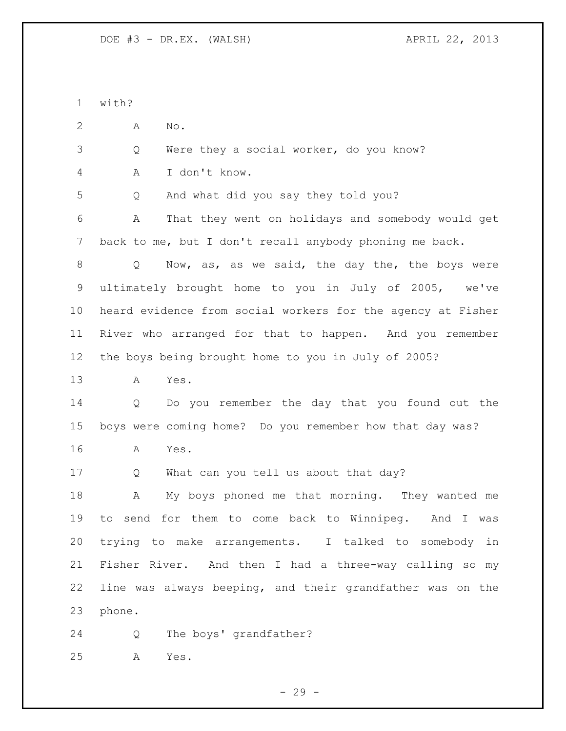with? A No. Q Were they a social worker, do you know? A I don't know. Q And what did you say they told you? A That they went on holidays and somebody would get back to me, but I don't recall anybody phoning me back. 8 Q Now, as, as we said, the day the, the boys were ultimately brought home to you in July of 2005, we've heard evidence from social workers for the agency at Fisher River who arranged for that to happen. And you remember the boys being brought home to you in July of 2005? A Yes. Q Do you remember the day that you found out the boys were coming home? Do you remember how that day was? A Yes. Q What can you tell us about that day? A My boys phoned me that morning. They wanted me to send for them to come back to Winnipeg. And I was trying to make arrangements. I talked to somebody in Fisher River. And then I had a three-way calling so my line was always beeping, and their grandfather was on the phone. Q The boys' grandfather? A Yes.

 $-29 -$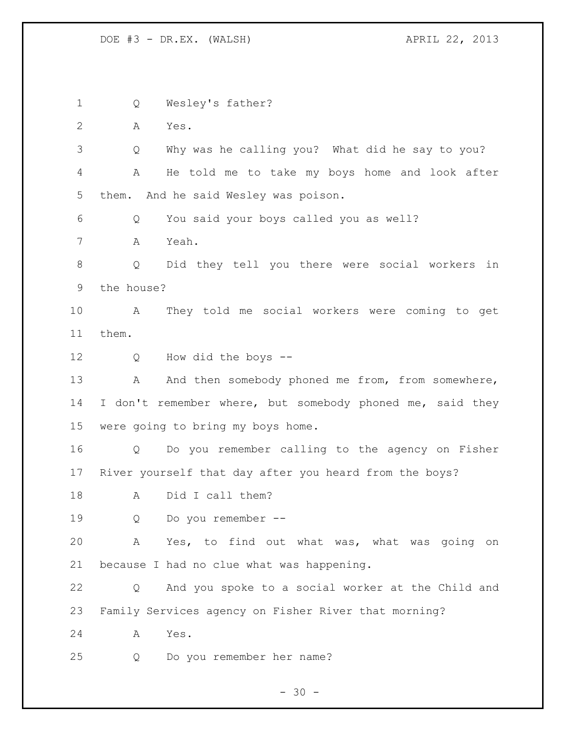Q Wesley's father? A Yes. Q Why was he calling you? What did he say to you? A He told me to take my boys home and look after them. And he said Wesley was poison. Q You said your boys called you as well? A Yeah. Q Did they tell you there were social workers in the house? A They told me social workers were coming to get them. Q How did the boys -- 13 A And then somebody phoned me from, from somewhere, 14 I don't remember where, but somebody phoned me, said they were going to bring my boys home. Q Do you remember calling to the agency on Fisher River yourself that day after you heard from the boys? A Did I call them? Q Do you remember -- A Yes, to find out what was, what was going on because I had no clue what was happening. Q And you spoke to a social worker at the Child and Family Services agency on Fisher River that morning? A Yes. Q Do you remember her name?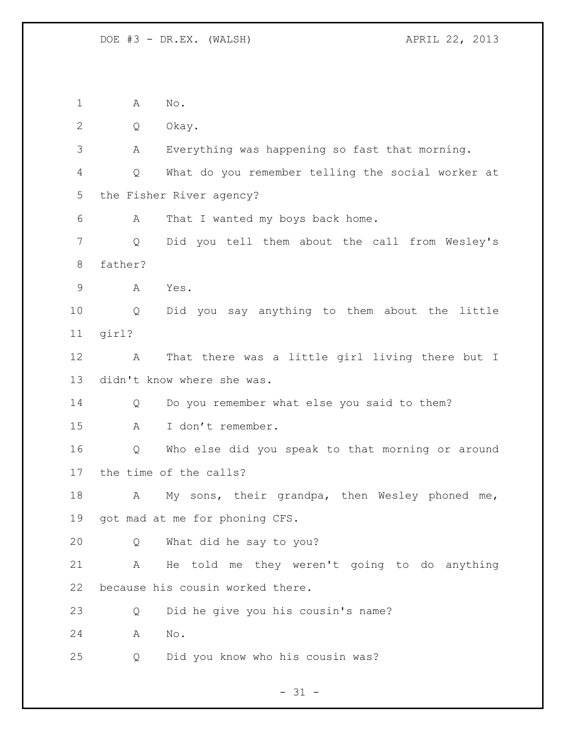A No. Q Okay. A Everything was happening so fast that morning. Q What do you remember telling the social worker at the Fisher River agency? A That I wanted my boys back home. Q Did you tell them about the call from Wesley's father? A Yes. Q Did you say anything to them about the little girl? A That there was a little girl living there but I didn't know where she was. Q Do you remember what else you said to them? A I don't remember. Q Who else did you speak to that morning or around the time of the calls? 18 A My sons, their grandpa, then Wesley phoned me, got mad at me for phoning CFS. Q What did he say to you? A He told me they weren't going to do anything because his cousin worked there. Q Did he give you his cousin's name? A No. Q Did you know who his cousin was?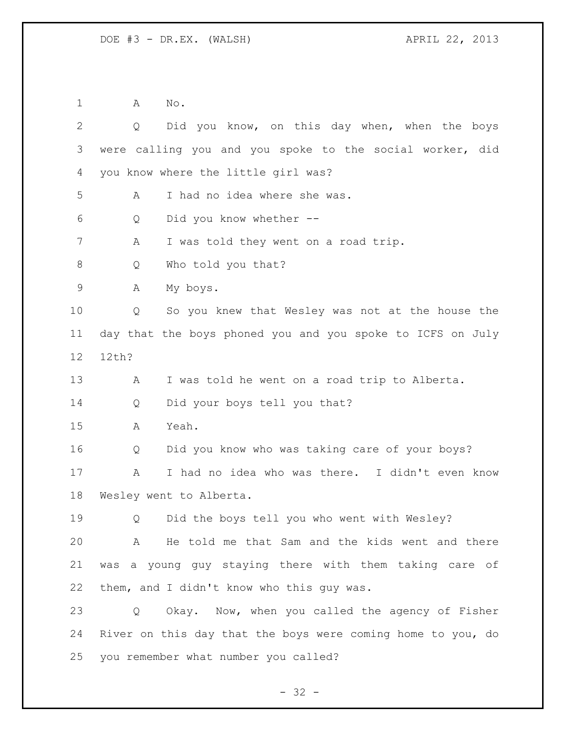A No.

| $\overline{2}$ | Did you know, on this day when, when the boys<br>Q          |
|----------------|-------------------------------------------------------------|
| 3              | were calling you and you spoke to the social worker, did    |
| 4              | you know where the little girl was?                         |
| 5              | I had no idea where she was.<br>A                           |
| 6              | Did you know whether --<br>Q                                |
| 7              | I was told they went on a road trip.<br>A                   |
| 8              | Who told you that?<br>Q                                     |
| $\mathsf 9$    | My boys.<br>Α                                               |
| 10             | So you knew that Wesley was not at the house the<br>Q       |
| 11             | day that the boys phoned you and you spoke to ICFS on July  |
| 12             | 12th?                                                       |
| 13             | I was told he went on a road trip to Alberta.<br>Α          |
| 14             | Did your boys tell you that?<br>Q                           |
| 15             | Yeah.<br>Α                                                  |
| 16             | Did you know who was taking care of your boys?<br>Q         |
| 17             | I had no idea who was there. I didn't even know<br>Α        |
| 18             | Wesley went to Alberta.                                     |
| 19             | Did the boys tell you who went with Wesley?<br>Q            |
| 20             | A He told me that Sam and the kids went and there           |
| 21             | was a young guy staying there with them taking care of      |
| 22             | them, and I didn't know who this guy was.                   |
| 23             | Okay. Now, when you called the agency of Fisher<br>Q        |
| 24             | River on this day that the boys were coming home to you, do |
| 25             | you remember what number you called?                        |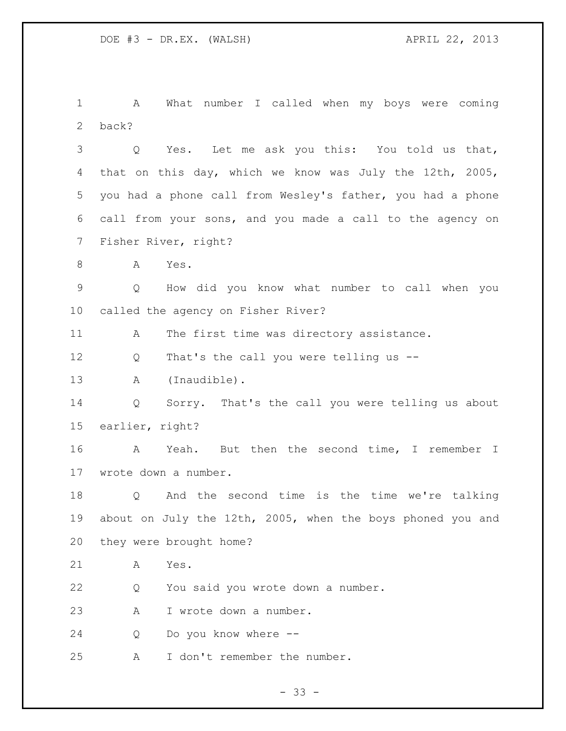A What number I called when my boys were coming back?

 Q Yes. Let me ask you this: You told us that, that on this day, which we know was July the 12th, 2005, you had a phone call from Wesley's father, you had a phone call from your sons, and you made a call to the agency on Fisher River, right?

A Yes.

 Q How did you know what number to call when you called the agency on Fisher River?

11 A The first time was directory assistance.

Q That's the call you were telling us --

A (Inaudible).

 Q Sorry. That's the call you were telling us about earlier, right?

 A Yeah. But then the second time, I remember I wrote down a number.

 Q And the second time is the time we're talking about on July the 12th, 2005, when the boys phoned you and they were brought home?

A Yes.

Q You said you wrote down a number.

A I wrote down a number.

Q Do you know where --

A I don't remember the number.

 $- 33 -$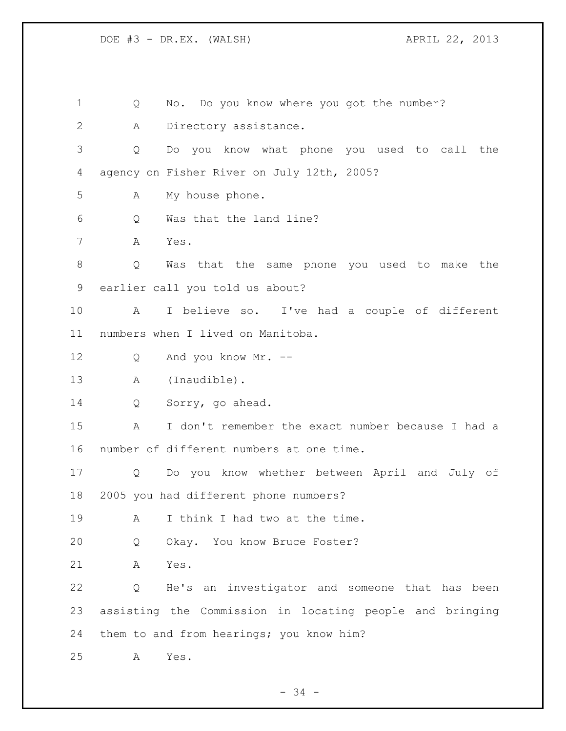Q No. Do you know where you got the number? A Directory assistance. Q Do you know what phone you used to call the agency on Fisher River on July 12th, 2005? A My house phone. Q Was that the land line? A Yes. Q Was that the same phone you used to make the earlier call you told us about? A I believe so. I've had a couple of different numbers when I lived on Manitoba. Q And you know Mr. -- A (Inaudible). Q Sorry, go ahead. A I don't remember the exact number because I had a number of different numbers at one time. Q Do you know whether between April and July of 2005 you had different phone numbers? 19 A I think I had two at the time. Q Okay. You know Bruce Foster? A Yes. Q He's an investigator and someone that has been assisting the Commission in locating people and bringing them to and from hearings; you know him? A Yes.

- 34 -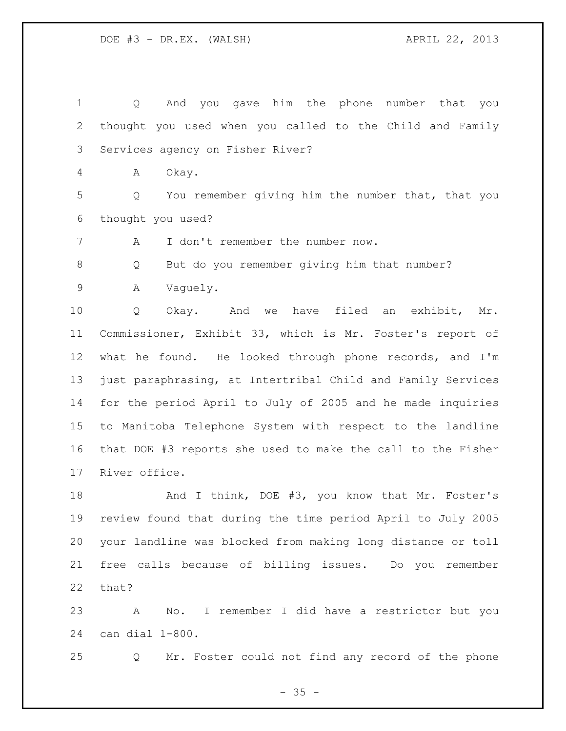Q And you gave him the phone number that you thought you used when you called to the Child and Family Services agency on Fisher River?

A Okay.

 Q You remember giving him the number that, that you thought you used?

A I don't remember the number now.

Q But do you remember giving him that number?

A Vaguely.

10 0 Okay. And we have filed an exhibit, Mr. Commissioner, Exhibit 33, which is Mr. Foster's report of what he found. He looked through phone records, and I'm just paraphrasing, at Intertribal Child and Family Services for the period April to July of 2005 and he made inquiries to Manitoba Telephone System with respect to the landline that DOE #3 reports she used to make the call to the Fisher River office.

18 And I think, DOE #3, you know that Mr. Foster's review found that during the time period April to July 2005 your landline was blocked from making long distance or toll free calls because of billing issues. Do you remember that?

 A No. I remember I did have a restrictor but you can dial 1-800.

Q Mr. Foster could not find any record of the phone

 $- 35 -$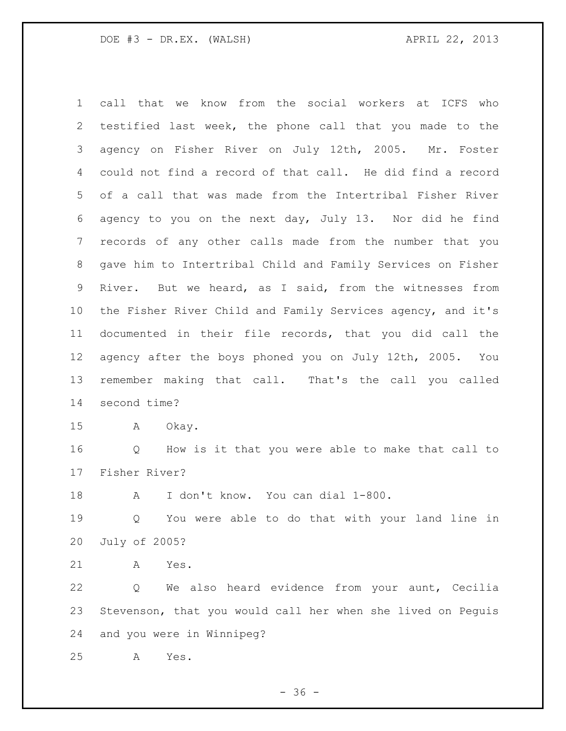call that we know from the social workers at ICFS who testified last week, the phone call that you made to the agency on Fisher River on July 12th, 2005. Mr. Foster could not find a record of that call. He did find a record of a call that was made from the Intertribal Fisher River agency to you on the next day, July 13. Nor did he find records of any other calls made from the number that you gave him to Intertribal Child and Family Services on Fisher River. But we heard, as I said, from the witnesses from the Fisher River Child and Family Services agency, and it's documented in their file records, that you did call the agency after the boys phoned you on July 12th, 2005. You remember making that call. That's the call you called second time? A Okay. Q How is it that you were able to make that call to

Fisher River?

A I don't know. You can dial 1-800.

 Q You were able to do that with your land line in July of 2005?

A Yes.

 Q We also heard evidence from your aunt, Cecilia Stevenson, that you would call her when she lived on Peguis and you were in Winnipeg?

A Yes.

 $- 36 -$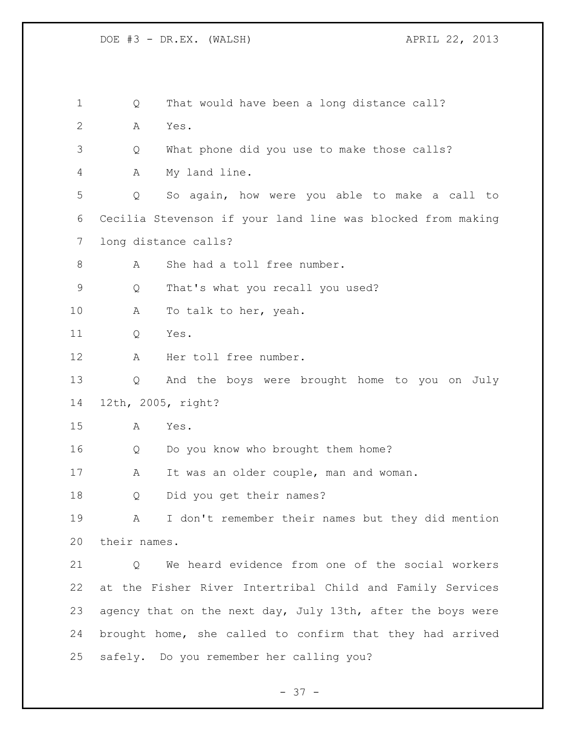1 Q That would have been a long distance call? A Yes. Q What phone did you use to make those calls? A My land line. Q So again, how were you able to make a call to Cecilia Stevenson if your land line was blocked from making long distance calls? 8 A She had a toll free number. Q That's what you recall you used? 10 A To talk to her, yeah. Q Yes. A Her toll free number. Q And the boys were brought home to you on July 12th, 2005, right? A Yes. Q Do you know who brought them home? 17 A It was an older couple, man and woman. Q Did you get their names? A I don't remember their names but they did mention their names. 21 O We heard evidence from one of the social workers at the Fisher River Intertribal Child and Family Services agency that on the next day, July 13th, after the boys were brought home, she called to confirm that they had arrived safely. Do you remember her calling you?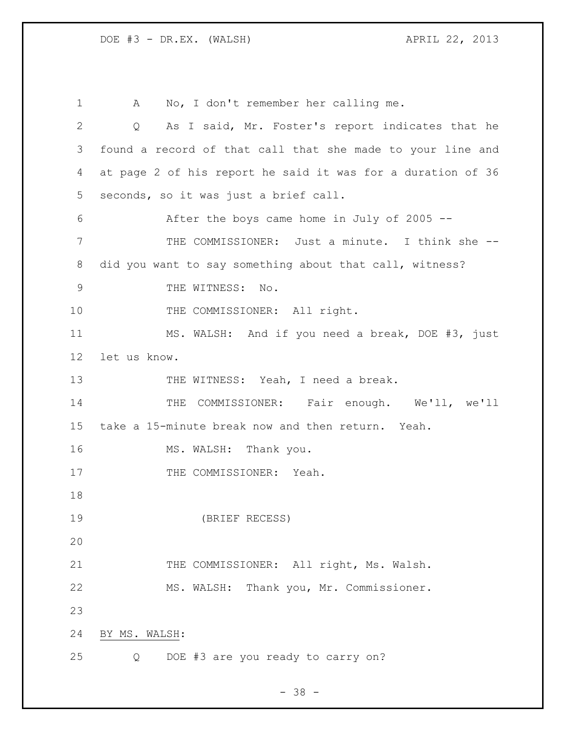A No, I don't remember her calling me. Q As I said, Mr. Foster's report indicates that he found a record of that call that she made to your line and at page 2 of his report he said it was for a duration of 36 seconds, so it was just a brief call. After the boys came home in July of 2005 -- THE COMMISSIONER: Just a minute. I think she -- did you want to say something about that call, witness? 9 THE WITNESS: No. 10 THE COMMISSIONER: All right. MS. WALSH: And if you need a break, DOE #3, just let us know. 13 THE WITNESS: Yeah, I need a break. THE COMMISSIONER: Fair enough. We'll, we'll take a 15-minute break now and then return. Yeah. 16 MS. WALSH: Thank you. 17 THE COMMISSIONER: Yeah. (BRIEF RECESS) 21 THE COMMISSIONER: All right, Ms. Walsh. MS. WALSH: Thank you, Mr. Commissioner. BY MS. WALSH: Q DOE #3 are you ready to carry on?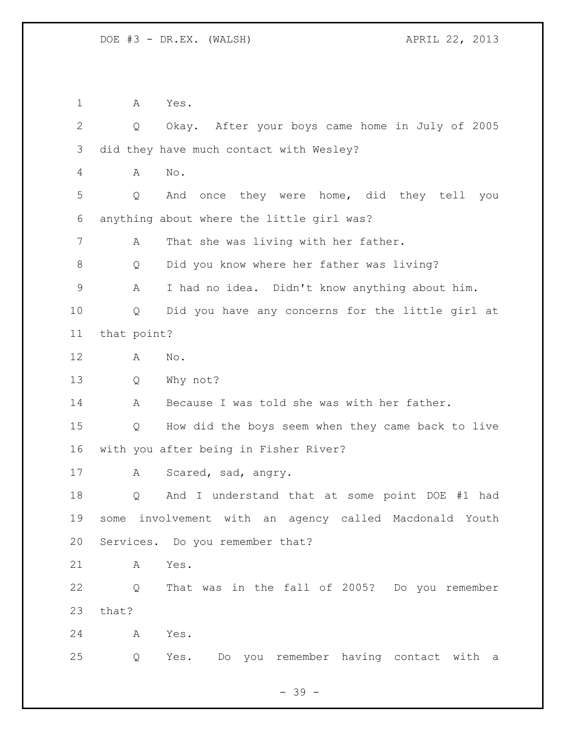A Yes.

 Q Okay. After your boys came home in July of 2005 did they have much contact with Wesley? A No. Q And once they were home, did they tell you anything about where the little girl was? A That she was living with her father. Q Did you know where her father was living? A I had no idea. Didn't know anything about him. Q Did you have any concerns for the little girl at that point? A No. Q Why not? A Because I was told she was with her father. Q How did the boys seem when they came back to live with you after being in Fisher River? A Scared, sad, angry. Q And I understand that at some point DOE #1 had some involvement with an agency called Macdonald Youth Services. Do you remember that? A Yes. Q That was in the fall of 2005? Do you remember that? A Yes. Q Yes. Do you remember having contact with a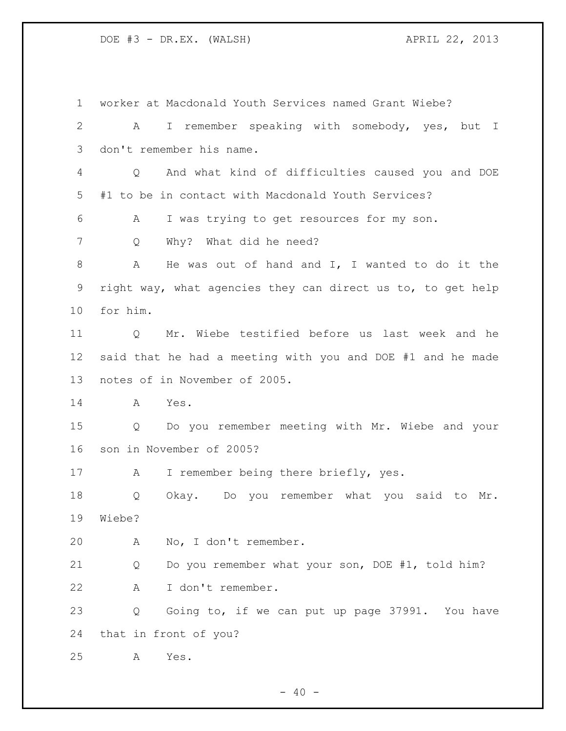worker at Macdonald Youth Services named Grant Wiebe? A I remember speaking with somebody, yes, but I don't remember his name. Q And what kind of difficulties caused you and DOE #1 to be in contact with Macdonald Youth Services? A I was trying to get resources for my son. Q Why? What did he need? A He was out of hand and I, I wanted to do it the right way, what agencies they can direct us to, to get help for him. Q Mr. Wiebe testified before us last week and he said that he had a meeting with you and DOE #1 and he made notes of in November of 2005. A Yes. Q Do you remember meeting with Mr. Wiebe and your son in November of 2005? 17 A I remember being there briefly, yes. Q Okay. Do you remember what you said to Mr. Wiebe? A No, I don't remember. Q Do you remember what your son, DOE #1, told him? A I don't remember. Q Going to, if we can put up page 37991. You have that in front of you? A Yes.

 $- 40 -$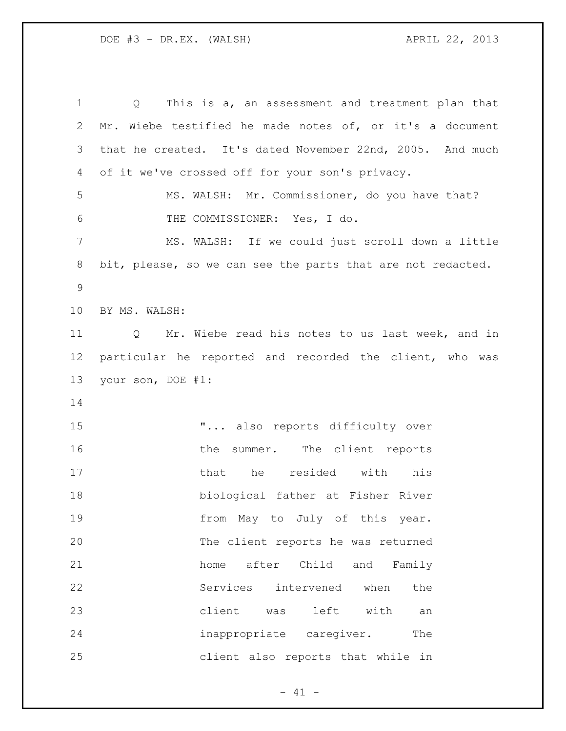Q This is a, an assessment and treatment plan that Mr. Wiebe testified he made notes of, or it's a document that he created. It's dated November 22nd, 2005. And much of it we've crossed off for your son's privacy. MS. WALSH: Mr. Commissioner, do you have that? THE COMMISSIONER: Yes, I do. MS. WALSH: If we could just scroll down a little bit, please, so we can see the parts that are not redacted. BY MS. WALSH: Q Mr. Wiebe read his notes to us last week, and in particular he reported and recorded the client, who was your son, DOE #1: **"...** also reports difficulty over 16 the summer. The client reports 17 that he resided with his biological father at Fisher River **from May to July of this year.**  The client reports he was returned home after Child and Family Services intervened when the client was left with an **inappropriate** caregiver. The client also reports that while in

 $- 41 -$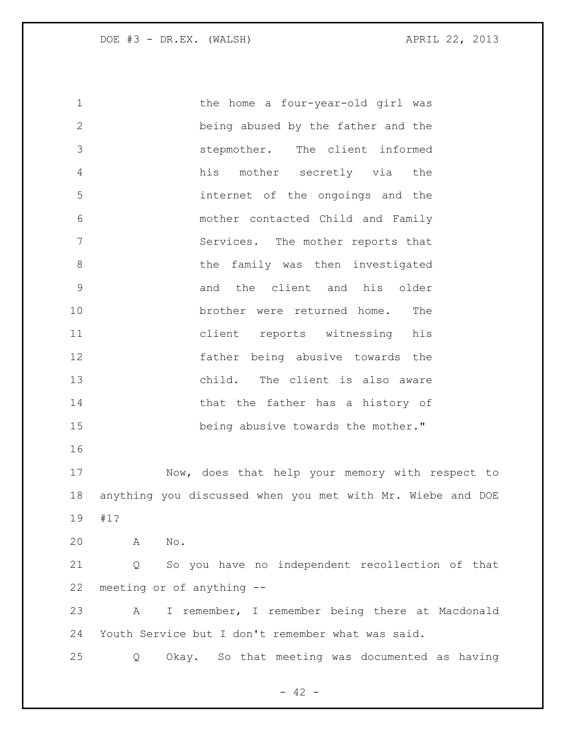1 the home a four-year-old girl was being abused by the father and the stepmother. The client informed his mother secretly via the internet of the ongoings and the mother contacted Child and Family Services. The mother reports that 8 b the family was then investigated and the client and his older brother were returned home. The client reports witnessing his father being abusive towards the child. The client is also aware 14 that the father has a history of 15 being abusive towards the mother." Now, does that help your memory with respect to anything you discussed when you met with Mr. Wiebe and DOE #1? A No. Q So you have no independent recollection of that meeting or of anything -- A I remember, I remember being there at Macdonald Youth Service but I don't remember what was said. Q Okay. So that meeting was documented as having

 $- 42 -$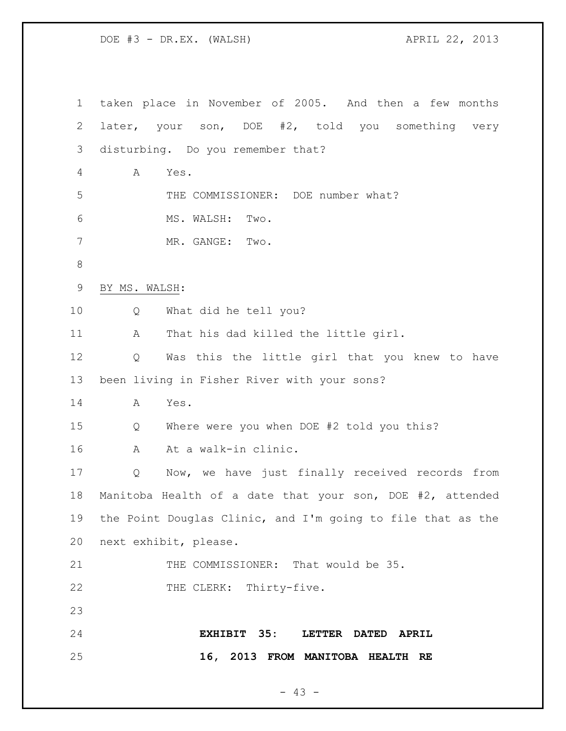| $\mathbf 1$ | taken place in November of 2005. And then a few months      |
|-------------|-------------------------------------------------------------|
| 2           | later, your son, DOE #2, told you something very            |
| 3           | disturbing. Do you remember that?                           |
| 4           | Α<br>Yes.                                                   |
| 5           | THE COMMISSIONER: DOE number what?                          |
| 6           | MS. WALSH:<br>Two.                                          |
| 7           | MR. GANGE: Two.                                             |
| $\,8\,$     |                                                             |
| 9           | BY MS. WALSH:                                               |
| 10          | What did he tell you?<br>Q                                  |
| 11          | That his dad killed the little girl.<br>A                   |
| 12          | Was this the little girl that you knew to have<br>Q         |
| 13          | been living in Fisher River with your sons?                 |
| 14          | Yes.<br>A                                                   |
| 15          | Where were you when DOE #2 told you this?<br>Q              |
| 16          | At a walk-in clinic.<br>A                                   |
| 17          | Now, we have just finally received records from<br>Q        |
| 18          | Manitoba Health of a date that your son, DOE #2, attended   |
| 19          | the Point Douglas Clinic, and I'm going to file that as the |
| 20          | next exhibit, please.                                       |
| 21          | THE COMMISSIONER: That would be 35.                         |
| 22          | THE CLERK: Thirty-five.                                     |
| 23          |                                                             |
| 24          | EXHIBIT 35:<br>LETTER DATED APRIL                           |
| 25          | 16, 2013 FROM MANITOBA HEALTH RE                            |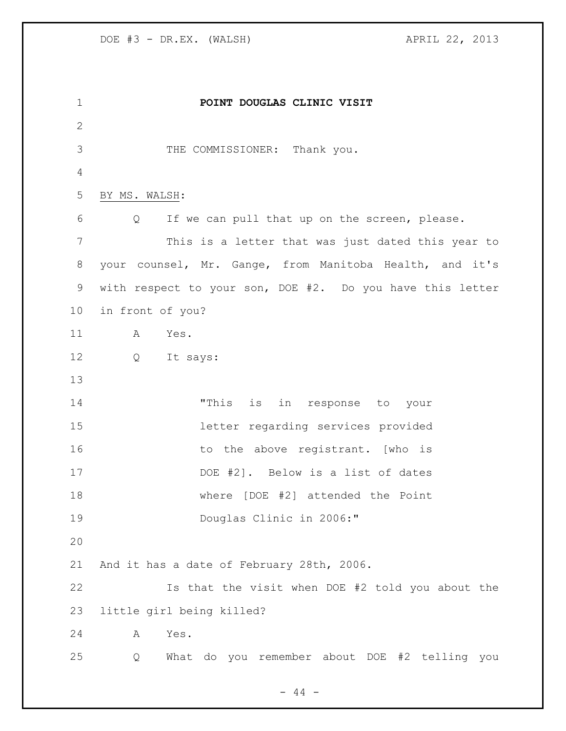**POINT DOUGLAS CLINIC VISIT** THE COMMISSIONER: Thank you. BY MS. WALSH: Q If we can pull that up on the screen, please. This is a letter that was just dated this year to your counsel, Mr. Gange, from Manitoba Health, and it's with respect to your son, DOE #2. Do you have this letter in front of you? A Yes. Q It says: "This is in response to your letter regarding services provided 16 to the above registrant. [who is DOE #2]. Below is a list of dates where [DOE #2] attended the Point Douglas Clinic in 2006:" And it has a date of February 28th, 2006. Is that the visit when DOE #2 told you about the little girl being killed? A Yes. Q What do you remember about DOE #2 telling you

- 44 -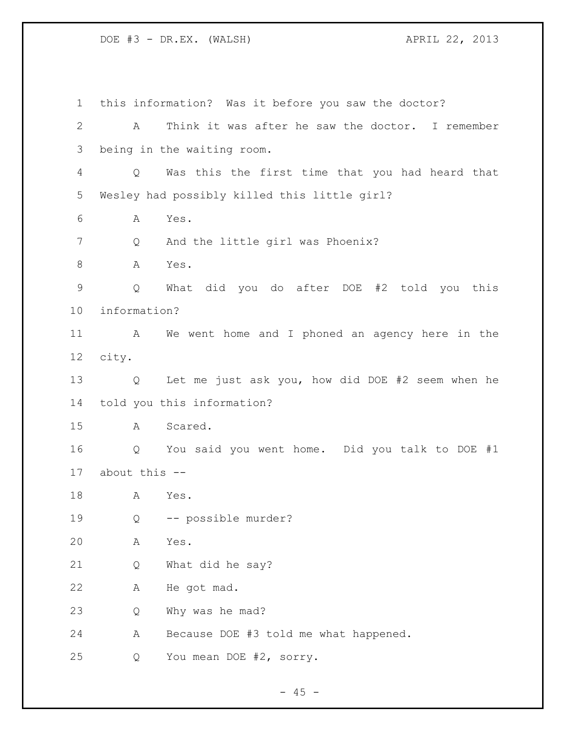this information? Was it before you saw the doctor? A Think it was after he saw the doctor. I remember being in the waiting room. Q Was this the first time that you had heard that Wesley had possibly killed this little girl? A Yes. 7 Q And the little girl was Phoenix? 8 A Yes. Q What did you do after DOE #2 told you this information? A We went home and I phoned an agency here in the city. Q Let me just ask you, how did DOE #2 seem when he told you this information? A Scared. Q You said you went home. Did you talk to DOE #1 about this -- A Yes. Q -- possible murder? A Yes. Q What did he say? A He got mad. Q Why was he mad? A Because DOE #3 told me what happened. Q You mean DOE #2, sorry.

 $- 45 -$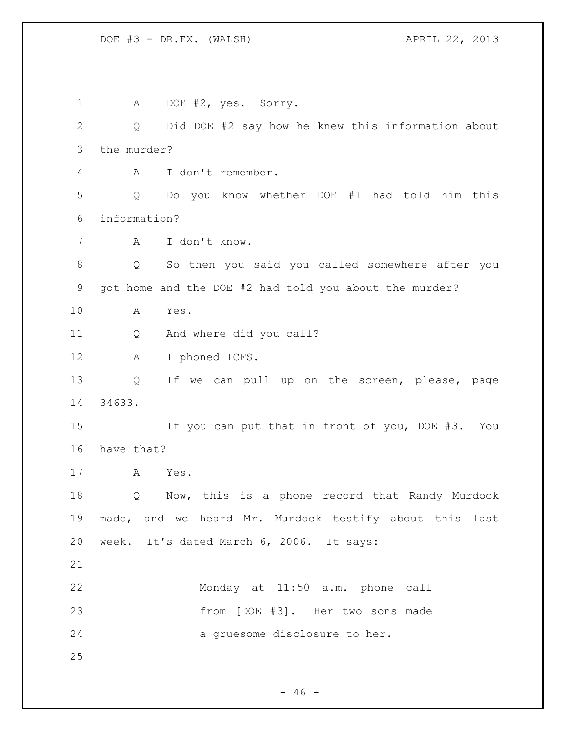1 A DOE #2, yes. Sorry. Q Did DOE #2 say how he knew this information about the murder? A I don't remember. Q Do you know whether DOE #1 had told him this information? A I don't know. Q So then you said you called somewhere after you got home and the DOE #2 had told you about the murder? A Yes. Q And where did you call? A I phoned ICFS. Q If we can pull up on the screen, please, page 34633. If you can put that in front of you, DOE #3. You have that? A Yes. Q Now, this is a phone record that Randy Murdock made, and we heard Mr. Murdock testify about this last week. It's dated March 6, 2006. It says: Monday at 11:50 a.m. phone call from [DOE #3]. Her two sons made a gruesome disclosure to her. 

 $- 46 -$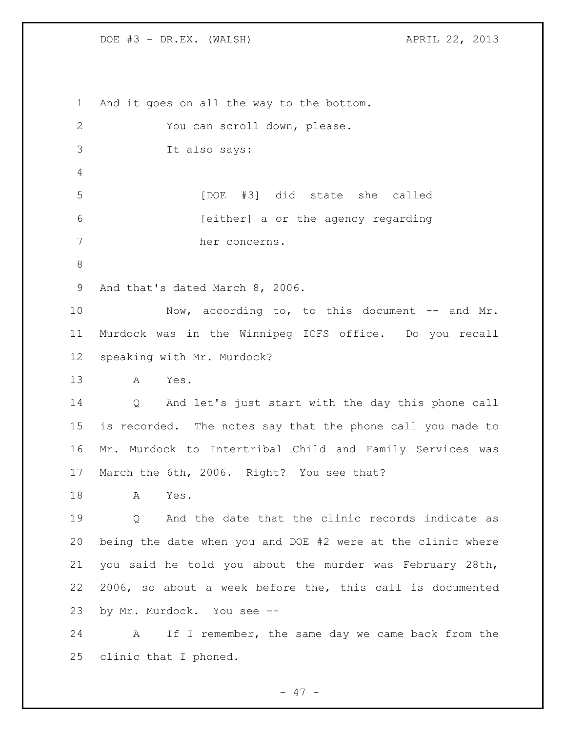clinic that I phoned.

 And it goes on all the way to the bottom. You can scroll down, please. It also says: [DOE #3] did state she called [either] a or the agency regarding her concerns. And that's dated March 8, 2006. 10 Now, according to, to this document -- and Mr. Murdock was in the Winnipeg ICFS office. Do you recall speaking with Mr. Murdock? A Yes. Q And let's just start with the day this phone call is recorded. The notes say that the phone call you made to Mr. Murdock to Intertribal Child and Family Services was March the 6th, 2006. Right? You see that? A Yes. Q And the date that the clinic records indicate as being the date when you and DOE #2 were at the clinic where you said he told you about the murder was February 28th, 2006, so about a week before the, this call is documented by Mr. Murdock. You see -- A If I remember, the same day we came back from the

- 47 -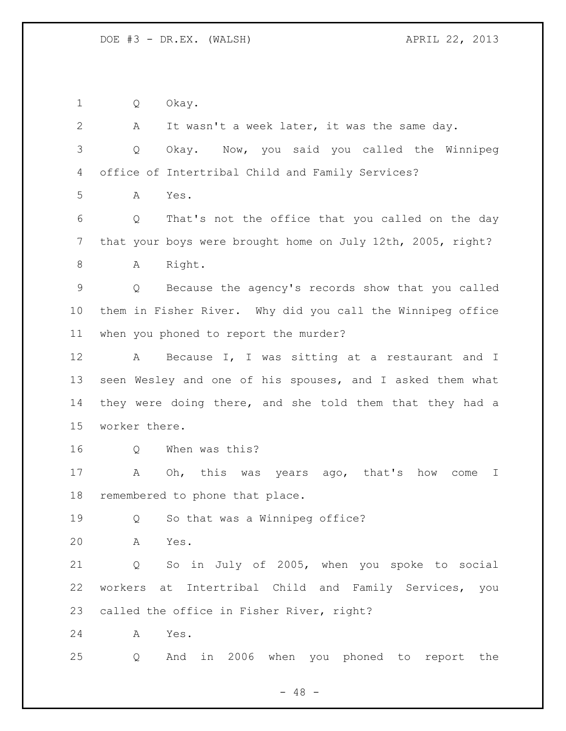Q Okay.

 A It wasn't a week later, it was the same day. Q Okay. Now, you said you called the Winnipeg office of Intertribal Child and Family Services? A Yes. Q That's not the office that you called on the day that your boys were brought home on July 12th, 2005, right? 8 A Right. Q Because the agency's records show that you called them in Fisher River. Why did you call the Winnipeg office when you phoned to report the murder? 12 A Because I, I was sitting at a restaurant and I seen Wesley and one of his spouses, and I asked them what they were doing there, and she told them that they had a worker there. Q When was this? A Oh, this was years ago, that's how come I remembered to phone that place. 19 Q So that was a Winnipeg office? A Yes. Q So in July of 2005, when you spoke to social workers at Intertribal Child and Family Services, you called the office in Fisher River, right? A Yes. Q And in 2006 when you phoned to report the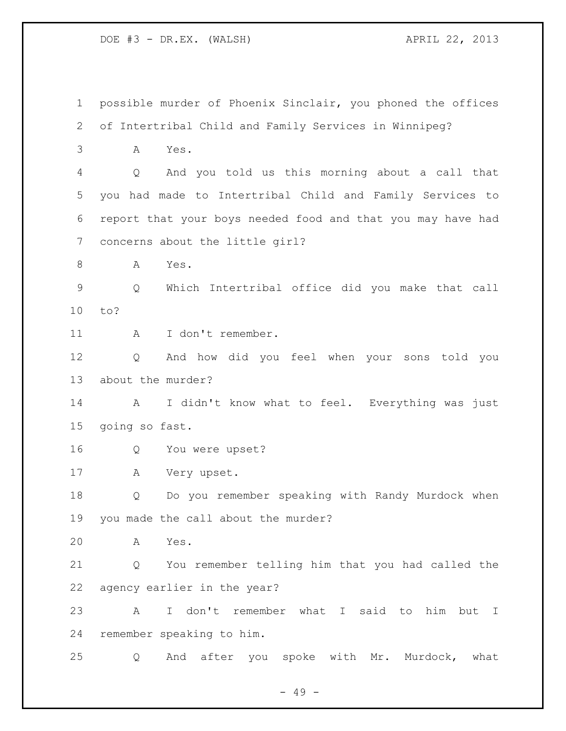possible murder of Phoenix Sinclair, you phoned the offices of Intertribal Child and Family Services in Winnipeg? A Yes. Q And you told us this morning about a call that you had made to Intertribal Child and Family Services to report that your boys needed food and that you may have had concerns about the little girl? A Yes. Q Which Intertribal office did you make that call to? 11 A I don't remember. Q And how did you feel when your sons told you about the murder? A I didn't know what to feel. Everything was just going so fast. Q You were upset? A Very upset. Q Do you remember speaking with Randy Murdock when you made the call about the murder? A Yes. Q You remember telling him that you had called the agency earlier in the year? A I don't remember what I said to him but I remember speaking to him. Q And after you spoke with Mr. Murdock, what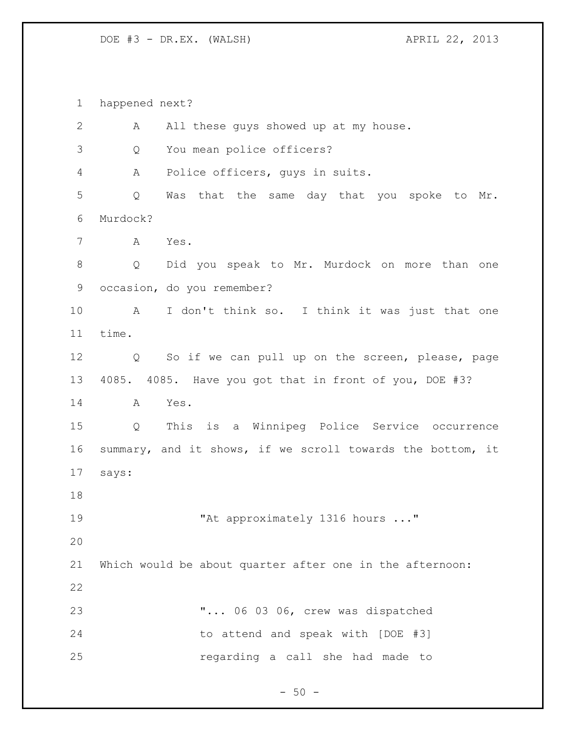happened next?

| $\overline{2}$ | All these guys showed up at my house.<br>А                 |
|----------------|------------------------------------------------------------|
| 3              | You mean police officers?<br>Q                             |
| 4              | Police officers, guys in suits.<br>Α                       |
| 5              | Was that the same day that you spoke to Mr.<br>Q           |
| 6              | Murdock?                                                   |
| $7\phantom{.}$ | Yes.<br>Α                                                  |
| $8\,$          | Did you speak to Mr. Murdock on more than one<br>Q         |
| 9              | occasion, do you remember?                                 |
| 10             | I don't think so. I think it was just that one<br>A        |
| 11             | time.                                                      |
| 12             | So if we can pull up on the screen, please, page<br>Q      |
| 13             | 4085. 4085. Have you got that in front of you, DOE #3?     |
| 14             | A<br>Yes.                                                  |
| 15             | This is a Winnipeg Police Service occurrence<br>Q          |
| 16             | summary, and it shows, if we scroll towards the bottom, it |
| 17             | says:                                                      |
| 18             |                                                            |
| 19             | "At approximately 1316 hours "                             |
| 20             |                                                            |
| 21             | Which would be about quarter after one in the afternoon:   |
| 22             |                                                            |
| 23             | " 06 03 06, crew was dispatched                            |
| 24             | to attend and speak with [DOE #3]                          |
| 25             | regarding a call she had made to                           |

- 50 -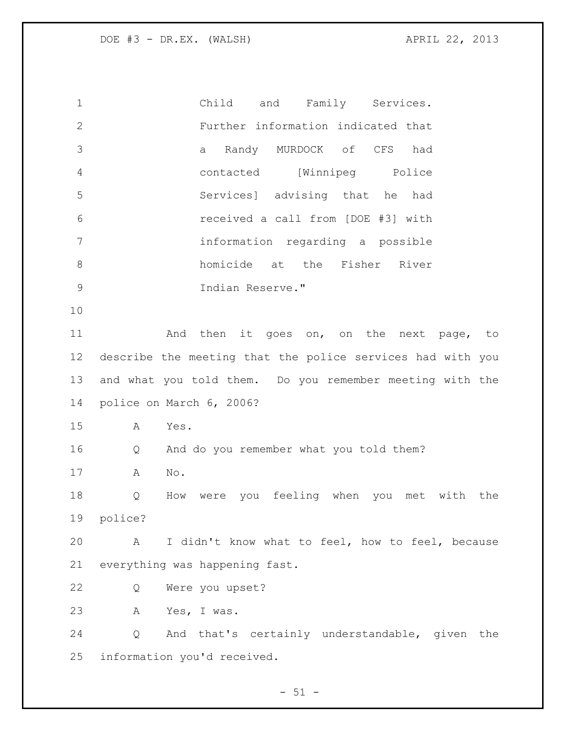Child and Family Services. Further information indicated that a Randy MURDOCK of CFS had contacted [Winnipeg Police Services] advising that he had received a call from [DOE #3] with information regarding a possible homicide at the Fisher River Indian Reserve." 11 and then it goes on, on the next page, to describe the meeting that the police services had with you and what you told them. Do you remember meeting with the police on March 6, 2006? A Yes. Q And do you remember what you told them? A No. Q How were you feeling when you met with the police? A I didn't know what to feel, how to feel, because everything was happening fast. Q Were you upset? A Yes, I was. Q And that's certainly understandable, given the information you'd received.

 $- 51 -$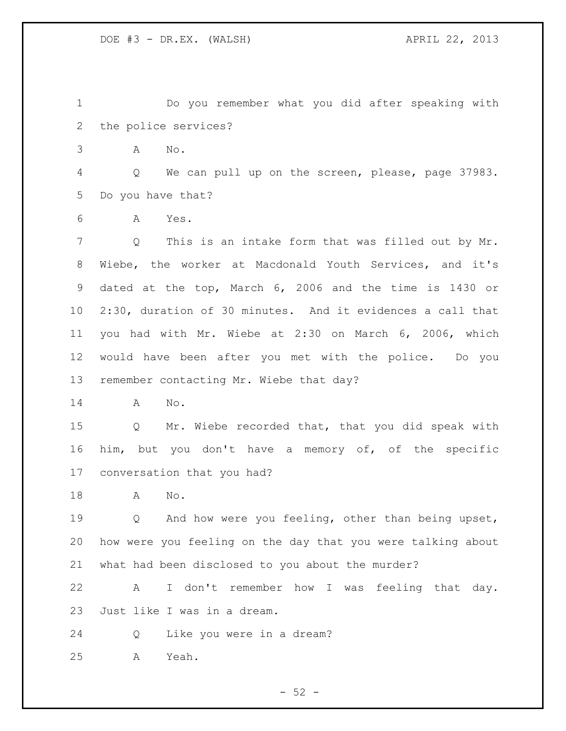Do you remember what you did after speaking with the police services?

A No.

 Q We can pull up on the screen, please, page 37983. Do you have that?

A Yes.

 Q This is an intake form that was filled out by Mr. Wiebe, the worker at Macdonald Youth Services, and it's dated at the top, March 6, 2006 and the time is 1430 or 2:30, duration of 30 minutes. And it evidences a call that you had with Mr. Wiebe at 2:30 on March 6, 2006, which would have been after you met with the police. Do you remember contacting Mr. Wiebe that day?

A No.

 Q Mr. Wiebe recorded that, that you did speak with him, but you don't have a memory of, of the specific conversation that you had?

A No.

 Q And how were you feeling, other than being upset, how were you feeling on the day that you were talking about what had been disclosed to you about the murder?

 A I don't remember how I was feeling that day. Just like I was in a dream.

Q Like you were in a dream?

A Yeah.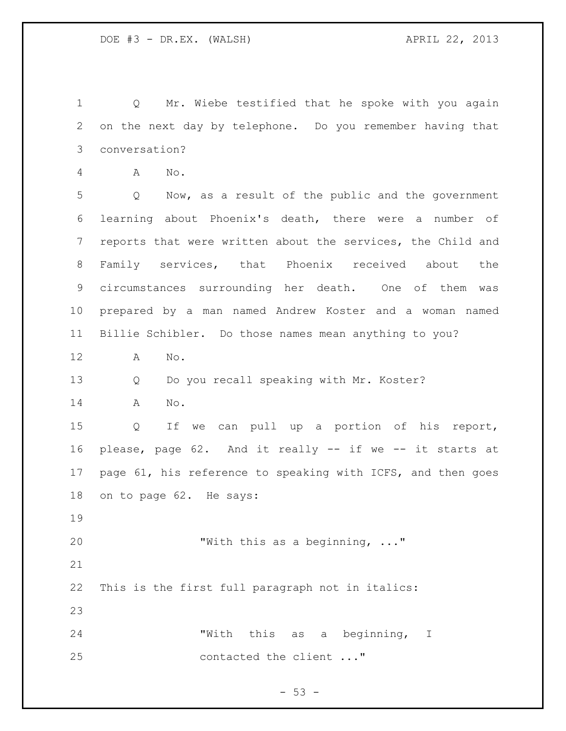Q Mr. Wiebe testified that he spoke with you again on the next day by telephone. Do you remember having that conversation?

A No.

 Q Now, as a result of the public and the government learning about Phoenix's death, there were a number of reports that were written about the services, the Child and Family services, that Phoenix received about the circumstances surrounding her death. One of them was prepared by a man named Andrew Koster and a woman named Billie Schibler. Do those names mean anything to you?

A No.

Q Do you recall speaking with Mr. Koster?

A No.

 Q If we can pull up a portion of his report, please, page 62. And it really -- if we -- it starts at page 61, his reference to speaking with ICFS, and then goes on to page 62. He says:

"With this as a beginning, ..."

This is the first full paragraph not in italics:

 "With this as a beginning, I contacted the client ..."

 $-53 -$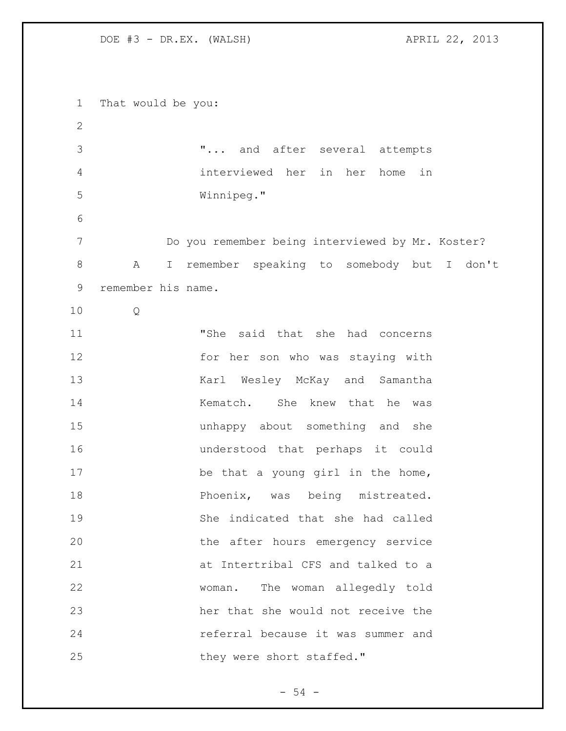That would be you: "... and after several attempts interviewed her in her home in Winnipeg." Do you remember being interviewed by Mr. Koster? A I remember speaking to somebody but I don't remember his name. Q "She said that she had concerns for her son who was staying with 13 Karl Wesley McKay and Samantha 14 Kematch. She knew that he was unhappy about something and she understood that perhaps it could 17 be that a young girl in the home, **Phoenix**, was being mistreated. She indicated that she had called the after hours emergency service at Intertribal CFS and talked to a woman. The woman allegedly told her that she would not receive the referral because it was summer and 25 they were short staffed."

 $-54 -$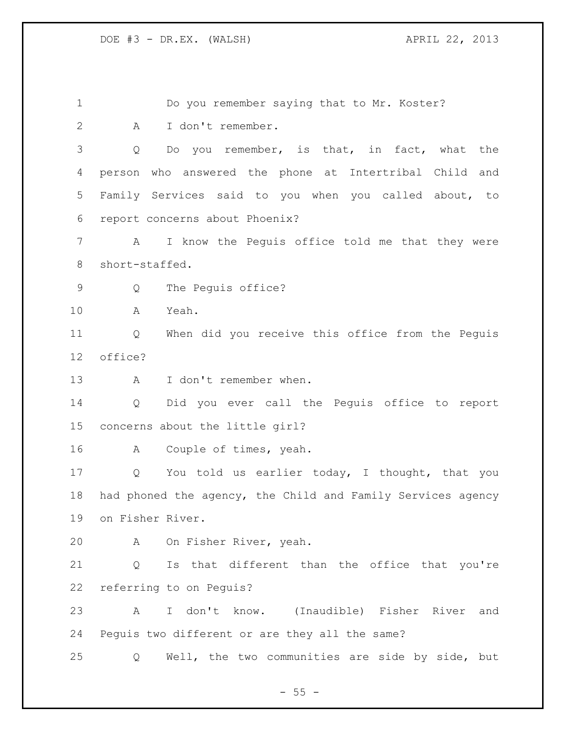1 Do you remember saying that to Mr. Koster? A I don't remember. Q Do you remember, is that, in fact, what the person who answered the phone at Intertribal Child and Family Services said to you when you called about, to report concerns about Phoenix? A I know the Peguis office told me that they were short-staffed. Q The Peguis office? A Yeah. Q When did you receive this office from the Peguis office? A I don't remember when. Q Did you ever call the Peguis office to report concerns about the little girl? A Couple of times, yeah. Q You told us earlier today, I thought, that you had phoned the agency, the Child and Family Services agency on Fisher River. A On Fisher River, yeah. Q Is that different than the office that you're referring to on Peguis? A I don't know. (Inaudible) Fisher River and Peguis two different or are they all the same? Q Well, the two communities are side by side, but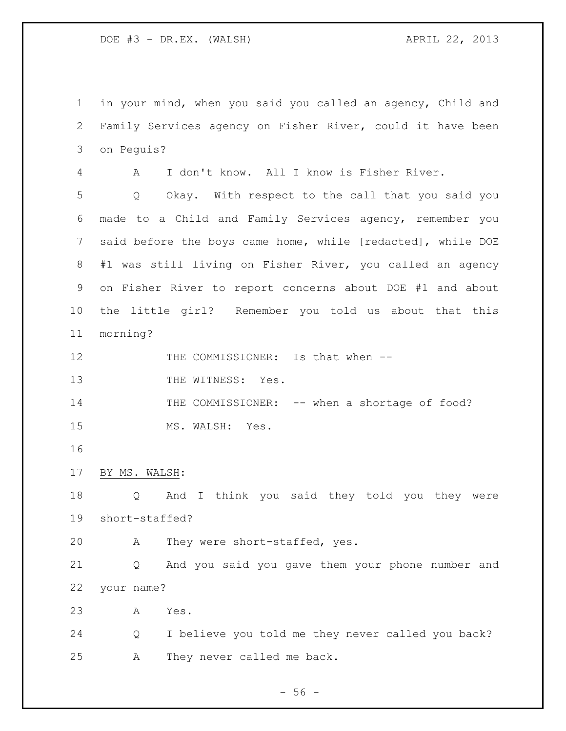in your mind, when you said you called an agency, Child and Family Services agency on Fisher River, could it have been on Peguis?

 A I don't know. All I know is Fisher River. Q Okay. With respect to the call that you said you made to a Child and Family Services agency, remember you said before the boys came home, while [redacted], while DOE #1 was still living on Fisher River, you called an agency on Fisher River to report concerns about DOE #1 and about the little girl? Remember you told us about that this morning?

12 THE COMMISSIONER: Is that when --

13 THE WITNESS: Yes.

14 THE COMMISSIONER: -- when a shortage of food? 15 MS. WALSH: Yes.

```
17 BY MS. WALSH:
```
 Q And I think you said they told you they were short-staffed?

A They were short-staffed, yes.

 Q And you said you gave them your phone number and your name?

A Yes.

 Q I believe you told me they never called you back? A They never called me back.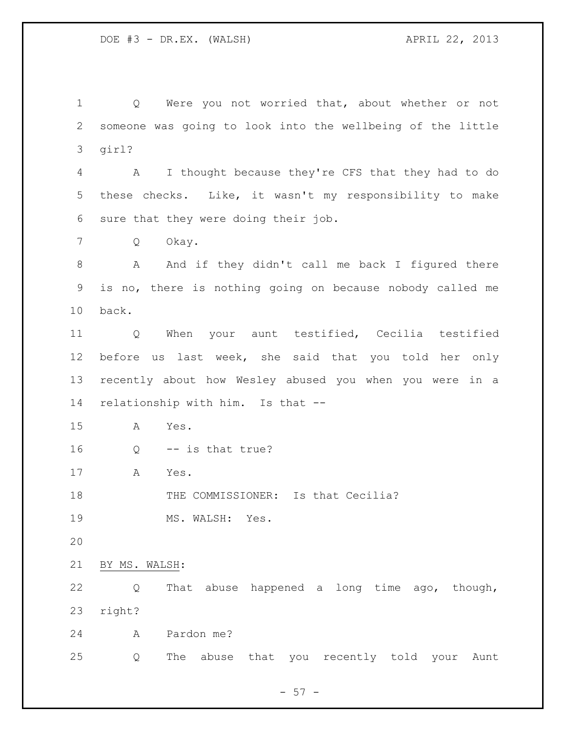Q Were you not worried that, about whether or not someone was going to look into the wellbeing of the little girl?

 A I thought because they're CFS that they had to do these checks. Like, it wasn't my responsibility to make sure that they were doing their job.

Q Okay.

8 A And if they didn't call me back I figured there is no, there is nothing going on because nobody called me back.

 Q When your aunt testified, Cecilia testified before us last week, she said that you told her only recently about how Wesley abused you when you were in a relationship with him. Is that --

A Yes.

Q -- is that true?

A Yes.

18 THE COMMISSIONER: Is that Cecilia?

19 MS. WALSH: Yes.

BY MS. WALSH:

 Q That abuse happened a long time ago, though, right?

A Pardon me?

Q The abuse that you recently told your Aunt

 $-57 -$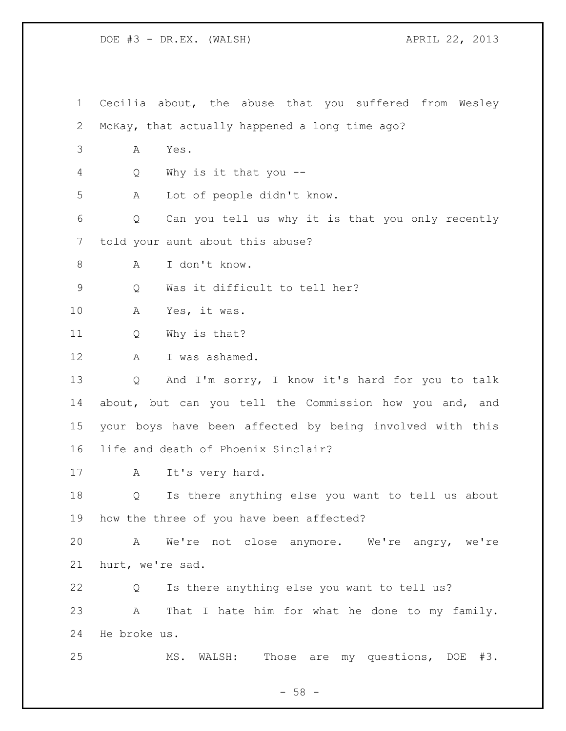Cecilia about, the abuse that you suffered from Wesley McKay, that actually happened a long time ago? A Yes. Q Why is it that you -- A Lot of people didn't know. Q Can you tell us why it is that you only recently told your aunt about this abuse? A I don't know. Q Was it difficult to tell her? A Yes, it was. Q Why is that? 12 A I was ashamed. Q And I'm sorry, I know it's hard for you to talk about, but can you tell the Commission how you and, and your boys have been affected by being involved with this life and death of Phoenix Sinclair? A It's very hard. Q Is there anything else you want to tell us about how the three of you have been affected? A We're not close anymore. We're angry, we're hurt, we're sad. Q Is there anything else you want to tell us? A That I hate him for what he done to my family. He broke us. MS. WALSH: Those are my questions, DOE #3.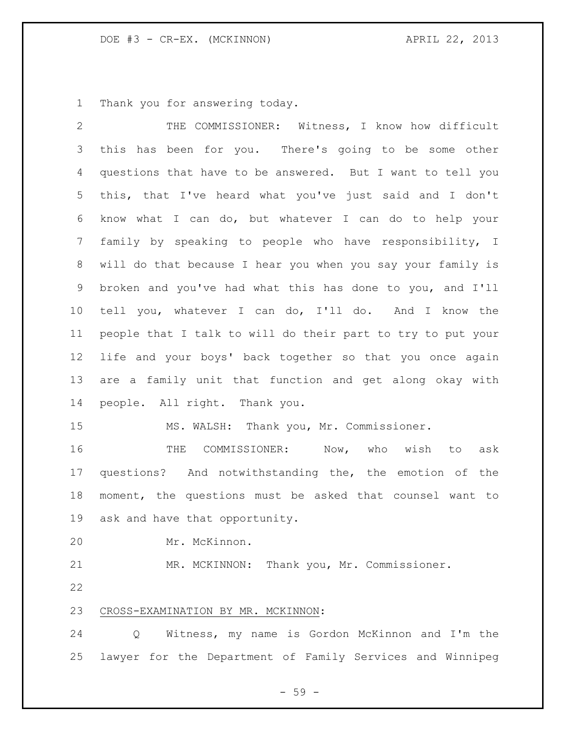Thank you for answering today.

| $\overline{2}$ | THE COMMISSIONER: Witness, I know how difficult             |
|----------------|-------------------------------------------------------------|
| 3              | this has been for you. There's going to be some other       |
| 4              | questions that have to be answered. But I want to tell you  |
| 5              | this, that I've heard what you've just said and I don't     |
| 6              | know what I can do, but whatever I can do to help your      |
| 7              | family by speaking to people who have responsibility, I     |
| 8              | will do that because I hear you when you say your family is |
| 9              | broken and you've had what this has done to you, and I'll   |
| 10             | tell you, whatever I can do, I'll do. And I know the        |
| 11             | people that I talk to will do their part to try to put your |
| 12             | life and your boys' back together so that you once again    |
| 13             | are a family unit that function and get along okay with     |
| 14             | people. All right. Thank you.                               |
| 15             | MS. WALSH: Thank you, Mr. Commissioner.                     |
| 16             | COMMISSIONER: Now, who wish to<br>THE<br>ask                |
| 17             | questions? And notwithstanding the, the emotion of the      |
| 18             | moment, the questions must be asked that counsel want to    |
| 19             | ask and have that opportunity.                              |
| 20             | Mr. McKinnon.                                               |
| 21             | Thank you, Mr. Commissioner.<br>MR. MCKINNON:               |
| 22             |                                                             |
| 23             | CROSS-EXAMINATION BY MR. MCKINNON:                          |
| 24             | Witness, my name is Gordon McKinnon and I'm the<br>Q        |
| 25             | lawyer for the Department of Family Services and Winnipeg   |

- 59 -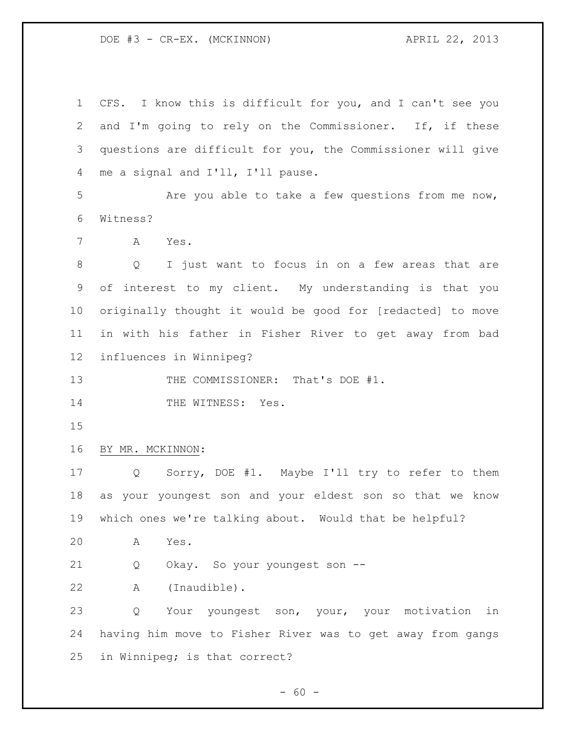CFS. I know this is difficult for you, and I can't see you and I'm going to rely on the Commissioner. If, if these questions are difficult for you, the Commissioner will give me a signal and I'll, I'll pause. Are you able to take a few questions from me now, Witness? A Yes. Q I just want to focus in on a few areas that are of interest to my client. My understanding is that you originally thought it would be good for [redacted] to move in with his father in Fisher River to get away from bad influences in Winnipeg? 13 THE COMMISSIONER: That's DOE #1. 14 THE WITNESS: Yes. BY MR. MCKINNON: Q Sorry, DOE #1. Maybe I'll try to refer to them as your youngest son and your eldest son so that we know which ones we're talking about. Would that be helpful? A Yes. Q Okay. So your youngest son -- A (Inaudible). Q Your youngest son, your, your motivation in having him move to Fisher River was to get away from gangs in Winnipeg; is that correct?

- 60 -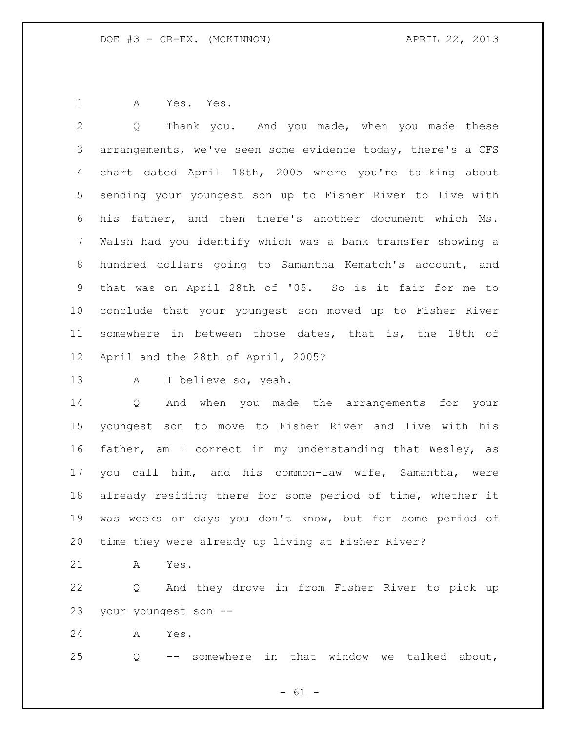A Yes. Yes.

 Q Thank you. And you made, when you made these arrangements, we've seen some evidence today, there's a CFS chart dated April 18th, 2005 where you're talking about sending your youngest son up to Fisher River to live with his father, and then there's another document which Ms. Walsh had you identify which was a bank transfer showing a hundred dollars going to Samantha Kematch's account, and that was on April 28th of '05. So is it fair for me to conclude that your youngest son moved up to Fisher River somewhere in between those dates, that is, the 18th of April and the 28th of April, 2005?

A I believe so, yeah.

 Q And when you made the arrangements for your youngest son to move to Fisher River and live with his father, am I correct in my understanding that Wesley, as you call him, and his common-law wife, Samantha, were already residing there for some period of time, whether it was weeks or days you don't know, but for some period of time they were already up living at Fisher River?

A Yes.

 Q And they drove in from Fisher River to pick up your youngest son --

A Yes.

Q -- somewhere in that window we talked about,

- 61 -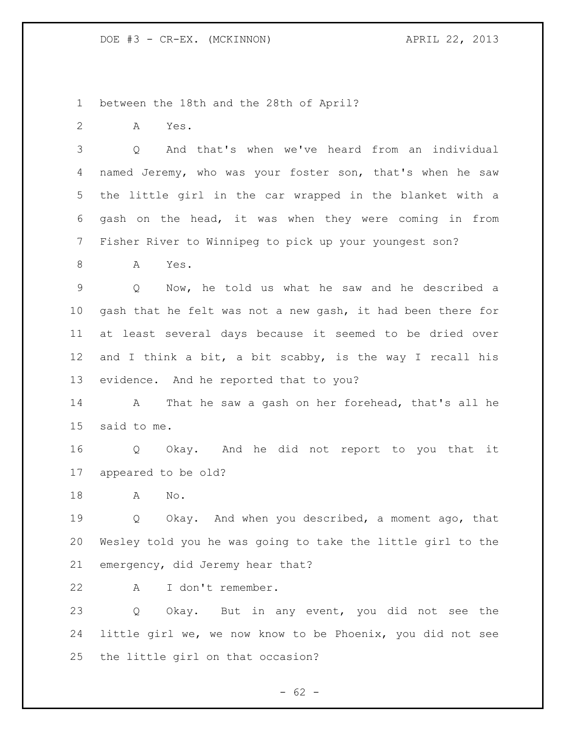between the 18th and the 28th of April?

A Yes.

 Q And that's when we've heard from an individual named Jeremy, who was your foster son, that's when he saw the little girl in the car wrapped in the blanket with a gash on the head, it was when they were coming in from Fisher River to Winnipeg to pick up your youngest son?

A Yes.

 Q Now, he told us what he saw and he described a gash that he felt was not a new gash, it had been there for at least several days because it seemed to be dried over and I think a bit, a bit scabby, is the way I recall his evidence. And he reported that to you?

 A That he saw a gash on her forehead, that's all he said to me.

 Q Okay. And he did not report to you that it appeared to be old?

A No.

 Q Okay. And when you described, a moment ago, that Wesley told you he was going to take the little girl to the emergency, did Jeremy hear that?

A I don't remember.

 Q Okay. But in any event, you did not see the little girl we, we now know to be Phoenix, you did not see the little girl on that occasion?

 $- 62 -$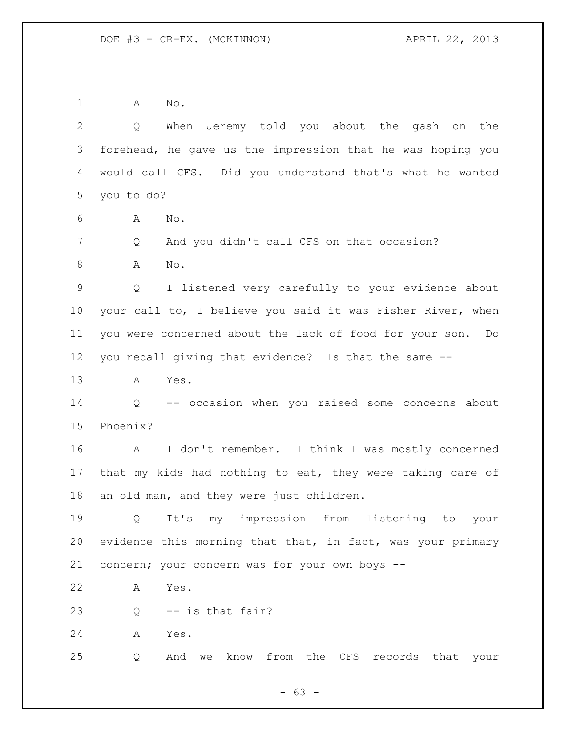A No.

 Q When Jeremy told you about the gash on the forehead, he gave us the impression that he was hoping you would call CFS. Did you understand that's what he wanted you to do?

- A No.
- 7 Q And you didn't call CFS on that occasion?
- 8 A No.

 Q I listened very carefully to your evidence about your call to, I believe you said it was Fisher River, when you were concerned about the lack of food for your son. Do you recall giving that evidence? Is that the same --

A Yes.

 Q -- occasion when you raised some concerns about Phoenix?

 A I don't remember. I think I was mostly concerned that my kids had nothing to eat, they were taking care of an old man, and they were just children.

 Q It's my impression from listening to your evidence this morning that that, in fact, was your primary concern; your concern was for your own boys --

A Yes.

 $23 \qquad \qquad$  0 -- is that fair?

A Yes.

Q And we know from the CFS records that your

 $- 63 -$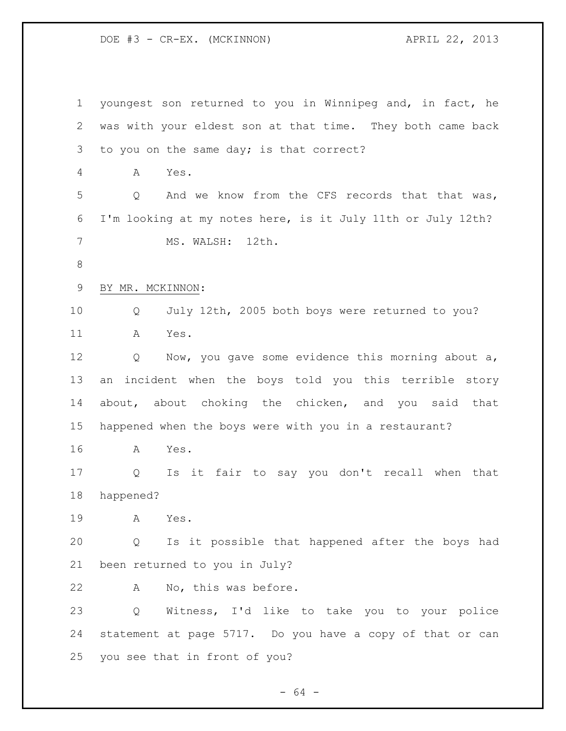youngest son returned to you in Winnipeg and, in fact, he was with your eldest son at that time. They both came back 3 to you on the same day; is that correct? A Yes. Q And we know from the CFS records that that was, I'm looking at my notes here, is it July 11th or July 12th? MS. WALSH: 12th. BY MR. MCKINNON: Q July 12th, 2005 both boys were returned to you? A Yes. Q Now, you gave some evidence this morning about a, an incident when the boys told you this terrible story about, about choking the chicken, and you said that happened when the boys were with you in a restaurant? A Yes. Q Is it fair to say you don't recall when that happened? A Yes. Q Is it possible that happened after the boys had been returned to you in July? A No, this was before. Q Witness, I'd like to take you to your police statement at page 5717. Do you have a copy of that or can you see that in front of you?

- 64 -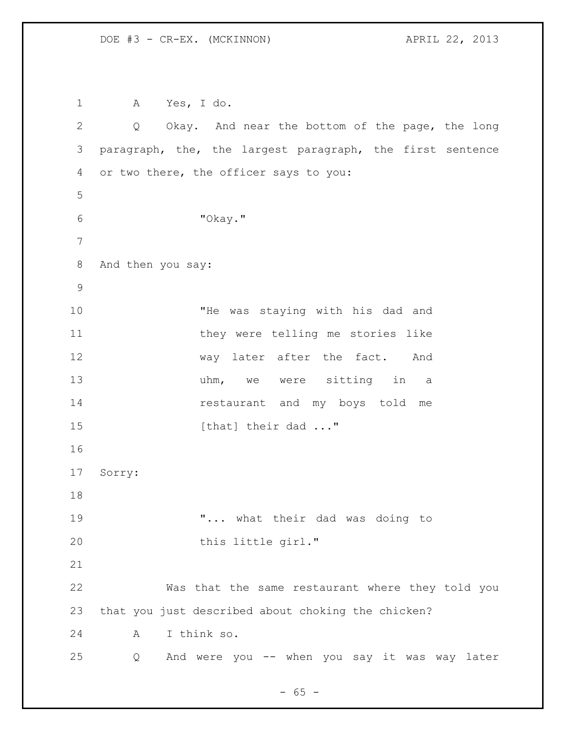A Yes, I do. Q Okay. And near the bottom of the page, the long paragraph, the, the largest paragraph, the first sentence or two there, the officer says to you: "Okay." And then you say: "He was staying with his dad and they were telling me stories like 12 way later after the fact. And 13 uhm, we were sitting in a restaurant and my boys told me 15 [that] their dad ..." Sorry: "... what their dad was doing to 20 this little girl." Was that the same restaurant where they told you that you just described about choking the chicken? A I think so. Q And were you -- when you say it was way later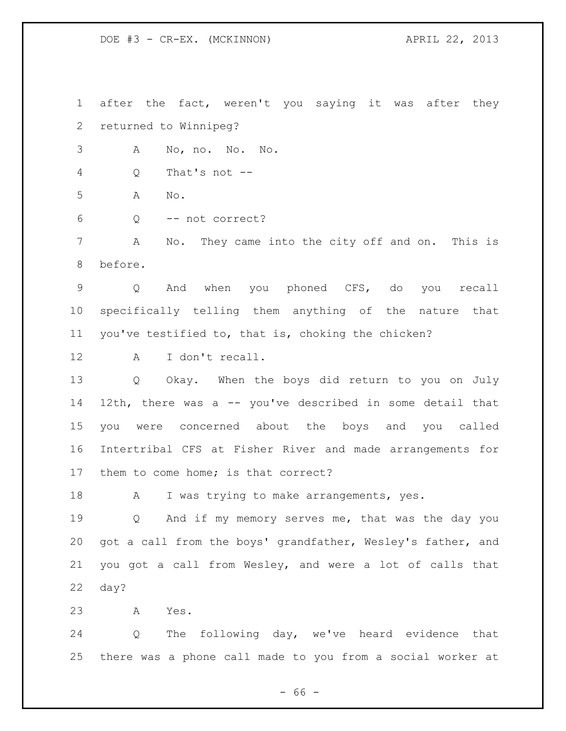$- 66 -$  returned to Winnipeg? A No, no. No. No. Q That's not -- A No. Q -- not correct? A No. They came into the city off and on. This is before. Q And when you phoned CFS, do you recall specifically telling them anything of the nature that you've testified to, that is, choking the chicken? A I don't recall. Q Okay. When the boys did return to you on July 12th, there was a -- you've described in some detail that you were concerned about the boys and you called Intertribal CFS at Fisher River and made arrangements for them to come home; is that correct? 18 A I was trying to make arrangements, yes. Q And if my memory serves me, that was the day you got a call from the boys' grandfather, Wesley's father, and you got a call from Wesley, and were a lot of calls that day? A Yes. Q The following day, we've heard evidence that there was a phone call made to you from a social worker at

after the fact, weren't you saying it was after they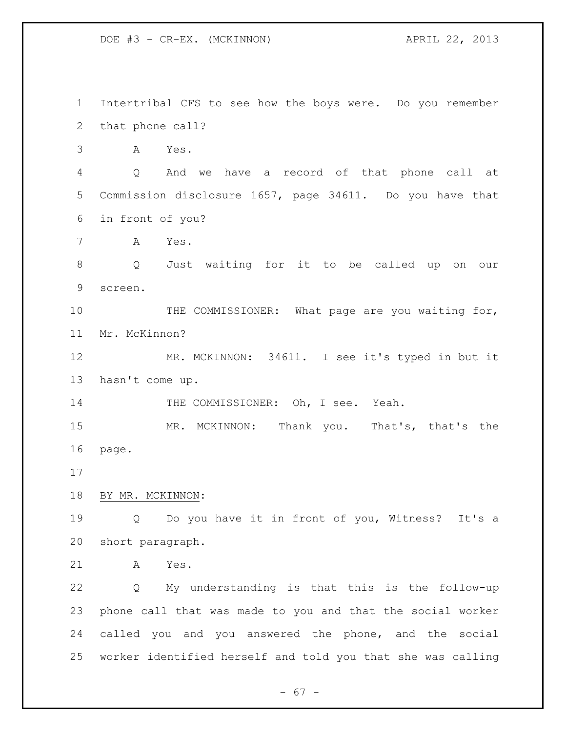Intertribal CFS to see how the boys were. Do you remember that phone call? A Yes. Q And we have a record of that phone call at Commission disclosure 1657, page 34611. Do you have that in front of you? A Yes. Q Just waiting for it to be called up on our screen. 10 THE COMMISSIONER: What page are you waiting for, Mr. McKinnon? MR. MCKINNON: 34611. I see it's typed in but it hasn't come up. 14 THE COMMISSIONER: Oh, I see. Yeah. MR. MCKINNON: Thank you. That's, that's the page. BY MR. MCKINNON: Q Do you have it in front of you, Witness? It's a short paragraph. A Yes. Q My understanding is that this is the follow-up phone call that was made to you and that the social worker called you and you answered the phone, and the social worker identified herself and told you that she was calling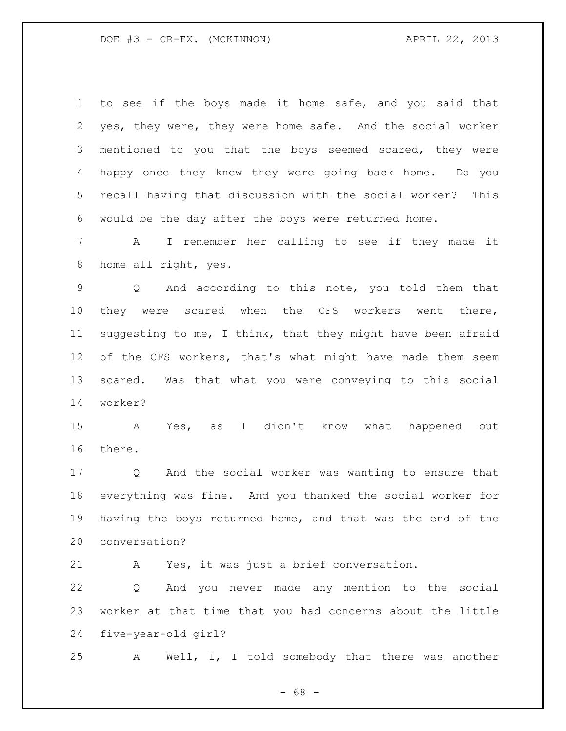| $\mathbf 1$     | to see if the boys made it home safe, and you said that               |
|-----------------|-----------------------------------------------------------------------|
| 2               | yes, they were, they were home safe. And the social worker            |
| 3               | mentioned to you that the boys seemed scared, they were               |
| 4               | happy once they knew they were going back home. Do you                |
| 5               | recall having that discussion with the social worker?<br>This         |
| 6               | would be the day after the boys were returned home.                   |
| $7\phantom{.}$  | I remember her calling to see if they made it<br>$\mathbf{A}$         |
| 8               | home all right, yes.                                                  |
| $\mathsf 9$     | Q And according to this note, you told them that                      |
| 10 <sub>o</sub> | they were scared when the CFS workers went there,                     |
| 11              | suggesting to me, I think, that they might have been afraid           |
| 12              | of the CFS workers, that's what might have made them seem             |
| 13              | Was that what you were conveying to this social<br>scared.            |
| 14              | worker?                                                               |
| 15              | Yes, as I didn't know<br>what<br>happened out<br>A                    |
| 16              | there.                                                                |
| 17              | And the social worker was wanting to ensure that<br>$Q \qquad \qquad$ |
| 18              | everything was fine. And you thanked the social worker for            |
| 19              | having the boys returned home, and that was the end of the            |
| 20              | conversation?                                                         |
| 21              | Yes, it was just a brief conversation.<br>A                           |

 Q And you never made any mention to the social worker at that time that you had concerns about the little five-year-old girl?

A Well, I, I told somebody that there was another

- 68 -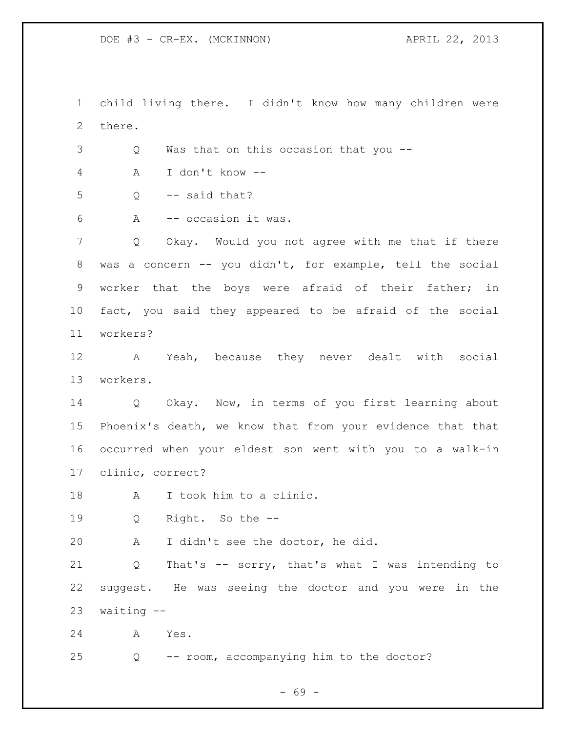child living there. I didn't know how many children were there. Q Was that on this occasion that you -- A I don't know --  $5 \qquad Q \qquad -- \text{ said that?}$  A -- occasion it was. Q Okay. Would you not agree with me that if there was a concern -- you didn't, for example, tell the social worker that the boys were afraid of their father; in fact, you said they appeared to be afraid of the social workers? A Yeah, because they never dealt with social workers. Q Okay. Now, in terms of you first learning about Phoenix's death, we know that from your evidence that that occurred when your eldest son went with you to a walk-in clinic, correct? A I took him to a clinic. Q Right. So the -- A I didn't see the doctor, he did. Q That's -- sorry, that's what I was intending to suggest. He was seeing the doctor and you were in the waiting -- A Yes. Q -- room, accompanying him to the doctor?

- 69 -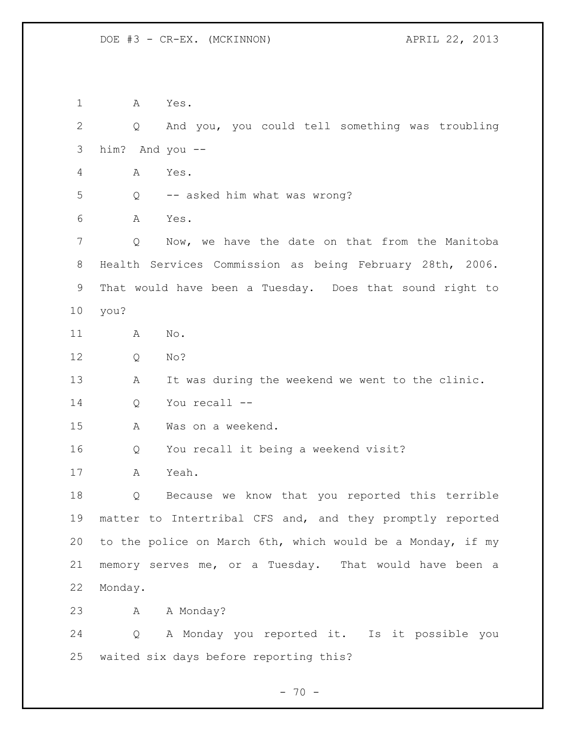A Yes. Q And you, you could tell something was troubling him? And you -- A Yes. Q -- asked him what was wrong? A Yes. Q Now, we have the date on that from the Manitoba Health Services Commission as being February 28th, 2006. That would have been a Tuesday. Does that sound right to you? A No. Q No? A It was during the weekend we went to the clinic. Q You recall -- A Was on a weekend. Q You recall it being a weekend visit? A Yeah. Q Because we know that you reported this terrible matter to Intertribal CFS and, and they promptly reported to the police on March 6th, which would be a Monday, if my memory serves me, or a Tuesday. That would have been a Monday. 23 A A Monday? Q A Monday you reported it. Is it possible you waited six days before reporting this?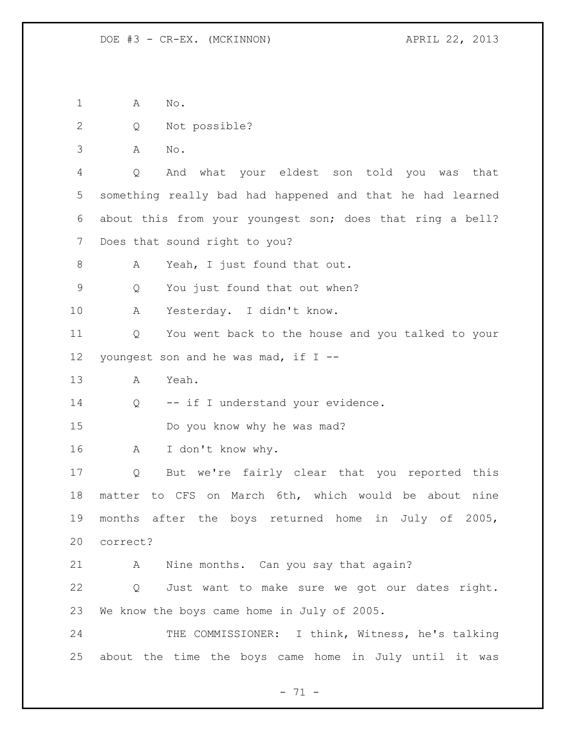A No.

Q Not possible?

A No.

 Q And what your eldest son told you was that something really bad had happened and that he had learned about this from your youngest son; does that ring a bell? Does that sound right to you?

8 A Yeah, I just found that out.

Q You just found that out when?

A Yesterday. I didn't know.

 Q You went back to the house and you talked to your youngest son and he was mad, if I --

A Yeah.

14 Q -- if I understand your evidence.

Do you know why he was mad?

A I don't know why.

 Q But we're fairly clear that you reported this matter to CFS on March 6th, which would be about nine months after the boys returned home in July of 2005, correct?

A Nine months. Can you say that again?

 Q Just want to make sure we got our dates right. We know the boys came home in July of 2005.

24 THE COMMISSIONER: I think, Witness, he's talking about the time the boys came home in July until it was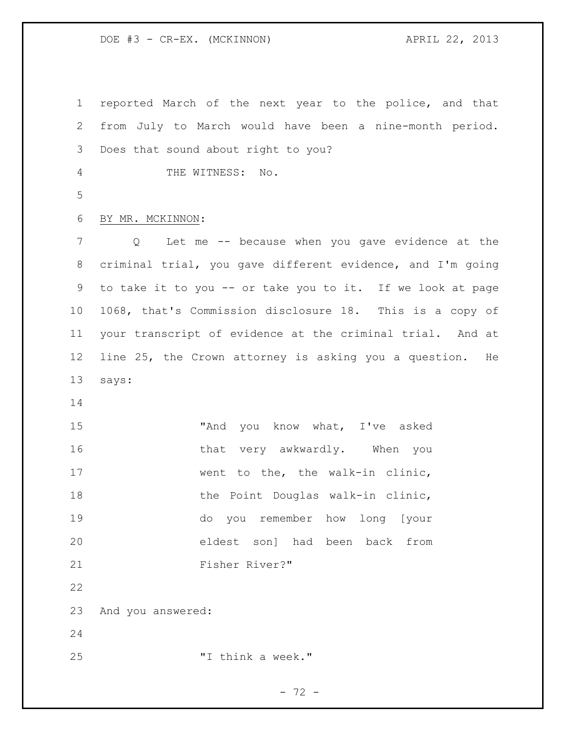DOE #3 - CR-EX. (MCKINNON) APRIL 22, 2013

 reported March of the next year to the police, and that from July to March would have been a nine-month period. Does that sound about right to you? THE WITNESS: No. BY MR. MCKINNON: Q Let me -- because when you gave evidence at the criminal trial, you gave different evidence, and I'm going to take it to you -- or take you to it. If we look at page 1068, that's Commission disclosure 18. This is a copy of your transcript of evidence at the criminal trial. And at line 25, the Crown attorney is asking you a question. He says: 15 "And you know what, I've asked 16 that very awkwardly. When you 17 went to the, the walk-in clinic, 18 the Point Douglas walk-in clinic, do you remember how long [your eldest son] had been back from Fisher River?" And you answered: "I think a week."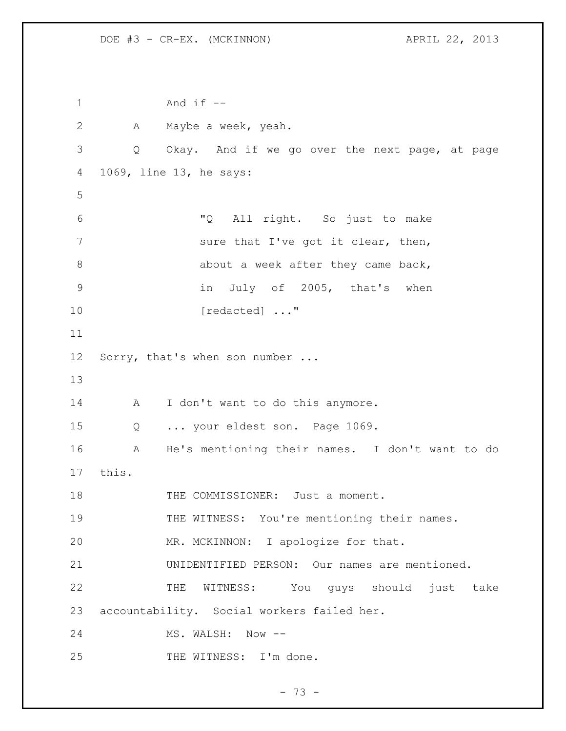1 And if -- 2 A Maybe a week, yeah. 3 Q Okay. And if we go over the next page, at page 4 1069, line 13, he says: 5 6 "Q All right. So just to make 7 sure that I've got it clear, then, 8 about a week after they came back, 9 in July of 2005, that's when 10 [redacted] ..." 11 12 Sorry, that's when son number ... 13 14 A I don't want to do this anymore. 15 Q ... your eldest son. Page 1069. 16 A He's mentioning their names. I don't want to do 17 this. 18 THE COMMISSIONER: Just a moment. 19 THE WITNESS: You're mentioning their names. 20 MR. MCKINNON: I apologize for that. 21 UNIDENTIFIED PERSON: Our names are mentioned. 22 THE WITNESS: You guys should just take 23 accountability. Social workers failed her. 24 MS. WALSH: Now --25 THE WITNESS: I'm done.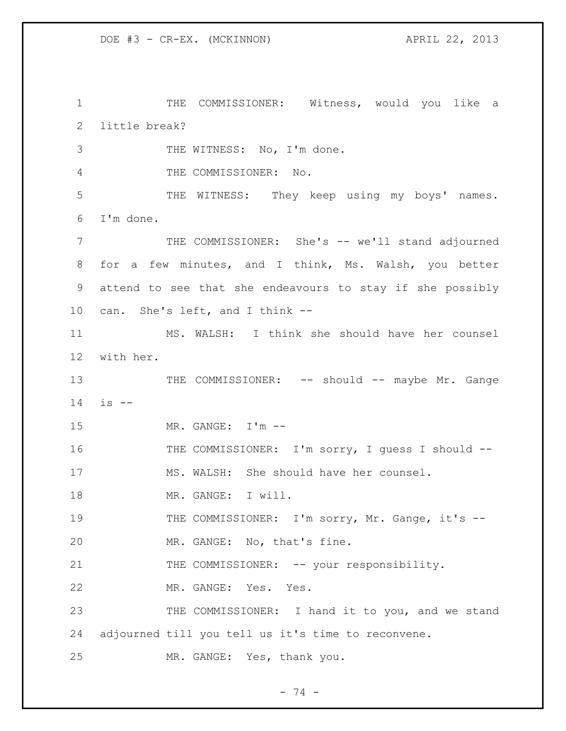THE COMMISSIONER: Witness, would you like a little break? THE WITNESS: No, I'm done. THE COMMISSIONER: No. THE WITNESS: They keep using my boys' names. I'm done. THE COMMISSIONER: She's -- we'll stand adjourned for a few minutes, and I think, Ms. Walsh, you better attend to see that she endeavours to stay if she possibly can. She's left, and I think -- MS. WALSH: I think she should have her counsel with her. 13 THE COMMISSIONER: -- should -- maybe Mr. Gange is -- MR. GANGE: I'm -- 16 THE COMMISSIONER: I'm sorry, I quess I should -- MS. WALSH: She should have her counsel. 18 MR. GANGE: I will. 19 THE COMMISSIONER: I'm sorry, Mr. Gange, it's -- MR. GANGE: No, that's fine. 21 THE COMMISSIONER: -- your responsibility. MR. GANGE: Yes. Yes. THE COMMISSIONER: I hand it to you, and we stand adjourned till you tell us it's time to reconvene. MR. GANGE: Yes, thank you.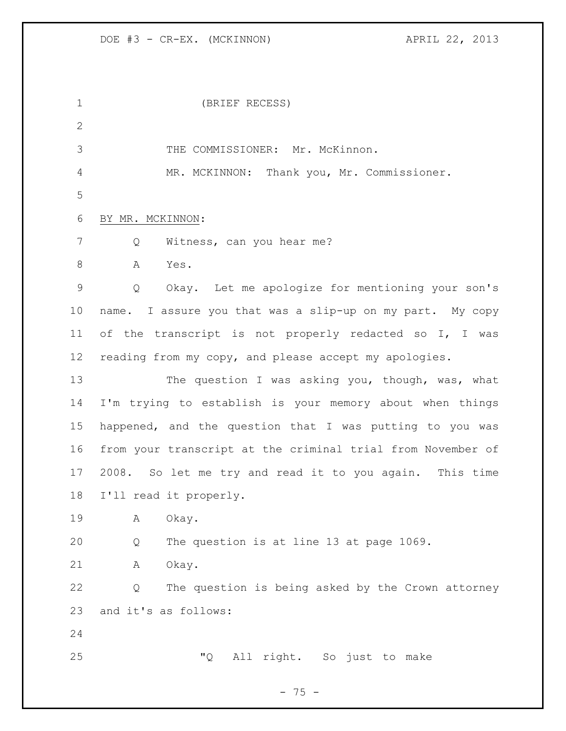DOE #3 - CR-EX. (MCKINNON) APRIL 22, 2013

| $\mathbf 1$  | (BRIEF RECESS)                                              |
|--------------|-------------------------------------------------------------|
| $\mathbf{2}$ |                                                             |
| 3            | THE COMMISSIONER: Mr. McKinnon.                             |
| 4            | MR. MCKINNON: Thank you, Mr. Commissioner.                  |
| 5            |                                                             |
| 6            | BY MR. MCKINNON:                                            |
| 7            | Witness, can you hear me?<br>Q                              |
| 8            | Α<br>Yes.                                                   |
| $\mathsf{S}$ | Okay. Let me apologize for mentioning your son's<br>Q       |
| 10           | name. I assure you that was a slip-up on my part. My copy   |
| 11           | of the transcript is not properly redacted so I, I was      |
| 12           | reading from my copy, and please accept my apologies.       |
| 13           | The question I was asking you, though, was, what            |
| 14           | I'm trying to establish is your memory about when things    |
| 15           | happened, and the question that I was putting to you was    |
| 16           | from your transcript at the criminal trial from November of |
| 17           | 2008. So let me try and read it to you again. This time     |
| 18           | I'll read it properly.                                      |
| 19           | Α<br>Okay.                                                  |
| 20           | The question is at line 13 at page 1069.<br>Q               |
| 21           | Okay.<br>Α                                                  |
| 22           | The question is being asked by the Crown attorney<br>Q      |
| 23           | and it's as follows:                                        |
| 24           |                                                             |
| 25           | "Q"<br>All right. So just to make                           |
|              |                                                             |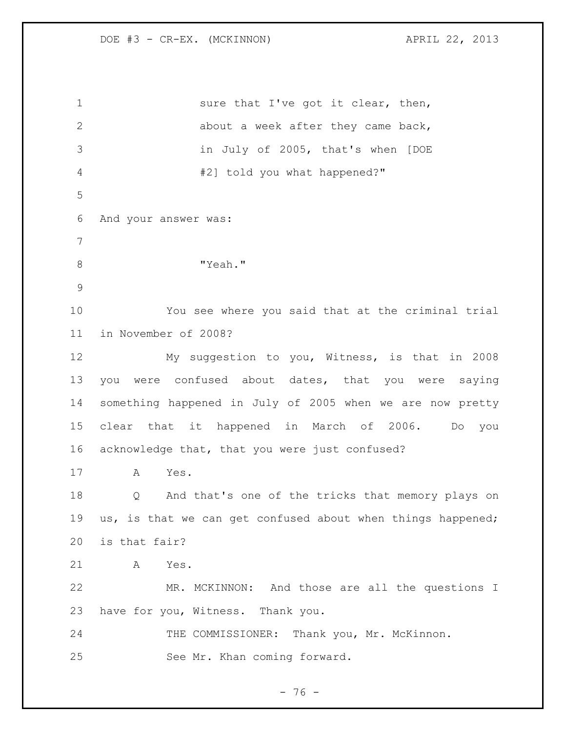1 sure that I've got it clear, then, about a week after they came back, in July of 2005, that's when [DOE #2] told you what happened?" And your answer was: 8 "Yeah." You see where you said that at the criminal trial in November of 2008? My suggestion to you, Witness, is that in 2008 you were confused about dates, that you were saying something happened in July of 2005 when we are now pretty clear that it happened in March of 2006. Do you acknowledge that, that you were just confused? A Yes. Q And that's one of the tricks that memory plays on us, is that we can get confused about when things happened; is that fair? A Yes. MR. MCKINNON: And those are all the questions I have for you, Witness. Thank you. 24 THE COMMISSIONER: Thank you, Mr. McKinnon. See Mr. Khan coming forward.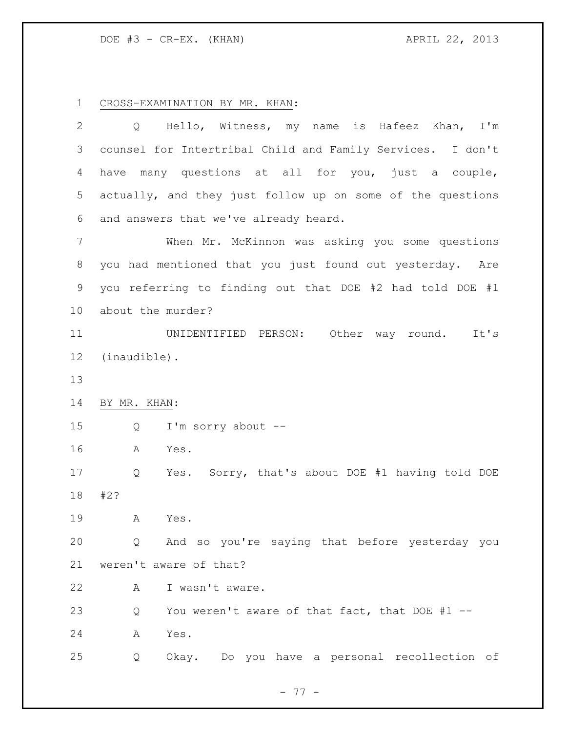DOE #3 - CR-EX. (KHAN) APRIL 22, 2013

CROSS-EXAMINATION BY MR. KHAN:

| $\overline{2}$ | Hello, Witness, my name is Hafeez Khan, I'm<br>$Q \qquad \qquad$ |
|----------------|------------------------------------------------------------------|
| 3              | counsel for Intertribal Child and Family Services. I don't       |
| 4              | have many questions at all for you, just a couple,               |
| 5              | actually, and they just follow up on some of the questions       |
| 6              | and answers that we've already heard.                            |
| 7              | When Mr. McKinnon was asking you some questions                  |
| 8              | you had mentioned that you just found out yesterday. Are         |
| $\mathsf 9$    | you referring to finding out that DOE #2 had told DOE #1         |
| 10             | about the murder?                                                |
| 11             | UNIDENTIFIED PERSON: Other way round.<br>It's                    |
| 12             | (inaudible).                                                     |
| 13             |                                                                  |
| 14             | BY MR. KHAN:                                                     |
| 15             | I'm sorry about --<br>Q                                          |
| 16             | Α<br>Yes.                                                        |
| 17             | Yes. Sorry, that's about DOE #1 having told DOE<br>Q             |
| 18             | #2?                                                              |
| 19             | Α<br>Yes.                                                        |
| 20             | And so you're saying that before yesterday you<br>Q              |
| 21             | weren't aware of that?                                           |
| 22             | I wasn't aware.<br>A                                             |
| 23             | You weren't aware of that fact, that DOE #1 --<br>Q              |
| 24             | Yes.<br>A                                                        |
| 25             | Okay. Do you have a personal recollection of<br>Q                |
|                |                                                                  |

- 77 -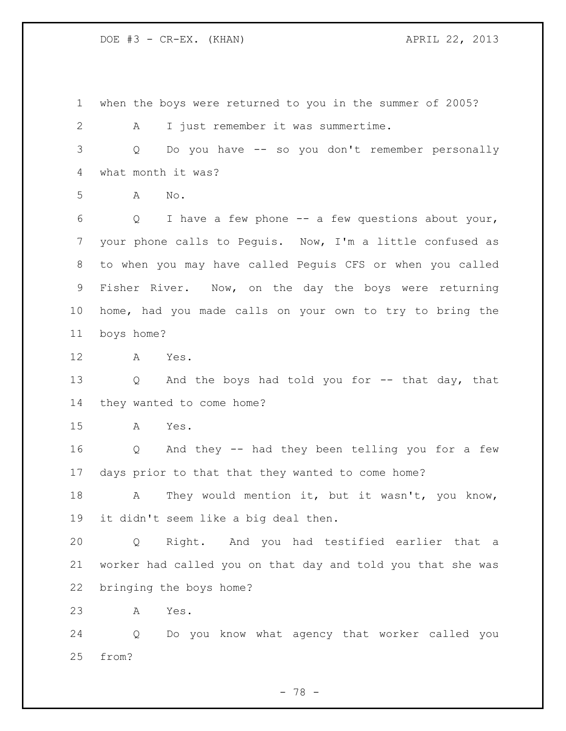DOE #3 - CR-EX. (KHAN) APRIL 22, 2013

 when the boys were returned to you in the summer of 2005? A I just remember it was summertime. Q Do you have -- so you don't remember personally what month it was? A No. Q I have a few phone -- a few questions about your, your phone calls to Peguis. Now, I'm a little confused as to when you may have called Peguis CFS or when you called Fisher River. Now, on the day the boys were returning home, had you made calls on your own to try to bring the boys home? A Yes. Q And the boys had told you for -- that day, that they wanted to come home? A Yes. Q And they -- had they been telling you for a few days prior to that that they wanted to come home? 18 A They would mention it, but it wasn't, you know, it didn't seem like a big deal then. Q Right. And you had testified earlier that a worker had called you on that day and told you that she was bringing the boys home? A Yes. Q Do you know what agency that worker called you from?

- 78 -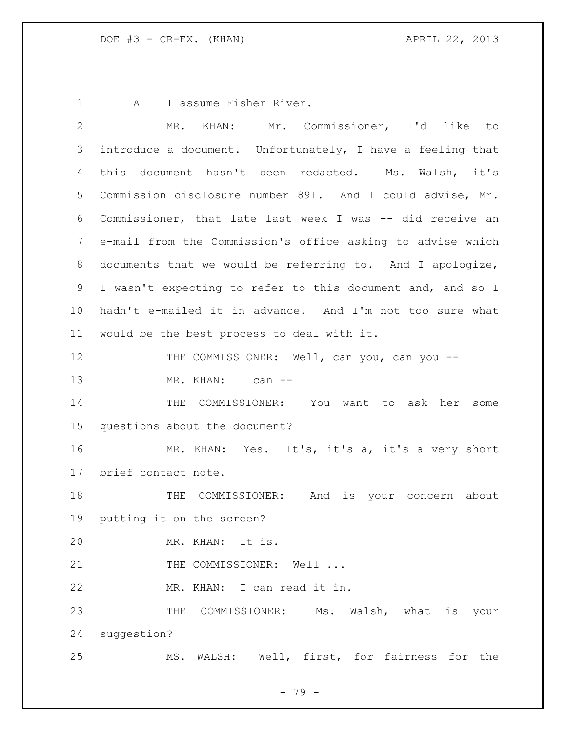1 A I assume Fisher River.

| $\overline{2}$ | MR. KHAN: Mr. Commissioner, I'd like to                    |
|----------------|------------------------------------------------------------|
| 3              | introduce a document. Unfortunately, I have a feeling that |
| 4              | this document hasn't been redacted. Ms. Walsh, it's        |
| 5              | Commission disclosure number 891. And I could advise, Mr.  |
| 6              | Commissioner, that late last week I was -- did receive an  |
| 7              | e-mail from the Commission's office asking to advise which |
| 8              | documents that we would be referring to. And I apologize,  |
| 9              | I wasn't expecting to refer to this document and, and so I |
| 10             | hadn't e-mailed it in advance. And I'm not too sure what   |
| 11             | would be the best process to deal with it.                 |
| 12             | THE COMMISSIONER: Well, can you, can you --                |
| 13             | MR. KHAN: I can --                                         |
| 14             | THE COMMISSIONER: You want to ask her some                 |
| 15             | questions about the document?                              |
| 16             | MR. KHAN: Yes. It's, it's a, it's a very short             |
| 17             | brief contact note.                                        |
| 18             | THE COMMISSIONER: And is your concern about                |
| 19             | putting it on the screen?                                  |
| 20             | MR. KHAN: It is.                                           |
| 21             | THE COMMISSIONER: Well                                     |
| 22             | MR. KHAN: I can read it in.                                |
| 23             | THE COMMISSIONER: Ms. Walsh, what is your                  |
| 24             | suggestion?                                                |
| 25             | MS. WALSH: Well, first, for fairness for the               |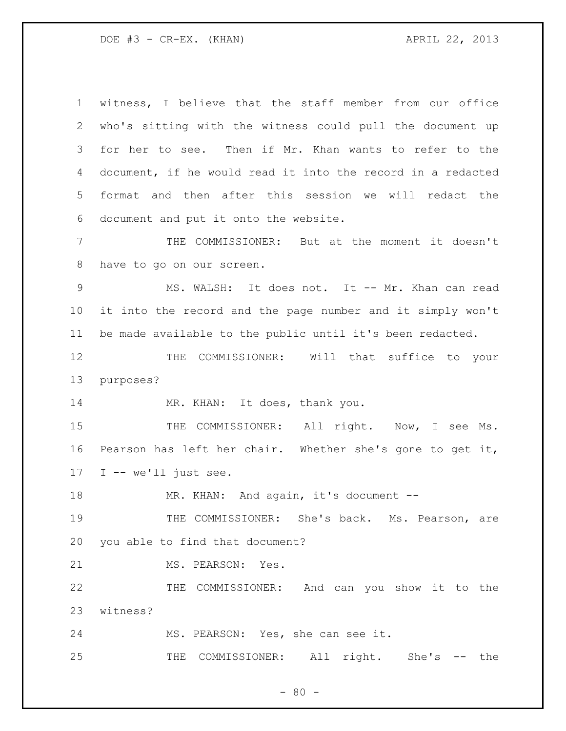DOE #3 - CR-EX. (KHAN) APRIL 22, 2013

 witness, I believe that the staff member from our office who's sitting with the witness could pull the document up for her to see. Then if Mr. Khan wants to refer to the document, if he would read it into the record in a redacted format and then after this session we will redact the document and put it onto the website.

 THE COMMISSIONER: But at the moment it doesn't have to go on our screen.

9 MS. WALSH: It does not. It -- Mr. Khan can read it into the record and the page number and it simply won't be made available to the public until it's been redacted.

 THE COMMISSIONER: Will that suffice to your purposes?

14 MR. KHAN: It does, thank you.

15 THE COMMISSIONER: All right. Now, I see Ms. Pearson has left her chair. Whether she's gone to get it, I -- we'll just see.

MR. KHAN: And again, it's document --

19 THE COMMISSIONER: She's back. Ms. Pearson, are you able to find that document?

MS. PEARSON: Yes.

 THE COMMISSIONER: And can you show it to the witness?

MS. PEARSON: Yes, she can see it.

THE COMMISSIONER: All right. She's -- the

 $- 80 -$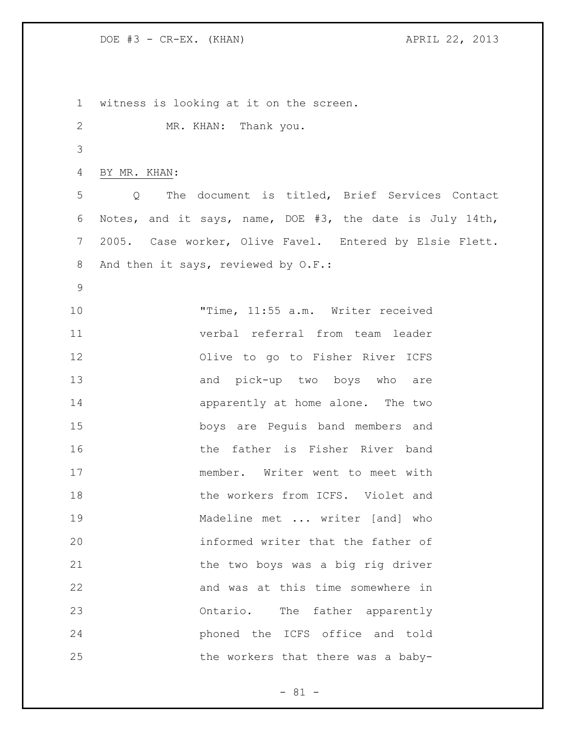DOE #3 - CR-EX. (KHAN) APRIL 22, 2013

 witness is looking at it on the screen. MR. KHAN: Thank you. BY MR. KHAN: Q The document is titled, Brief Services Contact Notes, and it says, name, DOE #3, the date is July 14th, 2005. Case worker, Olive Favel. Entered by Elsie Flett. 8 And then it says, reviewed by O.F.: "Time, 11:55 a.m. Writer received verbal referral from team leader Olive to go to Fisher River ICFS and pick-up two boys who are apparently at home alone. The two boys are Peguis band members and the father is Fisher River band member. Writer went to meet with 18 the workers from ICFS. Violet and Madeline met ... writer [and] who informed writer that the father of 21 the two boys was a big rig driver and was at this time somewhere in Ontario. The father apparently phoned the ICFS office and told 25 the workers that there was a baby-

- 81 -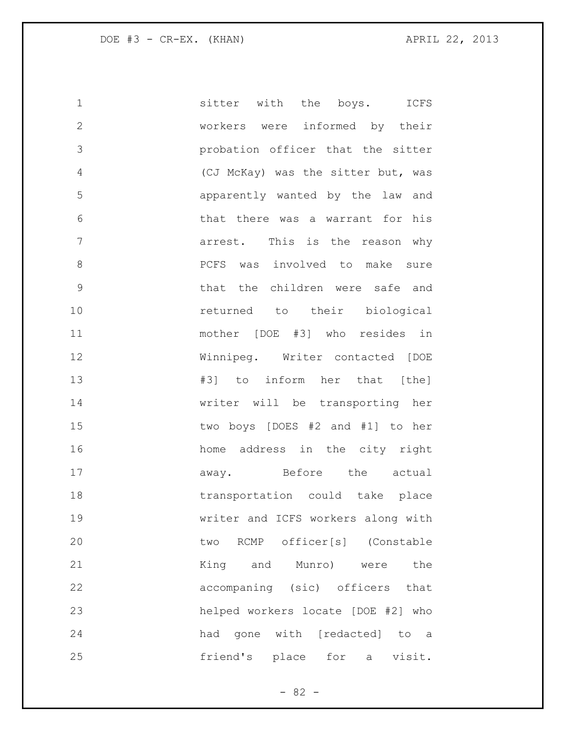| $\mathbf 1$    | sitter with the boys. ICFS         |
|----------------|------------------------------------|
| $\mathbf{2}$   | workers were informed by their     |
| $\mathcal{S}$  | probation officer that the sitter  |
| 4              | (CJ McKay) was the sitter but, was |
| 5              | apparently wanted by the law and   |
| 6              | that there was a warrant for his   |
| $\overline{7}$ | arrest. This is the reason why     |
| 8              | PCFS was involved to make sure     |
| $\mathsf 9$    | that the children were safe and    |
| 10             | returned to their biological       |
| 11             | mother [DOE #3] who resides in     |
| 12             | Winnipeg. Writer contacted [DOE    |
| 13             | #3] to inform her that [the]       |
| 14             | writer will be transporting her    |
| 15             | two boys [DOES #2 and #1] to her   |
| 16             | home address in the city right     |
| 17             | away. Before the actual            |
| 18             | transportation could take place    |
| 19             | writer and ICFS workers along with |
| 20             | two RCMP officer[s] (Constable     |
| 21             | King and Munro) were<br>the        |
| 22             | accompaning (sic) officers that    |
| 23             | helped workers locate [DOE #2] who |
| 24             | had gone with [redacted] to a      |
| 25             | friend's place for a visit.        |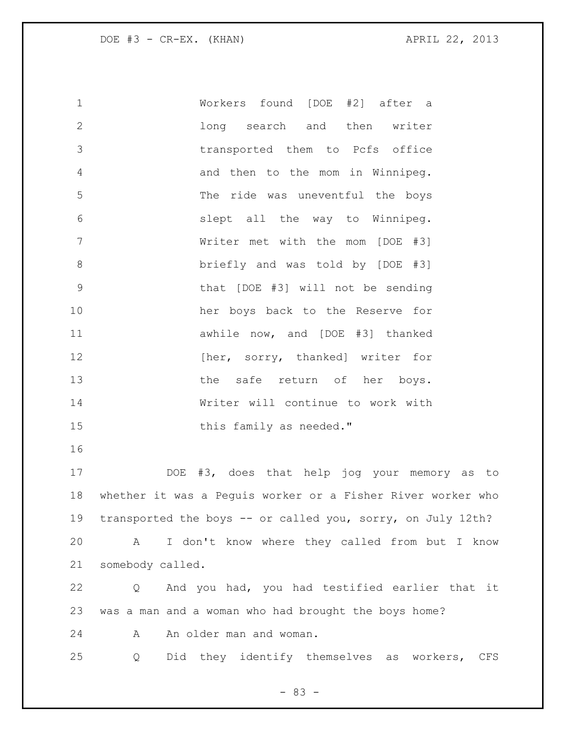Workers found [DOE #2] after a long search and then writer transported them to Pcfs office and then to the mom in Winnipeg. The ride was uneventful the boys slept all the way to Winnipeg. Writer met with the mom [DOE #3] briefly and was told by [DOE #3] that [DOE #3] will not be sending her boys back to the Reserve for awhile now, and [DOE #3] thanked **Extermal Exercise Exercise 12 EXECUTE:** [61] **http://wave.org/modular.com/modular.com/modular.com/modular.com/modular.com/modular.com/modular.com/modular.com/modular.com/modular.com/modular.com/modular.com/modular.co** 13 the safe return of her boys. Writer will continue to work with 15 this family as needed." DOE #3, does that help jog your memory as to whether it was a Peguis worker or a Fisher River worker who 19 transported the boys -- or called you, sorry, on July 12th? A I don't know where they called from but I know somebody called. Q And you had, you had testified earlier that it was a man and a woman who had brought the boys home? 24 An older man and woman. Q Did they identify themselves as workers, CFS

- 83 -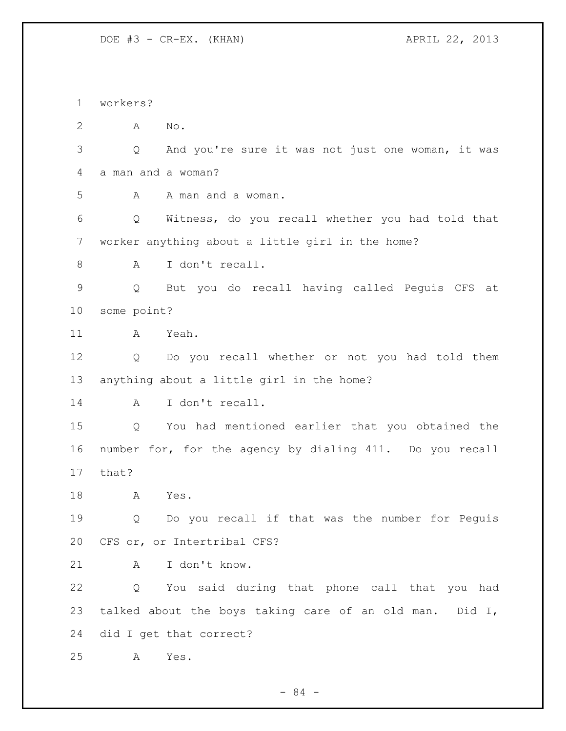DOE #3 - CR-EX. (KHAN) APRIL 22, 2013

 workers? A No. Q And you're sure it was not just one woman, it was a man and a woman? A A man and a woman. Q Witness, do you recall whether you had told that worker anything about a little girl in the home? A I don't recall. Q But you do recall having called Peguis CFS at some point? A Yeah. Q Do you recall whether or not you had told them anything about a little girl in the home? A I don't recall. Q You had mentioned earlier that you obtained the number for, for the agency by dialing 411. Do you recall that? A Yes. Q Do you recall if that was the number for Peguis CFS or, or Intertribal CFS? A I don't know. Q You said during that phone call that you had talked about the boys taking care of an old man. Did I, did I get that correct? A Yes.

- 84 -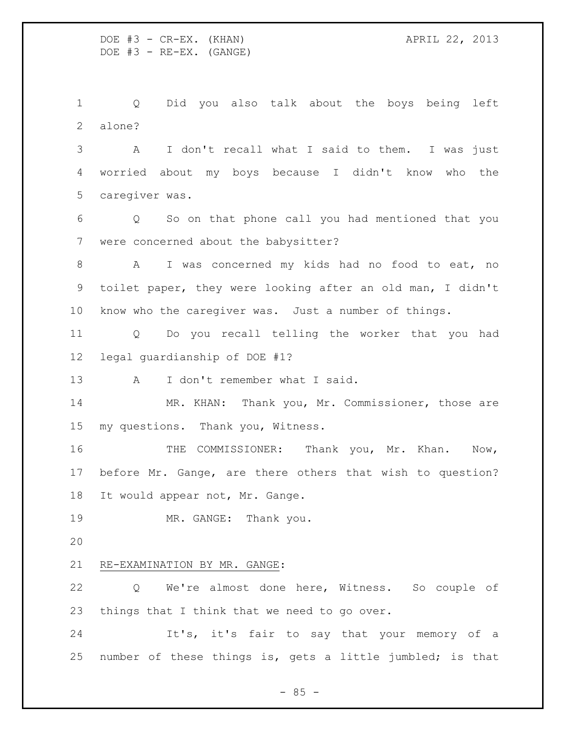Q Did you also talk about the boys being left alone?

 A I don't recall what I said to them. I was just worried about my boys because I didn't know who the caregiver was.

 Q So on that phone call you had mentioned that you were concerned about the babysitter?

 A I was concerned my kids had no food to eat, no toilet paper, they were looking after an old man, I didn't know who the caregiver was. Just a number of things.

 Q Do you recall telling the worker that you had legal guardianship of DOE #1?

13 A I don't remember what I said.

 MR. KHAN: Thank you, Mr. Commissioner, those are my questions. Thank you, Witness.

 THE COMMISSIONER: Thank you, Mr. Khan. Now, before Mr. Gange, are there others that wish to question? It would appear not, Mr. Gange.

19 MR. GANGE: Thank you.

## RE-EXAMINATION BY MR. GANGE:

 Q We're almost done here, Witness. So couple of things that I think that we need to go over.

 It's, it's fair to say that your memory of a number of these things is, gets a little jumbled; is that

 $- 85 -$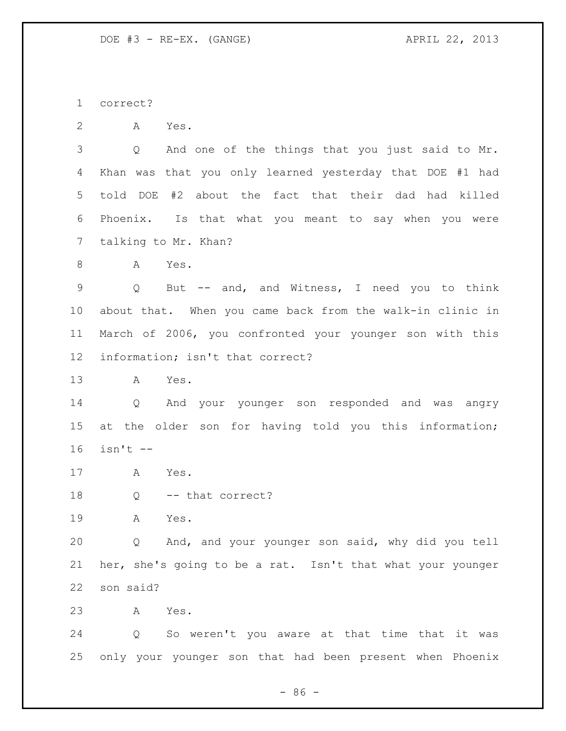correct?

A Yes.

 Q And one of the things that you just said to Mr. Khan was that you only learned yesterday that DOE #1 had told DOE #2 about the fact that their dad had killed Phoenix. Is that what you meant to say when you were talking to Mr. Khan?

A Yes.

 Q But -- and, and Witness, I need you to think about that. When you came back from the walk-in clinic in March of 2006, you confronted your younger son with this information; isn't that correct?

A Yes.

 Q And your younger son responded and was angry at the older son for having told you this information; isn't --

- A Yes.
- 18 Q -- that correct?

A Yes.

 Q And, and your younger son said, why did you tell her, she's going to be a rat. Isn't that what your younger son said?

A Yes.

 Q So weren't you aware at that time that it was only your younger son that had been present when Phoenix

 $-86 -$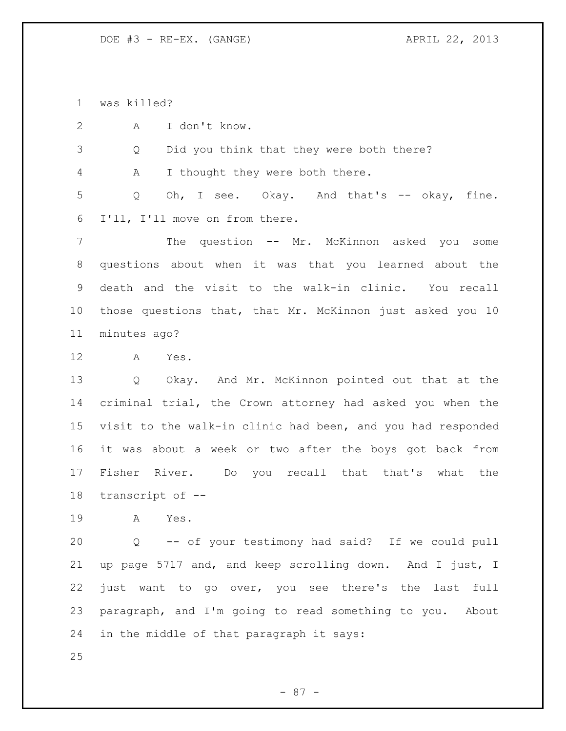was killed?

A I don't know.

Q Did you think that they were both there?

A I thought they were both there.

 Q Oh, I see. Okay. And that's -- okay, fine. I'll, I'll move on from there.

 The question -- Mr. McKinnon asked you some questions about when it was that you learned about the death and the visit to the walk-in clinic. You recall those questions that, that Mr. McKinnon just asked you 10 minutes ago?

A Yes.

 Q Okay. And Mr. McKinnon pointed out that at the criminal trial, the Crown attorney had asked you when the visit to the walk-in clinic had been, and you had responded it was about a week or two after the boys got back from Fisher River. Do you recall that that's what the transcript of --

A Yes.

 Q -- of your testimony had said? If we could pull up page 5717 and, and keep scrolling down. And I just, I just want to go over, you see there's the last full paragraph, and I'm going to read something to you. About in the middle of that paragraph it says: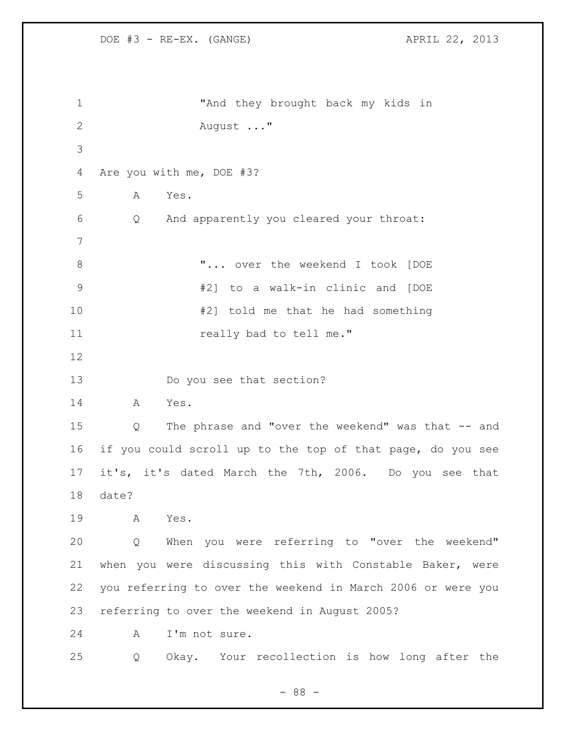```
1 "And they brought back my kids in 
2 August ..."
3
4 Are you with me, DOE #3?
5 A Yes.
6 Q And apparently you cleared your throat:
7
8 WELLET WEEKENS WELLET THE WEEKENS I took [DOE
9 #2] to a walk-in clinic and [DOE 
10 #2] told me that he had something 
11 really bad to tell me."
12
13 Do you see that section?
14 A Yes.
15 Q The phrase and "over the weekend" was that -- and 
16 if you could scroll up to the top of that page, do you see 
17 it's, it's dated March the 7th, 2006. Do you see that 
18 date?
19 A Yes.
20 Q When you were referring to "over the weekend" 
21 when you were discussing this with Constable Baker, were 
22 you referring to over the weekend in March 2006 or were you 
23 referring to over the weekend in August 2005?
24 A I'm not sure.
25 Q Okay. Your recollection is how long after the
```
- 88 -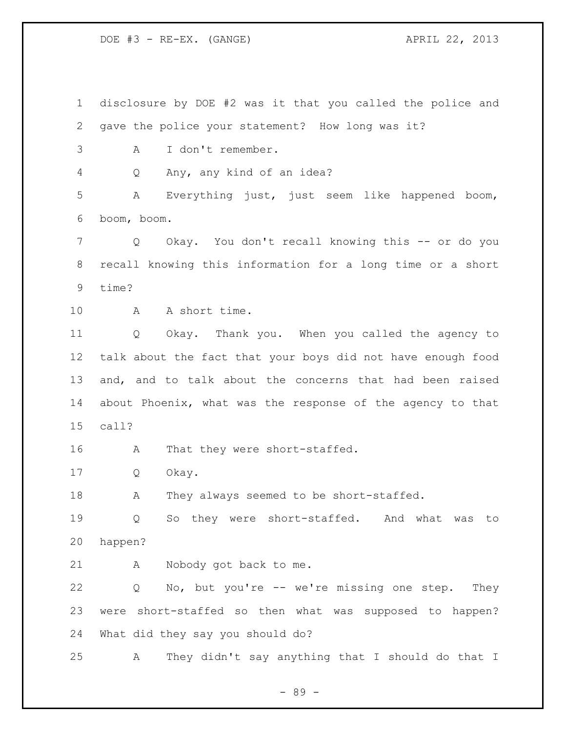DOE #3 - RE-EX. (GANGE) APRIL 22, 2013

 disclosure by DOE #2 was it that you called the police and gave the police your statement? How long was it? A I don't remember. Q Any, any kind of an idea? A Everything just, just seem like happened boom, boom, boom. Q Okay. You don't recall knowing this -- or do you recall knowing this information for a long time or a short time? A A short time. Q Okay. Thank you. When you called the agency to talk about the fact that your boys did not have enough food and, and to talk about the concerns that had been raised about Phoenix, what was the response of the agency to that call? A That they were short-staffed. Q Okay. 18 A They always seemed to be short-staffed. Q So they were short-staffed. And what was to happen? A Nobody got back to me. Q No, but you're -- we're missing one step. They were short-staffed so then what was supposed to happen? What did they say you should do? A They didn't say anything that I should do that I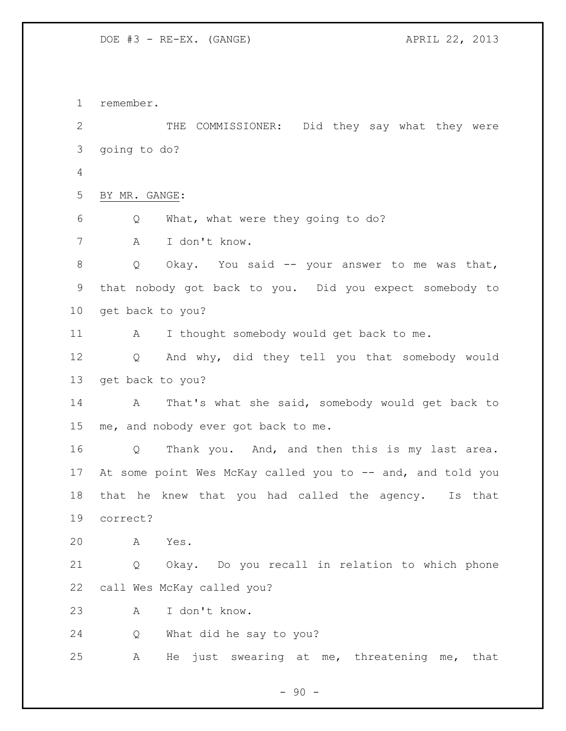DOE #3 - RE-EX. (GANGE) APRIL 22, 2013

 remember. THE COMMISSIONER: Did they say what they were going to do? BY MR. GANGE: Q What, what were they going to do? A I don't know. 8 Q Okay. You said -- your answer to me was that, that nobody got back to you. Did you expect somebody to get back to you? 11 A I thought somebody would get back to me. Q And why, did they tell you that somebody would get back to you? A That's what she said, somebody would get back to me, and nobody ever got back to me. Q Thank you. And, and then this is my last area. 17 At some point Wes McKay called you to -- and, and told you that he knew that you had called the agency. Is that correct? A Yes. Q Okay. Do you recall in relation to which phone call Wes McKay called you? A I don't know. Q What did he say to you? A He just swearing at me, threatening me, that

 $-90 -$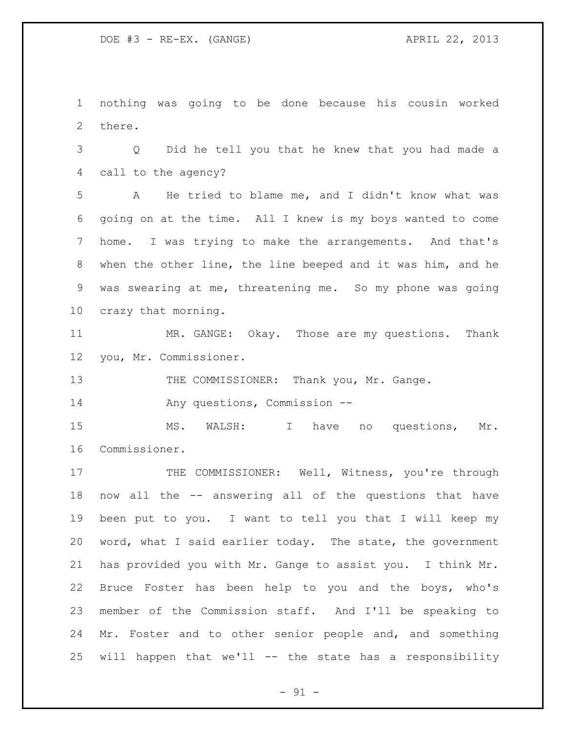nothing was going to be done because his cousin worked there.

 Q Did he tell you that he knew that you had made a call to the agency?

 A He tried to blame me, and I didn't know what was going on at the time. All I knew is my boys wanted to come home. I was trying to make the arrangements. And that's when the other line, the line beeped and it was him, and he was swearing at me, threatening me. So my phone was going crazy that morning.

 MR. GANGE: Okay. Those are my questions. Thank you, Mr. Commissioner.

13 THE COMMISSIONER: Thank you, Mr. Gange.

Any questions, Commission --

15 MS. WALSH: I have no questions, Mr. Commissioner.

17 THE COMMISSIONER: Well, Witness, you're through now all the -- answering all of the questions that have been put to you. I want to tell you that I will keep my word, what I said earlier today. The state, the government has provided you with Mr. Gange to assist you. I think Mr. Bruce Foster has been help to you and the boys, who's member of the Commission staff. And I'll be speaking to 24 Mr. Foster and to other senior people and, and something will happen that we'll -- the state has a responsibility

 $-91 -$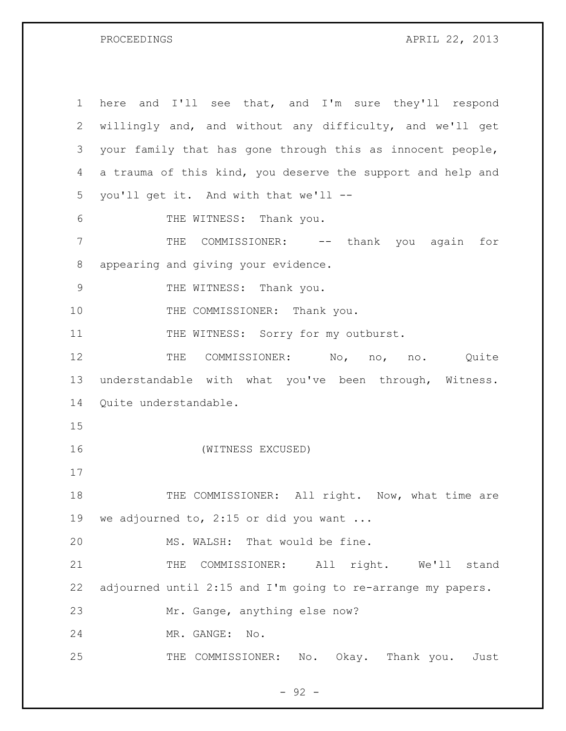PROCEEDINGS APRIL 22, 2013

| $\mathbf 1$   | here and I'll see that, and I'm sure they'll respond                |
|---------------|---------------------------------------------------------------------|
| 2             | willingly and, and without any difficulty, and we'll get            |
| 3             | your family that has gone through this as innocent people,          |
| 4             | a trauma of this kind, you deserve the support and help and         |
| 5             | you'll get it. And with that we'll --                               |
| 6             | THE WITNESS: Thank you.                                             |
| 7             | COMMISSIONER: -- thank you again for<br>THE                         |
| 8             | appearing and giving your evidence.                                 |
| $\mathcal{G}$ | THE WITNESS: Thank you.                                             |
| 10            | THE COMMISSIONER: Thank you.                                        |
| 11            | THE WITNESS: Sorry for my outburst.                                 |
| 12            | COMMISSIONER: No, no, no. Quite<br>THE                              |
| 13            | understandable with what you've been through, Witness.              |
| 14            | Quite understandable.                                               |
| 15            |                                                                     |
| 16            | (WITNESS EXCUSED)                                                   |
| 17            |                                                                     |
| 18            | THE COMMISSIONER: All right. Now, what time are                     |
| 19            | we adjourned to, 2:15 or did you want                               |
| 20            | MS. WALSH: That would be fine.                                      |
| 21            | THE<br>COMMISSIONER: All right. We'll stand                         |
| 22            | adjourned until 2:15 and I'm going to re-arrange my papers.         |
| 23            | Mr. Gange, anything else now?                                       |
| 24            | MR. GANGE:<br>No.                                                   |
| 25            | THE COMMISSIONER:<br>Okay. Thank you.<br>$\mathbb N\circ$ .<br>Just |

- 92 -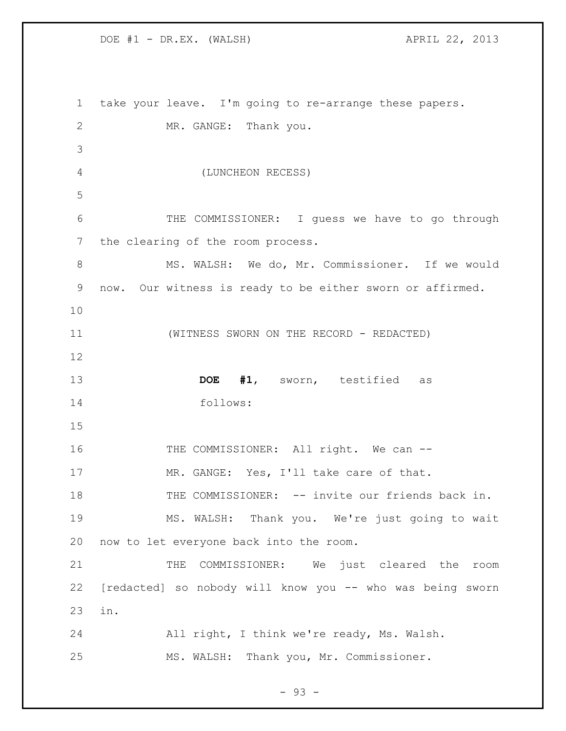DOE #1 - DR.EX. (WALSH) APRIL 22, 2013

 take your leave. I'm going to re-arrange these papers. MR. GANGE: Thank you. (LUNCHEON RECESS) 6 THE COMMISSIONER: I guess we have to go through the clearing of the room process. MS. WALSH: We do, Mr. Commissioner. If we would now. Our witness is ready to be either sworn or affirmed. (WITNESS SWORN ON THE RECORD - REDACTED) **DOE #1**, sworn, testified as follows: 16 THE COMMISSIONER: All right. We can --17 MR. GANGE: Yes, I'll take care of that. 18 THE COMMISSIONER: -- invite our friends back in. MS. WALSH: Thank you. We're just going to wait now to let everyone back into the room. 21 THE COMMISSIONER: We just cleared the room [redacted] so nobody will know you -- who was being sworn in. All right, I think we're ready, Ms. Walsh. MS. WALSH: Thank you, Mr. Commissioner.

- 93 -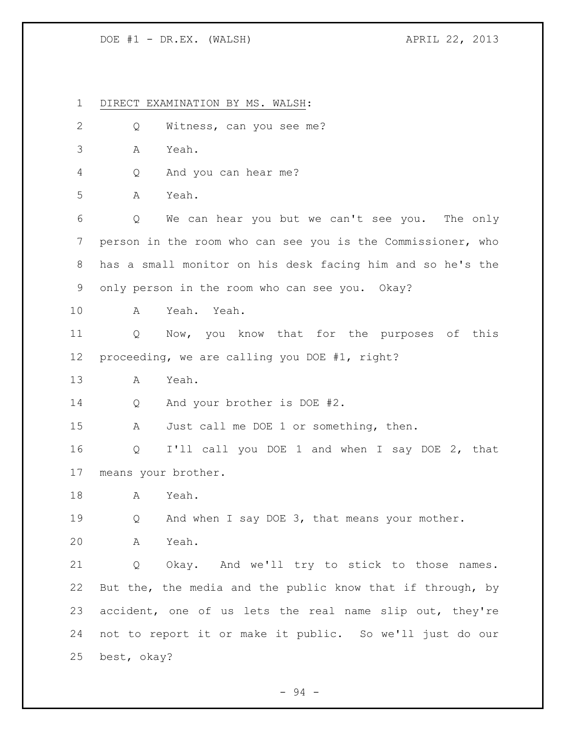## DOE #1 - DR.EX. (WALSH) APRIL 22, 2013

 DIRECT EXAMINATION BY MS. WALSH: Q Witness, can you see me? A Yeah. Q And you can hear me? A Yeah. Q We can hear you but we can't see you. The only person in the room who can see you is the Commissioner, who has a small monitor on his desk facing him and so he's the only person in the room who can see you. Okay? A Yeah. Yeah. Q Now, you know that for the purposes of this proceeding, we are calling you DOE #1, right? A Yeah. 14 Q And your brother is DOE #2. 15 A Just call me DOE 1 or something, then. Q I'll call you DOE 1 and when I say DOE 2, that means your brother. A Yeah. 19 O And when I say DOE 3, that means your mother. A Yeah. Q Okay. And we'll try to stick to those names. But the, the media and the public know that if through, by accident, one of us lets the real name slip out, they're not to report it or make it public. So we'll just do our best, okay?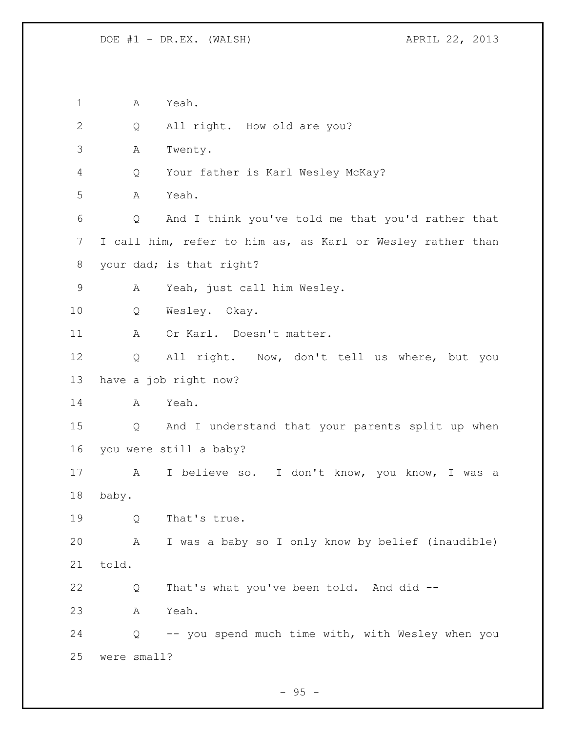A Yeah. Q All right. How old are you? A Twenty. Q Your father is Karl Wesley McKay? A Yeah. Q And I think you've told me that you'd rather that I call him, refer to him as, as Karl or Wesley rather than your dad; is that right? A Yeah, just call him Wesley. Q Wesley. Okay. 11 A Or Karl. Doesn't matter. Q All right. Now, don't tell us where, but you have a job right now? A Yeah. Q And I understand that your parents split up when you were still a baby? A I believe so. I don't know, you know, I was a baby. Q That's true. A I was a baby so I only know by belief (inaudible) told. Q That's what you've been told. And did -- A Yeah. Q -- you spend much time with, with Wesley when you were small?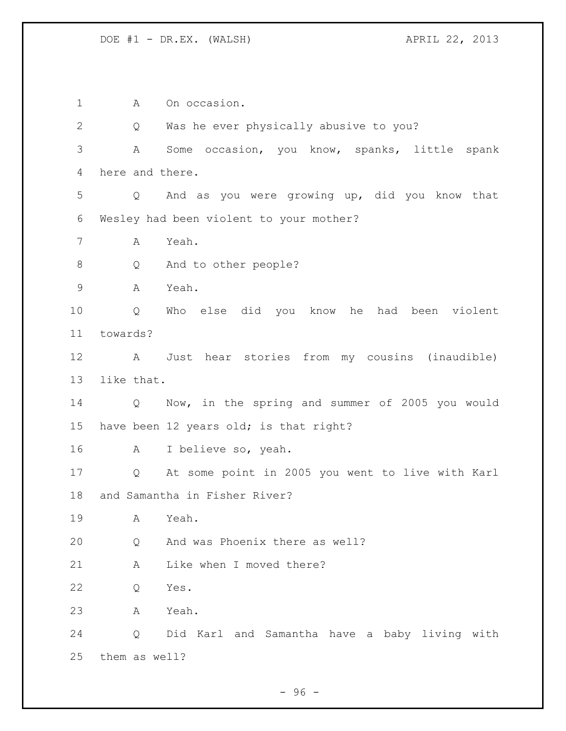1 A On occasion. Q Was he ever physically abusive to you? A Some occasion, you know, spanks, little spank here and there. Q And as you were growing up, did you know that Wesley had been violent to your mother? A Yeah. Q And to other people? A Yeah. Q Who else did you know he had been violent towards? A Just hear stories from my cousins (inaudible) like that. Q Now, in the spring and summer of 2005 you would have been 12 years old; is that right? A I believe so, yeah. Q At some point in 2005 you went to live with Karl and Samantha in Fisher River? A Yeah. Q And was Phoenix there as well? A Like when I moved there? Q Yes. A Yeah. Q Did Karl and Samantha have a baby living with them as well?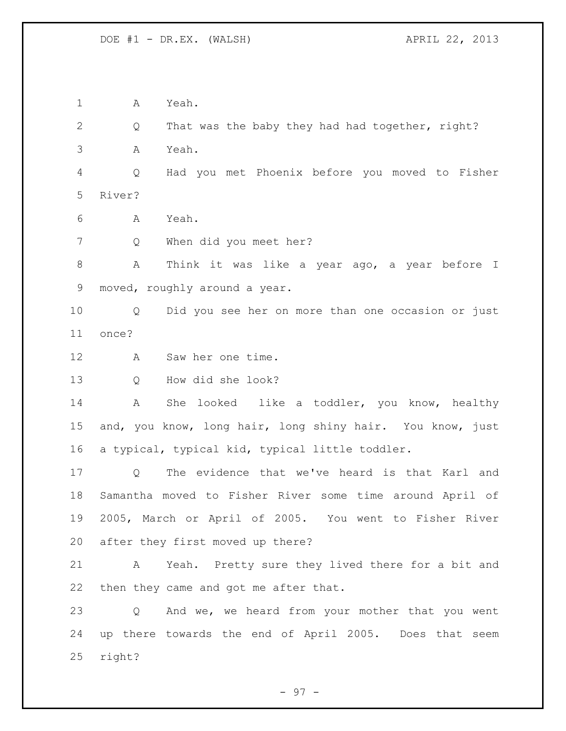A Yeah.

 Q That was the baby they had had together, right? A Yeah.

 Q Had you met Phoenix before you moved to Fisher River?

A Yeah.

Q When did you meet her?

 A Think it was like a year ago, a year before I moved, roughly around a year.

 Q Did you see her on more than one occasion or just once?

A Saw her one time.

Q How did she look?

 A She looked like a toddler, you know, healthy and, you know, long hair, long shiny hair. You know, just a typical, typical kid, typical little toddler.

 Q The evidence that we've heard is that Karl and Samantha moved to Fisher River some time around April of 2005, March or April of 2005. You went to Fisher River after they first moved up there?

 A Yeah. Pretty sure they lived there for a bit and then they came and got me after that.

 Q And we, we heard from your mother that you went up there towards the end of April 2005. Does that seem right?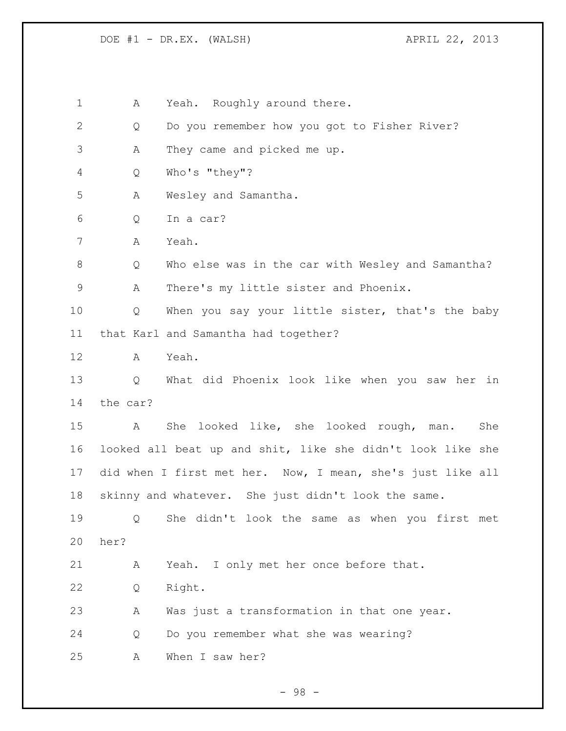DOE #1 - DR.EX. (WALSH) APRIL 22, 2013

1 A Yeah. Roughly around there.

Q Do you remember how you got to Fisher River?

A They came and picked me up.

Q Who's "they"?

A Wesley and Samantha.

Q In a car?

A Yeah.

 Q Who else was in the car with Wesley and Samantha? A There's my little sister and Phoenix.

 Q When you say your little sister, that's the baby that Karl and Samantha had together?

A Yeah.

 Q What did Phoenix look like when you saw her in the car?

 A She looked like, she looked rough, man. She looked all beat up and shit, like she didn't look like she did when I first met her. Now, I mean, she's just like all skinny and whatever. She just didn't look the same.

 Q She didn't look the same as when you first met her?

A Yeah. I only met her once before that.

Q Right.

A Was just a transformation in that one year.

Q Do you remember what she was wearing?

A When I saw her?

- 98 -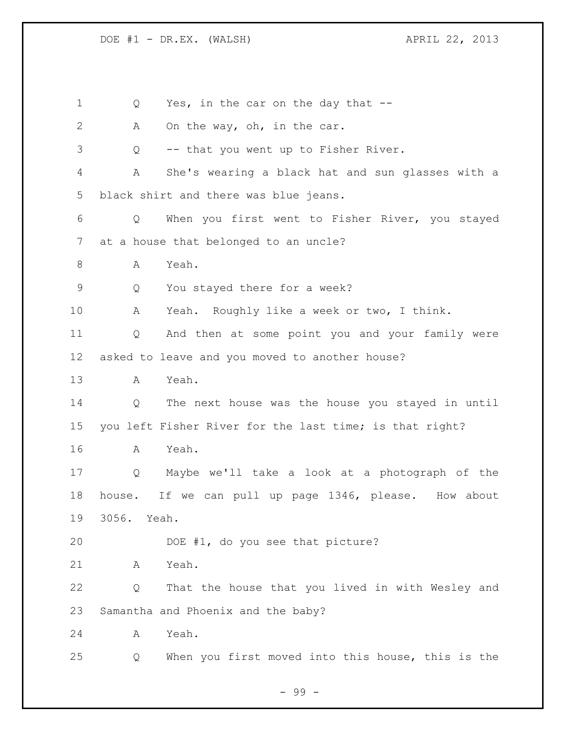1 Q Yes, in the car on the day that --2 A On the way, oh, in the car. Q -- that you went up to Fisher River. A She's wearing a black hat and sun glasses with a black shirt and there was blue jeans. Q When you first went to Fisher River, you stayed at a house that belonged to an uncle? A Yeah. Q You stayed there for a week? A Yeah. Roughly like a week or two, I think. Q And then at some point you and your family were asked to leave and you moved to another house? A Yeah. Q The next house was the house you stayed in until you left Fisher River for the last time; is that right? A Yeah. Q Maybe we'll take a look at a photograph of the house. If we can pull up page 1346, please. How about 3056. Yeah. DOE #1, do you see that picture? A Yeah. Q That the house that you lived in with Wesley and Samantha and Phoenix and the baby? A Yeah. Q When you first moved into this house, this is the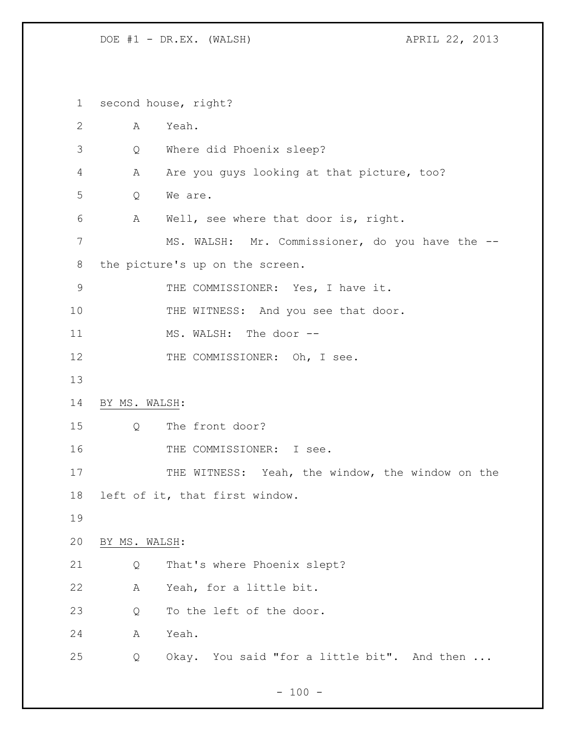DOE #1 - DR.EX. (WALSH) APRIL 22, 2013

 second house, right? A Yeah. Q Where did Phoenix sleep? A Are you guys looking at that picture, too? Q We are. A Well, see where that door is, right. MS. WALSH: Mr. Commissioner, do you have the -- the picture's up on the screen. 9 THE COMMISSIONER: Yes, I have it. 10 THE WITNESS: And you see that door. 11 MS. WALSH: The door --12 THE COMMISSIONER: Oh, I see. BY MS. WALSH: Q The front door? 16 THE COMMISSIONER: I see. 17 THE WITNESS: Yeah, the window, the window on the left of it, that first window. BY MS. WALSH: Q That's where Phoenix slept? A Yeah, for a little bit. 23 Q To the left of the door. A Yeah. Q Okay. You said "for a little bit". And then ...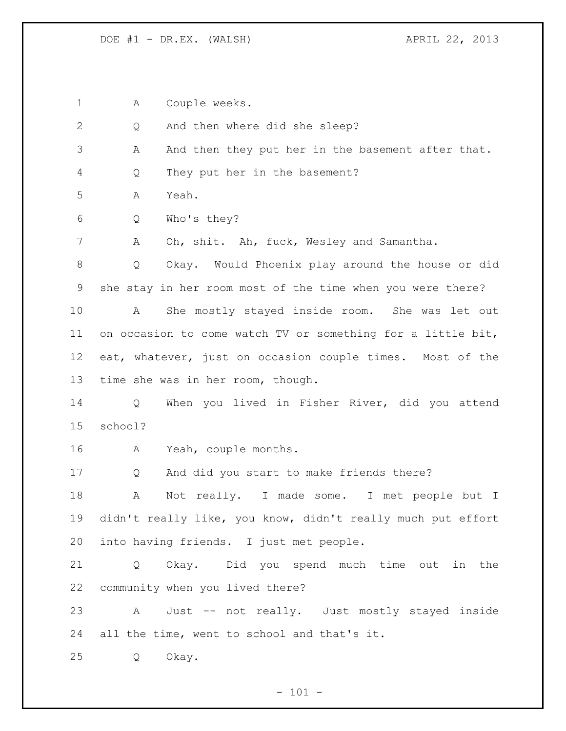DOE #1 - DR.EX. (WALSH) APRIL 22, 2013

A Couple weeks.

Q And then where did she sleep?

3 A And then they put her in the basement after that.

Q They put her in the basement?

A Yeah.

Q Who's they?

A Oh, shit. Ah, fuck, Wesley and Samantha.

 Q Okay. Would Phoenix play around the house or did she stay in her room most of the time when you were there?

 A She mostly stayed inside room. She was let out on occasion to come watch TV or something for a little bit, eat, whatever, just on occasion couple times. Most of the time she was in her room, though.

 Q When you lived in Fisher River, did you attend school?

A Yeah, couple months.

Q And did you start to make friends there?

 A Not really. I made some. I met people but I didn't really like, you know, didn't really much put effort into having friends. I just met people.

 Q Okay. Did you spend much time out in the community when you lived there?

 A Just -- not really. Just mostly stayed inside all the time, went to school and that's it.

Q Okay.

 $- 101 -$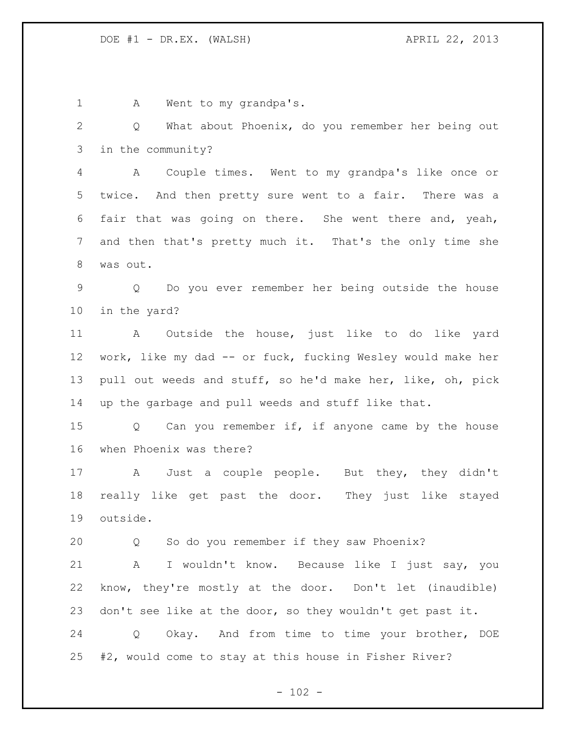1 A Went to my grandpa's. Q What about Phoenix, do you remember her being out in the community? A Couple times. Went to my grandpa's like once or twice. And then pretty sure went to a fair. There was a fair that was going on there. She went there and, yeah, and then that's pretty much it. That's the only time she was out. Q Do you ever remember her being outside the house in the yard? A Outside the house, just like to do like yard work, like my dad -- or fuck, fucking Wesley would make her pull out weeds and stuff, so he'd make her, like, oh, pick up the garbage and pull weeds and stuff like that. 15 Q Can you remember if, if anyone came by the house when Phoenix was there? A Just a couple people. But they, they didn't really like get past the door. They just like stayed outside. Q So do you remember if they saw Phoenix? A I wouldn't know. Because like I just say, you know, they're mostly at the door. Don't let (inaudible) don't see like at the door, so they wouldn't get past it. Q Okay. And from time to time your brother, DOE #2, would come to stay at this house in Fisher River?

 $- 102 -$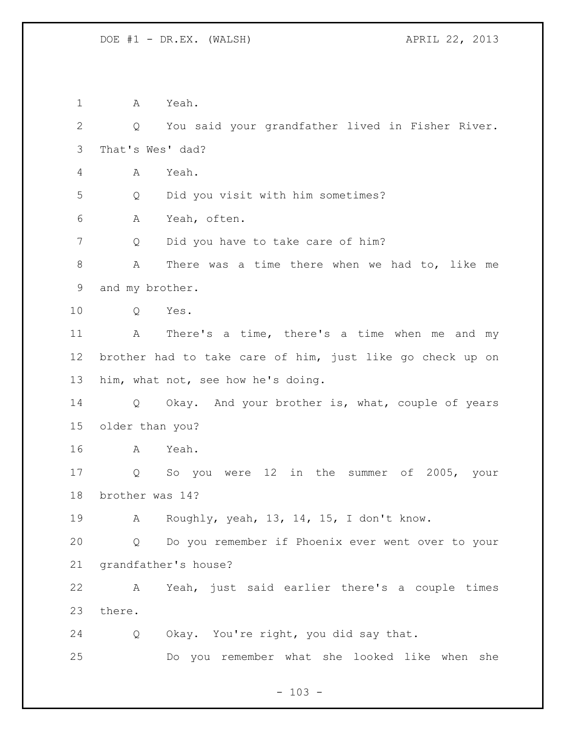A Yeah. Q You said your grandfather lived in Fisher River. That's Wes' dad? A Yeah. Q Did you visit with him sometimes? A Yeah, often. 7 Q Did you have to take care of him? A There was a time there when we had to, like me and my brother. Q Yes. A There's a time, there's a time when me and my brother had to take care of him, just like go check up on him, what not, see how he's doing. Q Okay. And your brother is, what, couple of years older than you? A Yeah. Q So you were 12 in the summer of 2005, your brother was 14? A Roughly, yeah, 13, 14, 15, I don't know. Q Do you remember if Phoenix ever went over to your grandfather's house? A Yeah, just said earlier there's a couple times there. Q Okay. You're right, you did say that. Do you remember what she looked like when she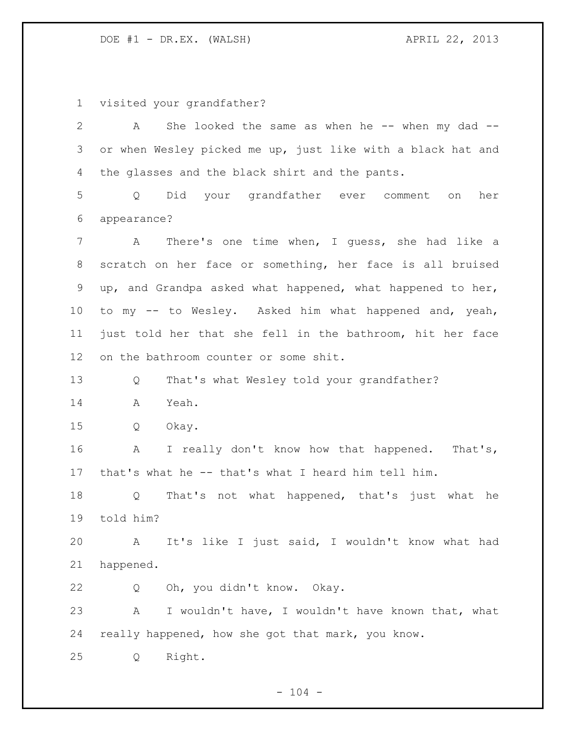DOE #1 - DR.EX. (WALSH) APRIL 22, 2013

visited your grandfather?

2 A She looked the same as when he -- when my dad -- or when Wesley picked me up, just like with a black hat and the glasses and the black shirt and the pants. Q Did your grandfather ever comment on her appearance? A There's one time when, I guess, she had like a scratch on her face or something, her face is all bruised up, and Grandpa asked what happened, what happened to her, to my -- to Wesley. Asked him what happened and, yeah, just told her that she fell in the bathroom, hit her face on the bathroom counter or some shit. Q That's what Wesley told your grandfather? A Yeah. Q Okay. 16 A I really don't know how that happened. That's, that's what he -- that's what I heard him tell him. Q That's not what happened, that's just what he told him? A It's like I just said, I wouldn't know what had happened. Q Oh, you didn't know. Okay. A I wouldn't have, I wouldn't have known that, what really happened, how she got that mark, you know. Q Right.

 $- 104 -$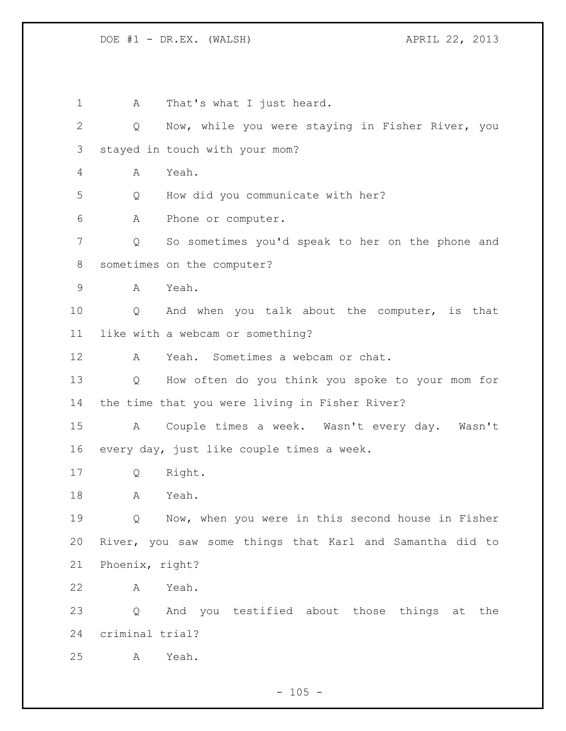1 A That's what I just heard. Q Now, while you were staying in Fisher River, you stayed in touch with your mom? A Yeah. Q How did you communicate with her? A Phone or computer. Q So sometimes you'd speak to her on the phone and sometimes on the computer? A Yeah. Q And when you talk about the computer, is that like with a webcam or something? A Yeah. Sometimes a webcam or chat. Q How often do you think you spoke to your mom for the time that you were living in Fisher River? A Couple times a week. Wasn't every day. Wasn't every day, just like couple times a week. Q Right. A Yeah. Q Now, when you were in this second house in Fisher River, you saw some things that Karl and Samantha did to Phoenix, right? A Yeah. Q And you testified about those things at the criminal trial? A Yeah.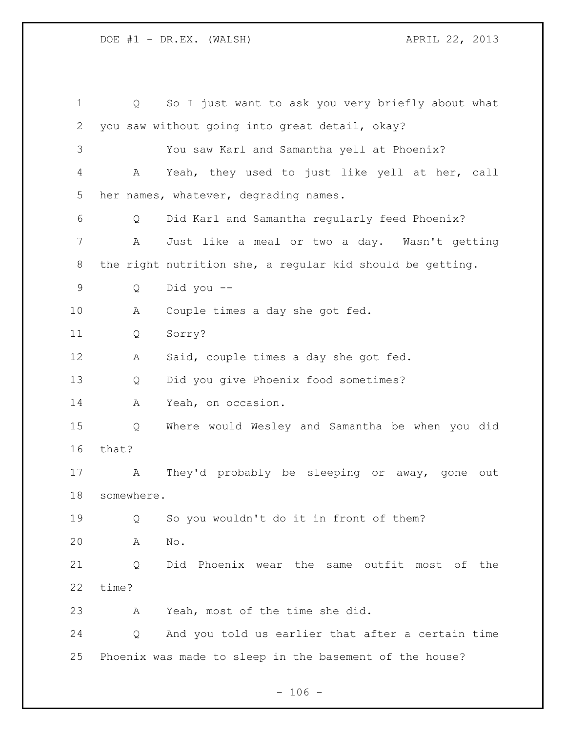| $\mathbf 1$ | Q          | So I just want to ask you very briefly about what         |
|-------------|------------|-----------------------------------------------------------|
| 2           |            | you saw without going into great detail, okay?            |
| 3           |            | You saw Karl and Samantha yell at Phoenix?                |
| 4           | A          | Yeah, they used to just like yell at her, call            |
| 5           |            | her names, whatever, degrading names.                     |
| 6           | Q          | Did Karl and Samantha regularly feed Phoenix?             |
| 7           | Α          | Just like a meal or two a day. Wasn't getting             |
| 8           |            | the right nutrition she, a regular kid should be getting. |
| 9           | Q          | Did you --                                                |
| 10          | А          | Couple times a day she got fed.                           |
| 11          | Q          | Sorry?                                                    |
| 12          | A          | Said, couple times a day she got fed.                     |
| 13          | Q          | Did you give Phoenix food sometimes?                      |
| 14          | Α          | Yeah, on occasion.                                        |
| 15          | Q          | Where would Wesley and Samantha be when you did           |
| 16          | that?      |                                                           |
| 17          | A          | They'd probably be sleeping or away,<br>gone<br>out       |
| 18          | somewhere. |                                                           |
| 19          | Q          | So you wouldn't do it in front of them?                   |
| 20          | A          | No.                                                       |
| 21          | Q          | Did Phoenix wear the same outfit most of the              |
| 22          | time?      |                                                           |
| 23          | А          | Yeah, most of the time she did.                           |
| 24          | Q          | And you told us earlier that after a certain time         |
| 25          |            | Phoenix was made to sleep in the basement of the house?   |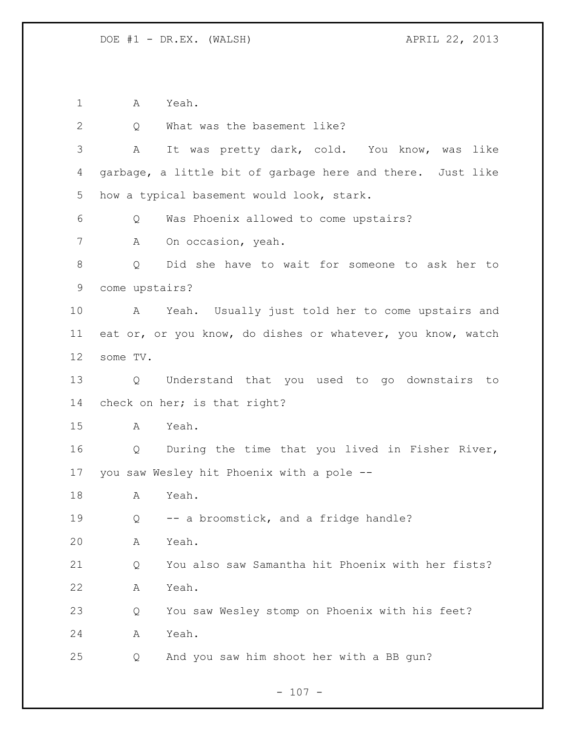A Yeah.

| $\mathbf{2}$    | Q              | What was the basement like?                                 |
|-----------------|----------------|-------------------------------------------------------------|
| 3               | A              | It was pretty dark, cold. You know, was like                |
| 4               |                | garbage, a little bit of garbage here and there. Just like  |
| 5               |                | how a typical basement would look, stark.                   |
| 6               | Q              | Was Phoenix allowed to come upstairs?                       |
| 7               | А              | On occasion, yeah.                                          |
| 8               | Q              | Did she have to wait for someone to ask her to              |
| $\mathsf 9$     | come upstairs? |                                                             |
| 10              | A              | Yeah. Usually just told her to come upstairs and            |
| 11              |                | eat or, or you know, do dishes or whatever, you know, watch |
| 12 <sup>°</sup> | some TV.       |                                                             |
| 13              | Q              | Understand that you used to go downstairs<br>to             |
| 14              |                | check on her; is that right?                                |
| 15              | A              | Yeah.                                                       |
| 16              | Q              | During the time that you lived in Fisher River,             |
| 17              |                | you saw Wesley hit Phoenix with a pole --                   |
| 18              | Α              | Yeah.                                                       |
| 19              | Q              | -- a broomstick, and a fridge handle?                       |
| 20              | Α              | Yeah.                                                       |
| 21              | Q              | You also saw Samantha hit Phoenix with her fists?           |
| 22              | Α              | Yeah.                                                       |
| 23              | Q              | You saw Wesley stomp on Phoenix with his feet?              |
| 24              | Α              | Yeah.                                                       |
| 25              | Q              | And you saw him shoot her with a BB gun?                    |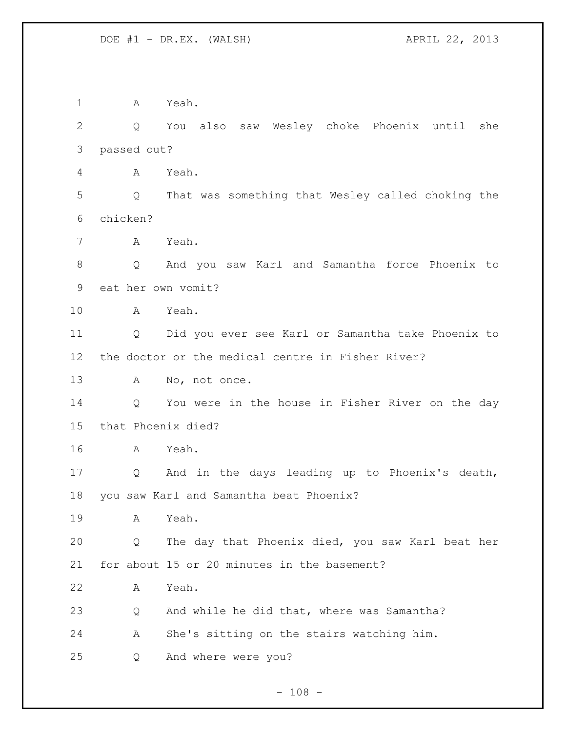A Yeah. Q You also saw Wesley choke Phoenix until she passed out? A Yeah. Q That was something that Wesley called choking the chicken? A Yeah. Q And you saw Karl and Samantha force Phoenix to eat her own vomit? A Yeah. Q Did you ever see Karl or Samantha take Phoenix to the doctor or the medical centre in Fisher River? 13 A No, not once. Q You were in the house in Fisher River on the day that Phoenix died? A Yeah. Q And in the days leading up to Phoenix's death, you saw Karl and Samantha beat Phoenix? A Yeah. Q The day that Phoenix died, you saw Karl beat her for about 15 or 20 minutes in the basement? A Yeah. Q And while he did that, where was Samantha? A She's sitting on the stairs watching him. Q And where were you?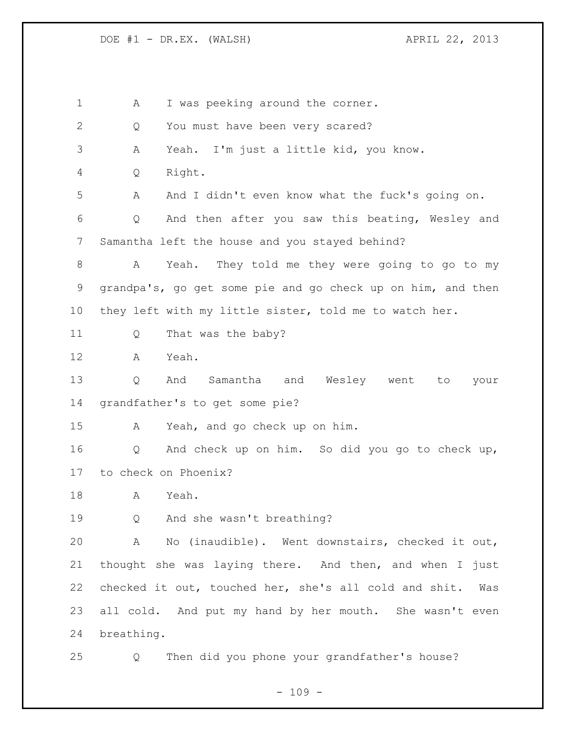1 A I was peeking around the corner. 2 Q You must have been very scared? A Yeah. I'm just a little kid, you know. Q Right. A And I didn't even know what the fuck's going on. Q And then after you saw this beating, Wesley and Samantha left the house and you stayed behind? A Yeah. They told me they were going to go to my grandpa's, go get some pie and go check up on him, and then they left with my little sister, told me to watch her. 11 Q That was the baby? A Yeah. Q And Samantha and Wesley went to your grandfather's to get some pie? A Yeah, and go check up on him. Q And check up on him. So did you go to check up, to check on Phoenix? A Yeah. Q And she wasn't breathing? A No (inaudible). Went downstairs, checked it out, thought she was laying there. And then, and when I just checked it out, touched her, she's all cold and shit. Was all cold. And put my hand by her mouth. She wasn't even breathing. Q Then did you phone your grandfather's house?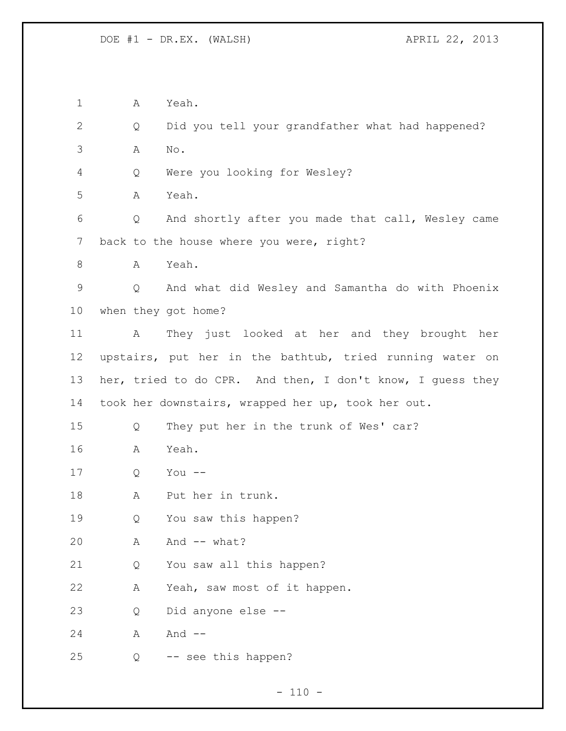A Yeah. Q Did you tell your grandfather what had happened? A No. Q Were you looking for Wesley? A Yeah. Q And shortly after you made that call, Wesley came 7 back to the house where you were, right? A Yeah. Q And what did Wesley and Samantha do with Phoenix when they got home? A They just looked at her and they brought her upstairs, put her in the bathtub, tried running water on her, tried to do CPR. And then, I don't know, I guess they took her downstairs, wrapped her up, took her out. Q They put her in the trunk of Wes' car? A Yeah. Q You -- A Put her in trunk. Q You saw this happen? A And -- what? Q You saw all this happen? A Yeah, saw most of it happen. Q Did anyone else -- 24 A And --Q -- see this happen?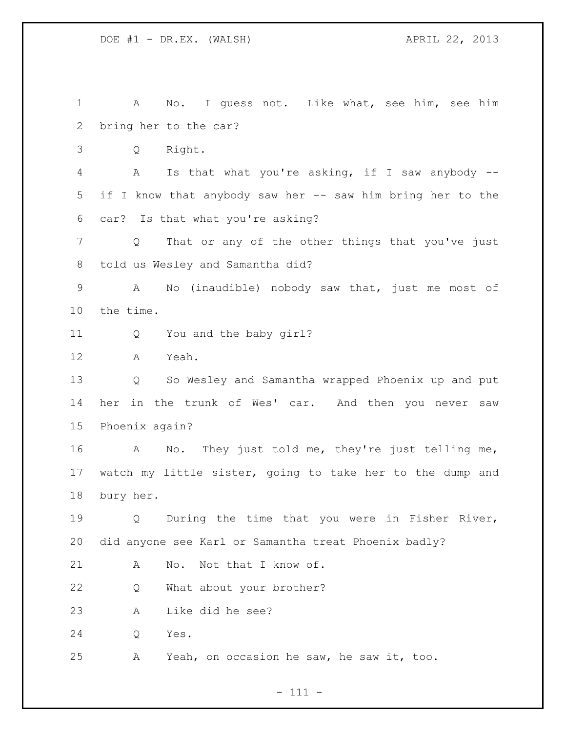A No. I guess not. Like what, see him, see him bring her to the car? Q Right. A Is that what you're asking, if I saw anybody -- if I know that anybody saw her -- saw him bring her to the car? Is that what you're asking? Q That or any of the other things that you've just told us Wesley and Samantha did? A No (inaudible) nobody saw that, just me most of the time. Q You and the baby girl? A Yeah. Q So Wesley and Samantha wrapped Phoenix up and put her in the trunk of Wes' car. And then you never saw Phoenix again? A No. They just told me, they're just telling me, watch my little sister, going to take her to the dump and bury her. Q During the time that you were in Fisher River, did anyone see Karl or Samantha treat Phoenix badly? 21 A No. Not that I know of. Q What about your brother? A Like did he see? Q Yes. A Yeah, on occasion he saw, he saw it, too.

- 111 -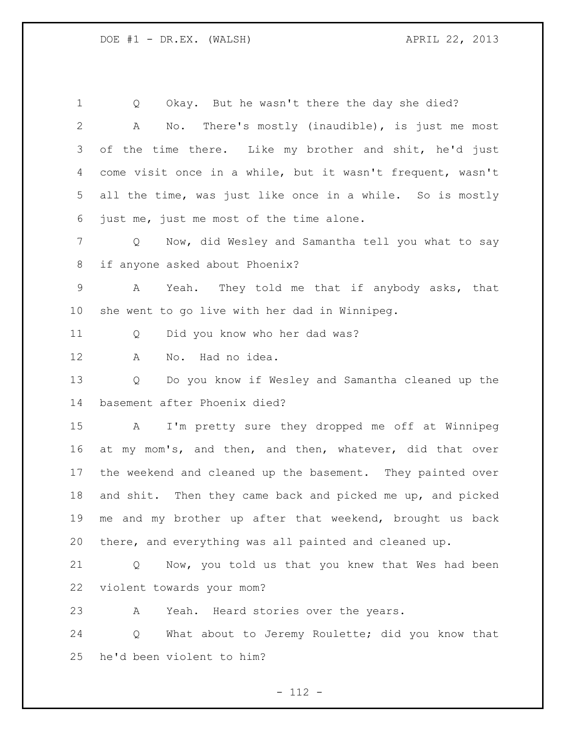Q Okay. But he wasn't there the day she died? A No. There's mostly (inaudible), is just me most 3 of the time there. Like my brother and shit, he'd just come visit once in a while, but it wasn't frequent, wasn't all the time, was just like once in a while. So is mostly just me, just me most of the time alone. Q Now, did Wesley and Samantha tell you what to say if anyone asked about Phoenix? A Yeah. They told me that if anybody asks, that she went to go live with her dad in Winnipeg. Q Did you know who her dad was? A No. Had no idea. Q Do you know if Wesley and Samantha cleaned up the basement after Phoenix died? A I'm pretty sure they dropped me off at Winnipeg at my mom's, and then, and then, whatever, did that over the weekend and cleaned up the basement. They painted over and shit. Then they came back and picked me up, and picked me and my brother up after that weekend, brought us back there, and everything was all painted and cleaned up. Q Now, you told us that you knew that Wes had been violent towards your mom? A Yeah. Heard stories over the years.

 Q What about to Jeremy Roulette; did you know that he'd been violent to him?

 $- 112 -$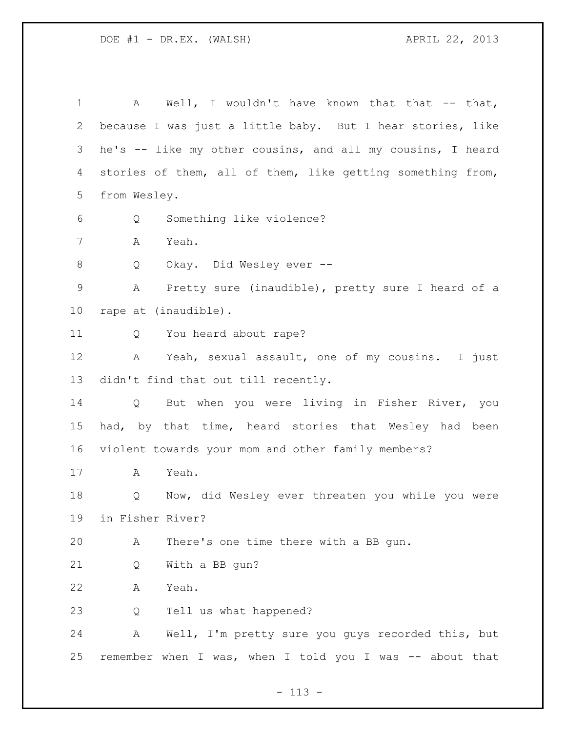1 A Well, I wouldn't have known that that -- that, because I was just a little baby. But I hear stories, like he's -- like my other cousins, and all my cousins, I heard stories of them, all of them, like getting something from, from Wesley. Q Something like violence? A Yeah. Q Okay. Did Wesley ever -- A Pretty sure (inaudible), pretty sure I heard of a rape at (inaudible). Q You heard about rape? A Yeah, sexual assault, one of my cousins. I just didn't find that out till recently. Q But when you were living in Fisher River, you 15 had, by that time, heard stories that Wesley had been violent towards your mom and other family members? A Yeah. Q Now, did Wesley ever threaten you while you were in Fisher River? A There's one time there with a BB gun. Q With a BB gun? A Yeah. Q Tell us what happened? A Well, I'm pretty sure you guys recorded this, but remember when I was, when I told you I was -- about that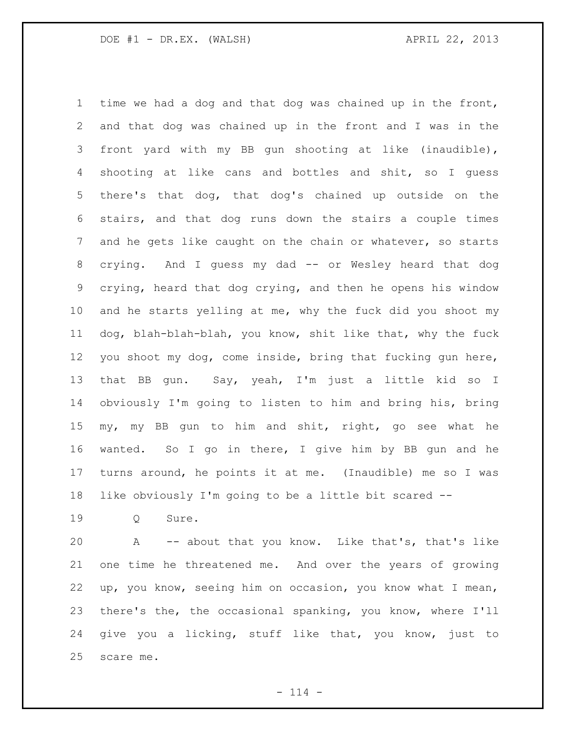time we had a dog and that dog was chained up in the front, and that dog was chained up in the front and I was in the front yard with my BB gun shooting at like (inaudible), shooting at like cans and bottles and shit, so I guess there's that dog, that dog's chained up outside on the stairs, and that dog runs down the stairs a couple times 7 and he gets like caught on the chain or whatever, so starts crying. And I guess my dad -- or Wesley heard that dog crying, heard that dog crying, and then he opens his window and he starts yelling at me, why the fuck did you shoot my dog, blah-blah-blah, you know, shit like that, why the fuck you shoot my dog, come inside, bring that fucking gun here, that BB gun. Say, yeah, I'm just a little kid so I obviously I'm going to listen to him and bring his, bring my, my BB gun to him and shit, right, go see what he wanted. So I go in there, I give him by BB gun and he turns around, he points it at me. (Inaudible) me so I was like obviously I'm going to be a little bit scared --

Q Sure.

 A -- about that you know. Like that's, that's like one time he threatened me. And over the years of growing up, you know, seeing him on occasion, you know what I mean, there's the, the occasional spanking, you know, where I'll give you a licking, stuff like that, you know, just to scare me.

 $- 114 -$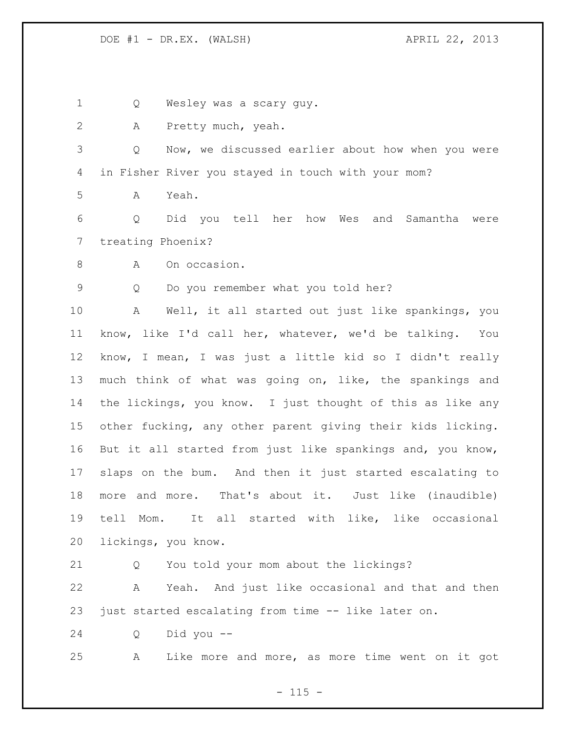Q Wesley was a scary guy.

A Pretty much, yeah.

 Q Now, we discussed earlier about how when you were in Fisher River you stayed in touch with your mom?

A Yeah.

 Q Did you tell her how Wes and Samantha were treating Phoenix?

A On occasion.

Q Do you remember what you told her?

 A Well, it all started out just like spankings, you know, like I'd call her, whatever, we'd be talking. You know, I mean, I was just a little kid so I didn't really much think of what was going on, like, the spankings and the lickings, you know. I just thought of this as like any other fucking, any other parent giving their kids licking. But it all started from just like spankings and, you know, slaps on the bum. And then it just started escalating to more and more. That's about it. Just like (inaudible) tell Mom. It all started with like, like occasional lickings, you know.

Q You told your mom about the lickings?

 A Yeah. And just like occasional and that and then just started escalating from time -- like later on.

Q Did you --

A Like more and more, as more time went on it got

 $- 115 -$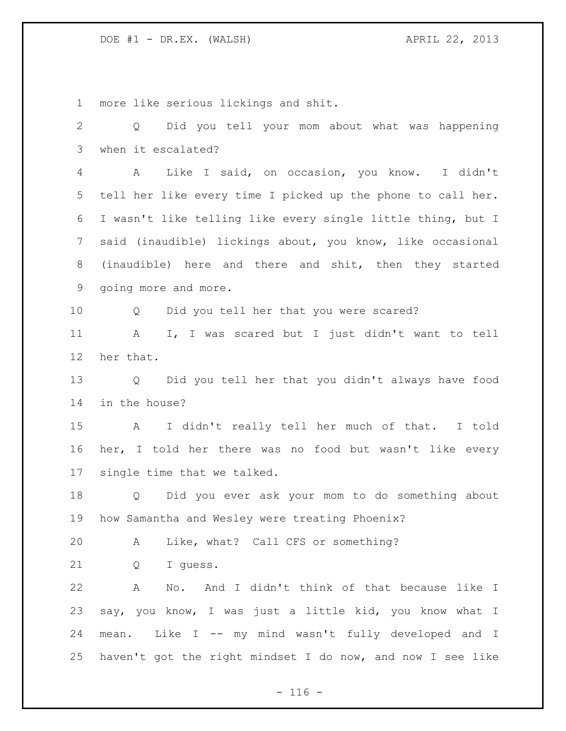more like serious lickings and shit. Q Did you tell your mom about what was happening when it escalated? A Like I said, on occasion, you know. I didn't tell her like every time I picked up the phone to call her. I wasn't like telling like every single little thing, but I said (inaudible) lickings about, you know, like occasional (inaudible) here and there and shit, then they started going more and more. Q Did you tell her that you were scared? A I, I was scared but I just didn't want to tell her that. Q Did you tell her that you didn't always have food in the house? A I didn't really tell her much of that. I told her, I told her there was no food but wasn't like every single time that we talked. Q Did you ever ask your mom to do something about how Samantha and Wesley were treating Phoenix? A Like, what? Call CFS or something? Q I guess. A No. And I didn't think of that because like I say, you know, I was just a little kid, you know what I mean. Like I -- my mind wasn't fully developed and I haven't got the right mindset I do now, and now I see like

 $- 116 -$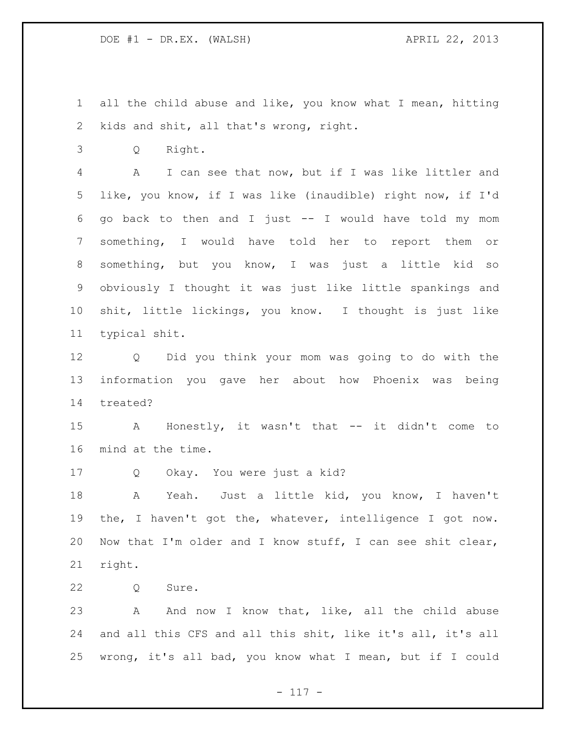all the child abuse and like, you know what I mean, hitting kids and shit, all that's wrong, right.

Q Right.

 A I can see that now, but if I was like littler and like, you know, if I was like (inaudible) right now, if I'd go back to then and I just -- I would have told my mom something, I would have told her to report them or something, but you know, I was just a little kid so obviously I thought it was just like little spankings and shit, little lickings, you know. I thought is just like typical shit.

 Q Did you think your mom was going to do with the information you gave her about how Phoenix was being treated?

 A Honestly, it wasn't that -- it didn't come to mind at the time.

Q Okay. You were just a kid?

 A Yeah. Just a little kid, you know, I haven't the, I haven't got the, whatever, intelligence I got now. Now that I'm older and I know stuff, I can see shit clear, right.

Q Sure.

23 A And now I know that, like, all the child abuse and all this CFS and all this shit, like it's all, it's all wrong, it's all bad, you know what I mean, but if I could

- 117 -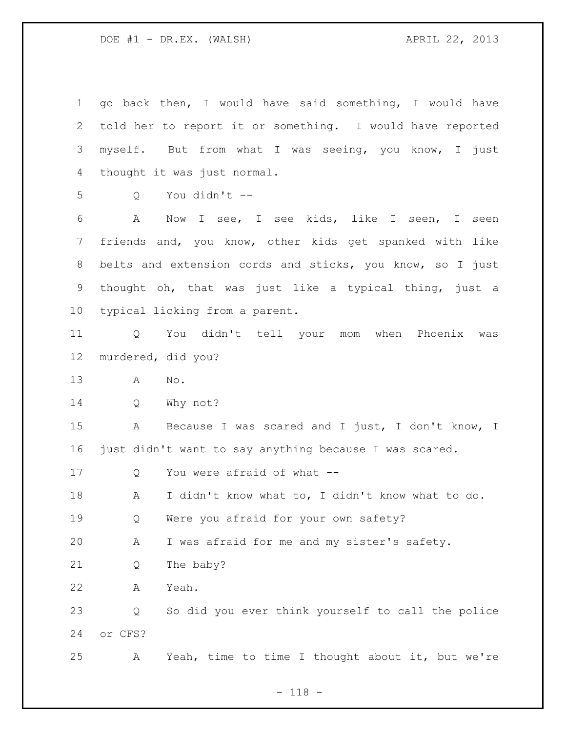| $\mathbf 1$ | go back then, I would have said something, I would have          |
|-------------|------------------------------------------------------------------|
| 2           | told her to report it or something. I would have reported        |
| 3           | myself. But from what I was seeing, you know, I just             |
| 4           | thought it was just normal.                                      |
| 5           | You didn't --<br>Q                                               |
| 6           | A<br>Now I see, I see kids, like I seen, I<br>seen               |
| 7           | friends and, you know, other kids get spanked with like          |
| 8           | belts and extension cords and sticks, you know, so I just        |
| 9           | thought oh, that was just like a typical thing, just a           |
| 10          | typical licking from a parent.                                   |
| 11          | You didn't tell your<br>mom when Phoenix<br>Q<br>was             |
| 12          | murdered, did you?                                               |
| 13          | No.<br>A                                                         |
| 14          | Why not?<br>Q                                                    |
| 15          | Because I was scared and I just, I don't know, I<br>A            |
| 16          | just didn't want to say anything because I was scared.           |
| 17          | You were afraid of what --<br>Q                                  |
| 18          | I didn't know what to, I didn't know what to do.<br>$\mathbf{A}$ |
| 19          | Were you afraid for your own safety?<br>Q                        |
| 20          | I was afraid for me and my sister's safety.<br>Α                 |
| 21          | The baby?<br>Q                                                   |
| 22          | Yeah.<br>Α                                                       |
| 23          | So did you ever think yourself to call the police<br>Q           |
| 24          | or CFS?                                                          |
| 25          | Yeah, time to time I thought about it, but we're<br>Α            |

- 118 -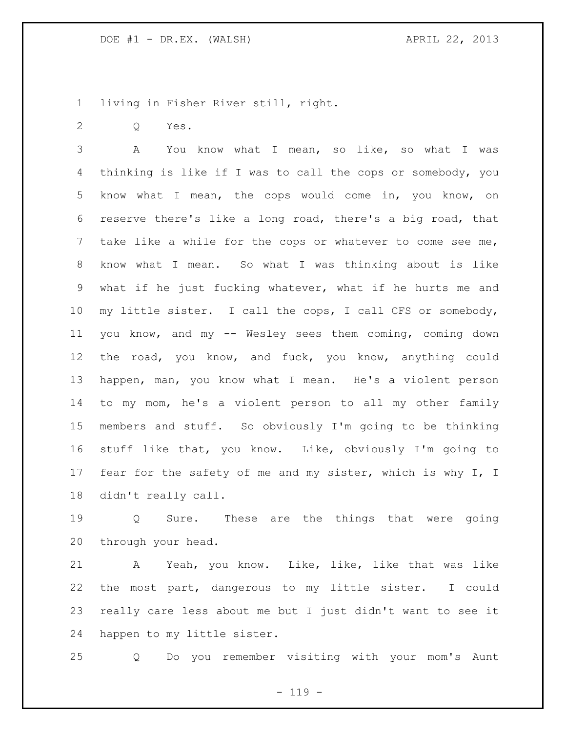living in Fisher River still, right.

Q Yes.

 A You know what I mean, so like, so what I was thinking is like if I was to call the cops or somebody, you know what I mean, the cops would come in, you know, on reserve there's like a long road, there's a big road, that take like a while for the cops or whatever to come see me, know what I mean. So what I was thinking about is like what if he just fucking whatever, what if he hurts me and my little sister. I call the cops, I call CFS or somebody, you know, and my -- Wesley sees them coming, coming down the road, you know, and fuck, you know, anything could happen, man, you know what I mean. He's a violent person to my mom, he's a violent person to all my other family members and stuff. So obviously I'm going to be thinking stuff like that, you know. Like, obviously I'm going to 17 fear for the safety of me and my sister, which is why I, I didn't really call.

 Q Sure. These are the things that were going through your head.

 A Yeah, you know. Like, like, like that was like the most part, dangerous to my little sister. I could really care less about me but I just didn't want to see it happen to my little sister.

Q Do you remember visiting with your mom's Aunt

 $- 119 -$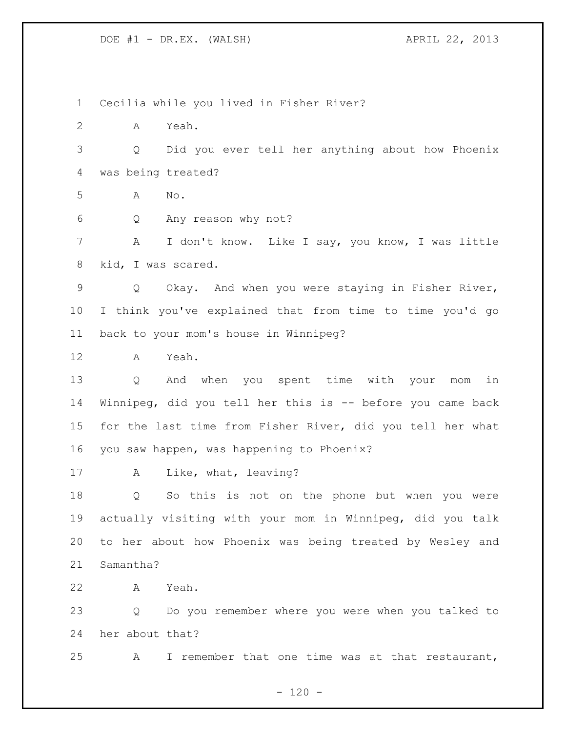Cecilia while you lived in Fisher River? A Yeah. Q Did you ever tell her anything about how Phoenix was being treated? A No. Q Any reason why not? A I don't know. Like I say, you know, I was little kid, I was scared. Q Okay. And when you were staying in Fisher River, I think you've explained that from time to time you'd go back to your mom's house in Winnipeg? A Yeah. Q And when you spent time with your mom in Winnipeg, did you tell her this is -- before you came back for the last time from Fisher River, did you tell her what you saw happen, was happening to Phoenix? A Like, what, leaving? Q So this is not on the phone but when you were actually visiting with your mom in Winnipeg, did you talk to her about how Phoenix was being treated by Wesley and Samantha? A Yeah. Q Do you remember where you were when you talked to her about that? A I remember that one time was at that restaurant,

 $- 120 -$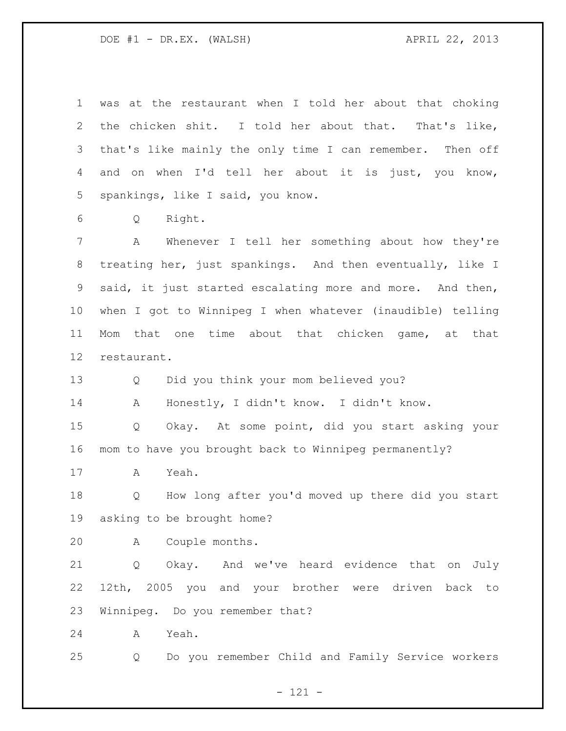was at the restaurant when I told her about that choking the chicken shit. I told her about that. That's like, that's like mainly the only time I can remember. Then off and on when I'd tell her about it is just, you know, spankings, like I said, you know.

Q Right.

 A Whenever I tell her something about how they're treating her, just spankings. And then eventually, like I said, it just started escalating more and more. And then, when I got to Winnipeg I when whatever (inaudible) telling Mom that one time about that chicken game, at that restaurant.

Q Did you think your mom believed you?

A Honestly, I didn't know. I didn't know.

 Q Okay. At some point, did you start asking your mom to have you brought back to Winnipeg permanently?

A Yeah.

 Q How long after you'd moved up there did you start asking to be brought home?

A Couple months.

 Q Okay. And we've heard evidence that on July 12th, 2005 you and your brother were driven back to Winnipeg. Do you remember that?

A Yeah.

Q Do you remember Child and Family Service workers

- 121 -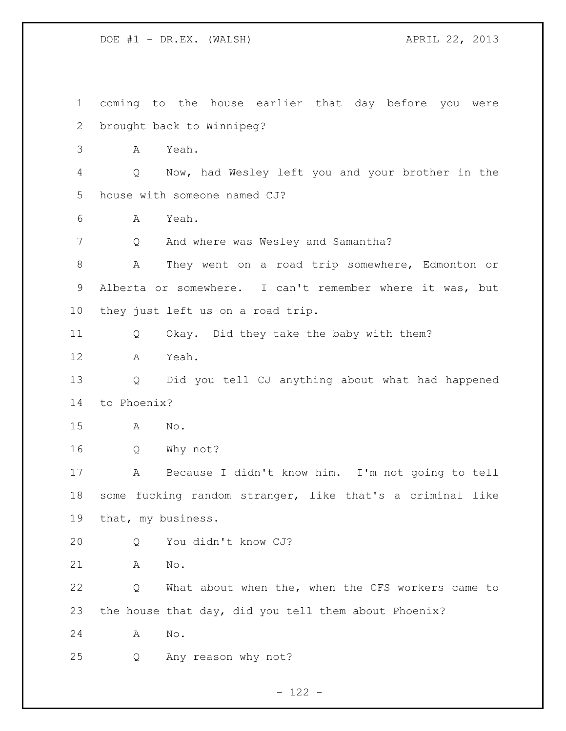coming to the house earlier that day before you were brought back to Winnipeg? A Yeah. Q Now, had Wesley left you and your brother in the house with someone named CJ? A Yeah. Q And where was Wesley and Samantha? A They went on a road trip somewhere, Edmonton or Alberta or somewhere. I can't remember where it was, but they just left us on a road trip. Q Okay. Did they take the baby with them? A Yeah. Q Did you tell CJ anything about what had happened to Phoenix? A No. Q Why not? A Because I didn't know him. I'm not going to tell some fucking random stranger, like that's a criminal like that, my business. Q You didn't know CJ? A No. Q What about when the, when the CFS workers came to the house that day, did you tell them about Phoenix? A No. Q Any reason why not?

- 122 -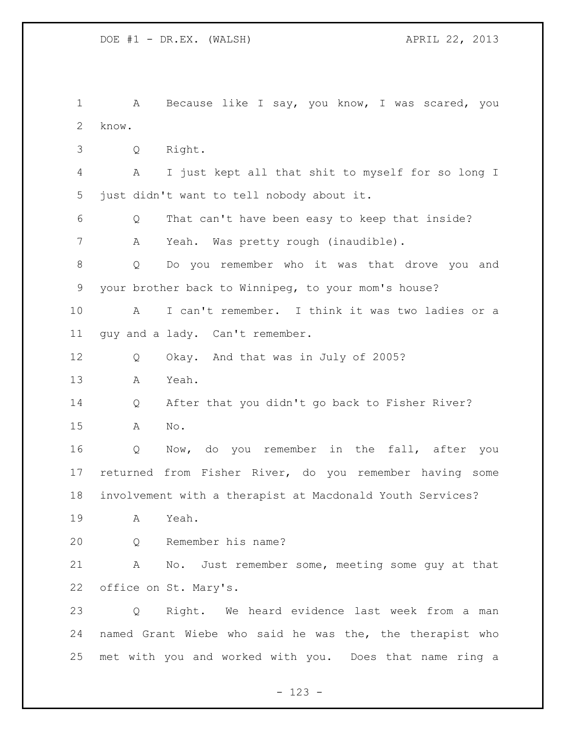1 A Because like I say, you know, I was scared, you know. Q Right. A I just kept all that shit to myself for so long I just didn't want to tell nobody about it. Q That can't have been easy to keep that inside? A Yeah. Was pretty rough (inaudible). Q Do you remember who it was that drove you and your brother back to Winnipeg, to your mom's house? A I can't remember. I think it was two ladies or a guy and a lady. Can't remember. Q Okay. And that was in July of 2005? A Yeah. Q After that you didn't go back to Fisher River? A No. Q Now, do you remember in the fall, after you returned from Fisher River, do you remember having some involvement with a therapist at Macdonald Youth Services? A Yeah. Q Remember his name? A No. Just remember some, meeting some guy at that office on St. Mary's. Q Right. We heard evidence last week from a man named Grant Wiebe who said he was the, the therapist who met with you and worked with you. Does that name ring a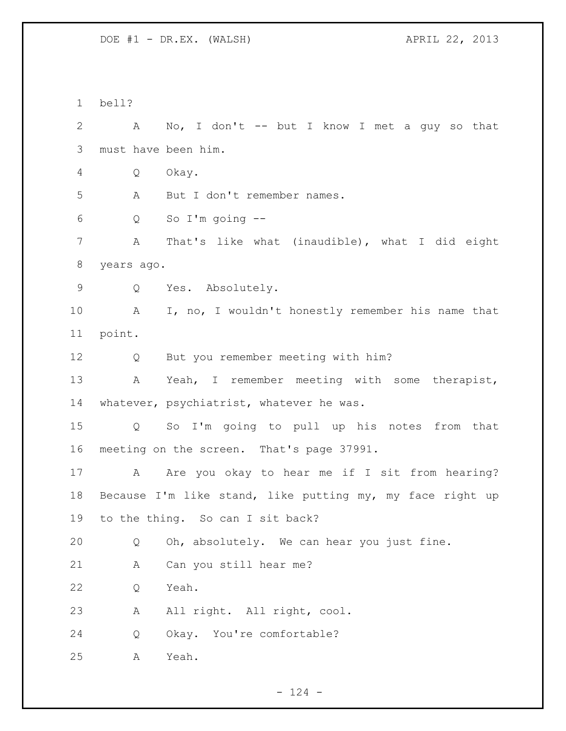bell? A No, I don't -- but I know I met a guy so that must have been him. Q Okay. A But I don't remember names. Q So I'm going -- A That's like what (inaudible), what I did eight years ago. Q Yes. Absolutely. A I, no, I wouldn't honestly remember his name that point. Q But you remember meeting with him? A Yeah, I remember meeting with some therapist, 14 whatever, psychiatrist, whatever he was. Q So I'm going to pull up his notes from that meeting on the screen. That's page 37991. 17 A Are you okay to hear me if I sit from hearing? Because I'm like stand, like putting my, my face right up to the thing. So can I sit back? Q Oh, absolutely. We can hear you just fine. A Can you still hear me? Q Yeah. A All right. All right, cool. Q Okay. You're comfortable? A Yeah.

 $- 124 -$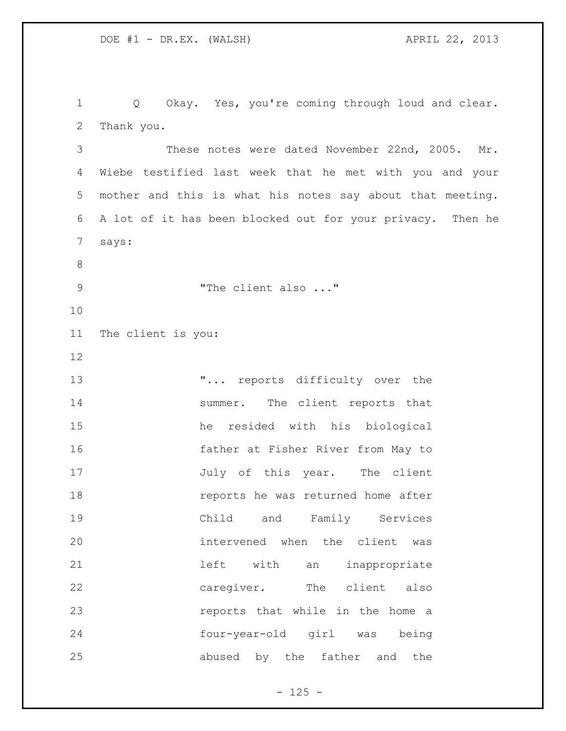Q Okay. Yes, you're coming through loud and clear. Thank you. These notes were dated November 22nd, 2005. Mr. Wiebe testified last week that he met with you and your mother and this is what his notes say about that meeting. A lot of it has been blocked out for your privacy. Then he says: 9 The client also ..." The client is you: **...** reports difficulty over the 14 summer. The client reports that he resided with his biological father at Fisher River from May to 17 July of this year. The client reports he was returned home after Child and Family Services intervened when the client was left with an inappropriate caregiver. The client also reports that while in the home a four-year-old girl was being abused by the father and the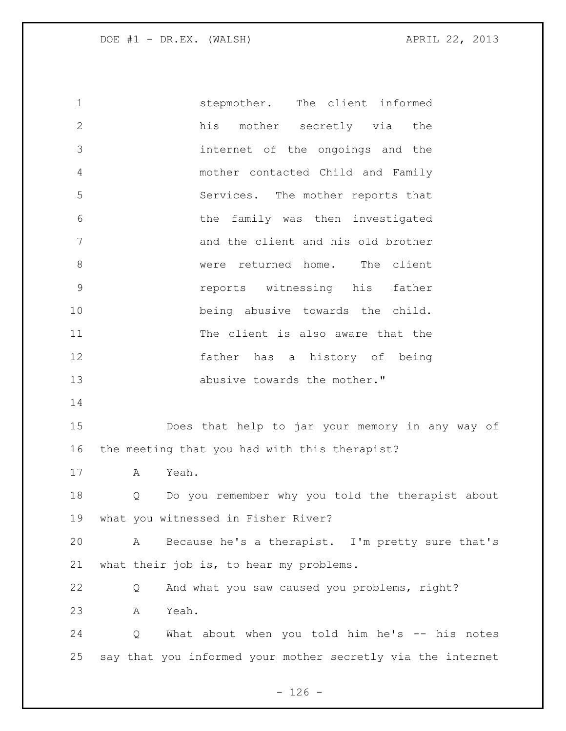stepmother. The client informed his mother secretly via the internet of the ongoings and the mother contacted Child and Family Services. The mother reports that the family was then investigated and the client and his old brother 8 were returned home. The client reports witnessing his father being abusive towards the child. The client is also aware that the father has a history of being 13 abusive towards the mother." Does that help to jar your memory in any way of the meeting that you had with this therapist? A Yeah. Q Do you remember why you told the therapist about what you witnessed in Fisher River? A Because he's a therapist. I'm pretty sure that's what their job is, to hear my problems. Q And what you saw caused you problems, right? A Yeah. Q What about when you told him he's -- his notes say that you informed your mother secretly via the internet

 $- 126 -$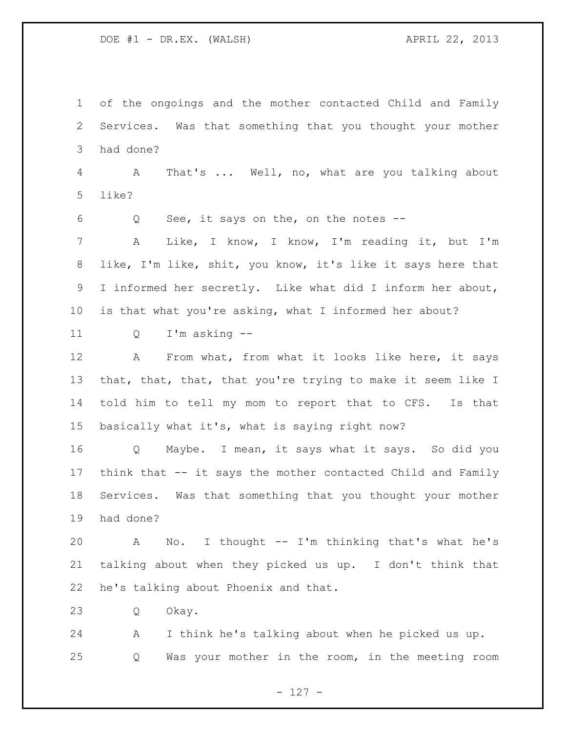of the ongoings and the mother contacted Child and Family Services. Was that something that you thought your mother had done?

 A That's ... Well, no, what are you talking about like?

Q See, it says on the, on the notes --

 A Like, I know, I know, I'm reading it, but I'm like, I'm like, shit, you know, it's like it says here that I informed her secretly. Like what did I inform her about, is that what you're asking, what I informed her about?

Q I'm asking --

 A From what, from what it looks like here, it says that, that, that, that you're trying to make it seem like I told him to tell my mom to report that to CFS. Is that basically what it's, what is saying right now?

 Q Maybe. I mean, it says what it says. So did you think that -- it says the mother contacted Child and Family Services. Was that something that you thought your mother had done?

 A No. I thought -- I'm thinking that's what he's talking about when they picked us up. I don't think that he's talking about Phoenix and that.

Q Okay.

 A I think he's talking about when he picked us up. Q Was your mother in the room, in the meeting room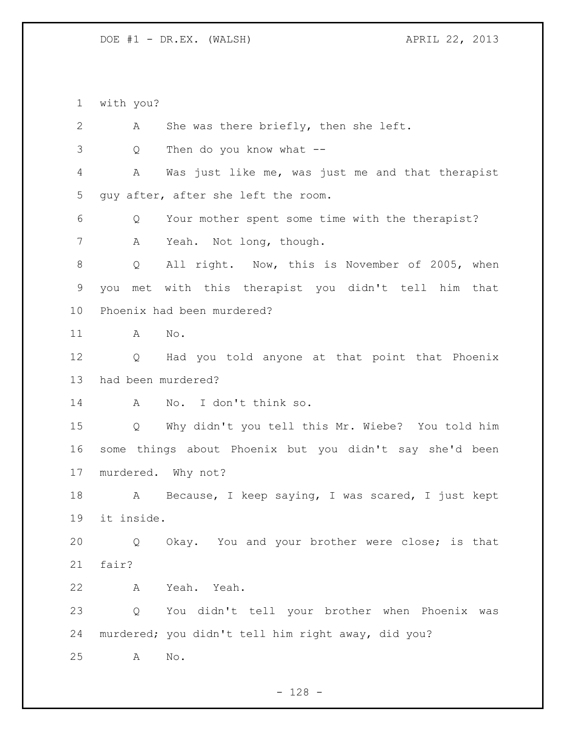with you?

 A She was there briefly, then she left. Q Then do you know what -- A Was just like me, was just me and that therapist guy after, after she left the room. Q Your mother spent some time with the therapist? A Yeah. Not long, though. 8 Q All right. Now, this is November of 2005, when you met with this therapist you didn't tell him that Phoenix had been murdered? A No. Q Had you told anyone at that point that Phoenix had been murdered? A No. I don't think so. Q Why didn't you tell this Mr. Wiebe? You told him some things about Phoenix but you didn't say she'd been murdered. Why not? 18 A Because, I keep saying, I was scared, I just kept it inside. Q Okay. You and your brother were close; is that fair? A Yeah. Yeah. Q You didn't tell your brother when Phoenix was murdered; you didn't tell him right away, did you? A No.

- 128 -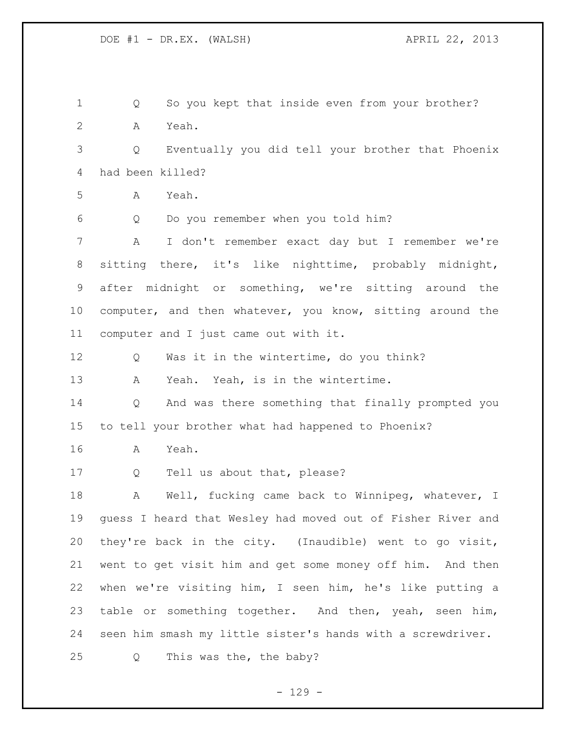Q So you kept that inside even from your brother? A Yeah. Q Eventually you did tell your brother that Phoenix had been killed? A Yeah. Q Do you remember when you told him? A I don't remember exact day but I remember we're sitting there, it's like nighttime, probably midnight, after midnight or something, we're sitting around the computer, and then whatever, you know, sitting around the computer and I just came out with it. Q Was it in the wintertime, do you think? A Yeah. Yeah, is in the wintertime. Q And was there something that finally prompted you to tell your brother what had happened to Phoenix? A Yeah. Q Tell us about that, please? 18 A Well, fucking came back to Winnipeg, whatever, I guess I heard that Wesley had moved out of Fisher River and they're back in the city. (Inaudible) went to go visit, went to get visit him and get some money off him. And then when we're visiting him, I seen him, he's like putting a table or something together. And then, yeah, seen him, seen him smash my little sister's hands with a screwdriver. Q This was the, the baby?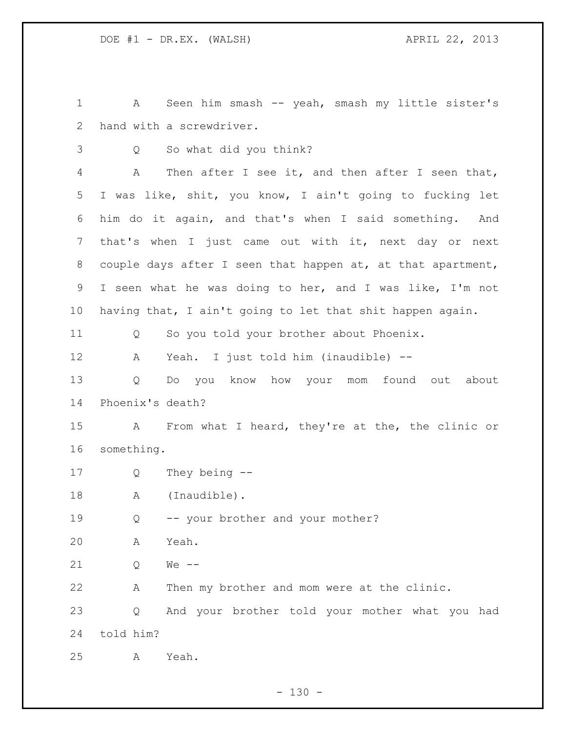A Seen him smash -- yeah, smash my little sister's hand with a screwdriver.

Q So what did you think?

 A Then after I see it, and then after I seen that, I was like, shit, you know, I ain't going to fucking let him do it again, and that's when I said something. And that's when I just came out with it, next day or next couple days after I seen that happen at, at that apartment, I seen what he was doing to her, and I was like, I'm not having that, I ain't going to let that shit happen again.

Q So you told your brother about Phoenix.

A Yeah. I just told him (inaudible) --

 Q Do you know how your mom found out about Phoenix's death?

 A From what I heard, they're at the, the clinic or something.

Q They being --

18 A (Inaudible).

Q -- your brother and your mother?

A Yeah.

Q We --

A Then my brother and mom were at the clinic.

 Q And your brother told your mother what you had told him?

A Yeah.

 $- 130 -$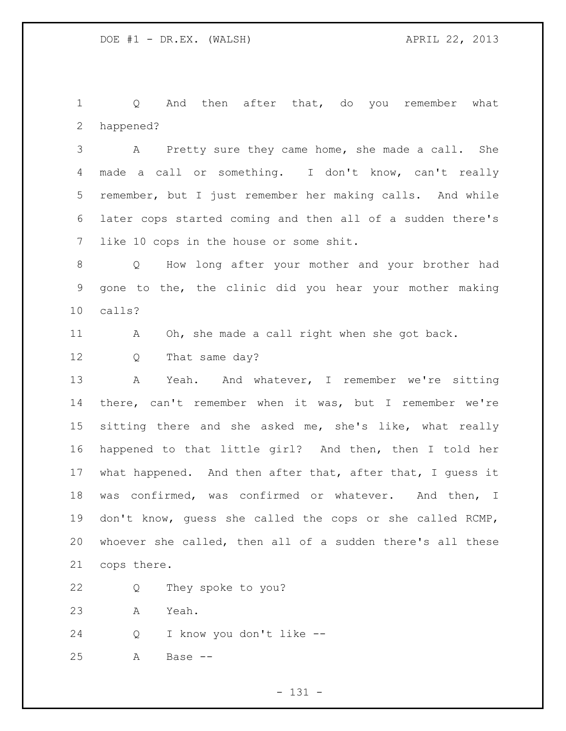1 Q And then after that, do you remember what happened?

 A Pretty sure they came home, she made a call. She made a call or something. I don't know, can't really remember, but I just remember her making calls. And while later cops started coming and then all of a sudden there's like 10 cops in the house or some shit.

 Q How long after your mother and your brother had gone to the, the clinic did you hear your mother making calls?

A Oh, she made a call right when she got back.

12 Q That same day?

13 A Yeah. And whatever, I remember we're sitting there, can't remember when it was, but I remember we're 15 sitting there and she asked me, she's like, what really happened to that little girl? And then, then I told her what happened. And then after that, after that, I guess it was confirmed, was confirmed or whatever. And then, I don't know, guess she called the cops or she called RCMP, whoever she called, then all of a sudden there's all these cops there.

- Q They spoke to you?
- A Yeah.
- Q I know you don't like --
- A Base --

- 131 -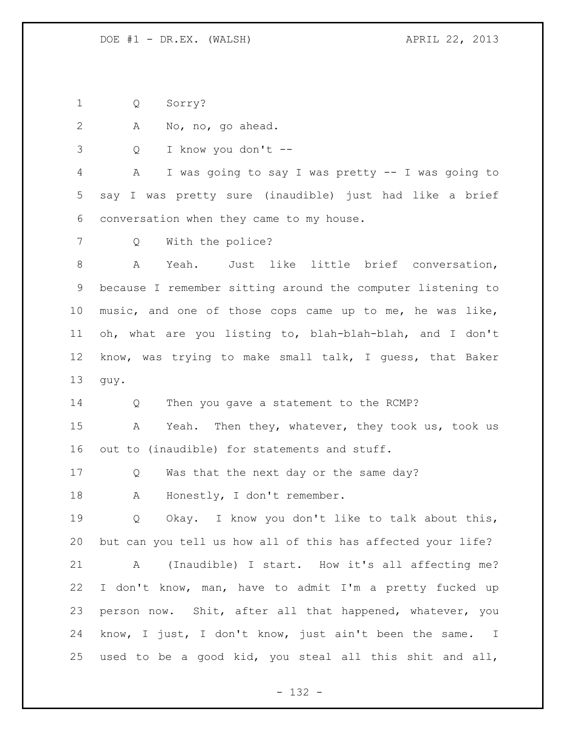Q Sorry?

A No, no, go ahead.

Q I know you don't --

 A I was going to say I was pretty -- I was going to say I was pretty sure (inaudible) just had like a brief conversation when they came to my house.

Q With the police?

 A Yeah. Just like little brief conversation, because I remember sitting around the computer listening to music, and one of those cops came up to me, he was like, oh, what are you listing to, blah-blah-blah, and I don't know, was trying to make small talk, I guess, that Baker guy.

Q Then you gave a statement to the RCMP?

 A Yeah. Then they, whatever, they took us, took us out to (inaudible) for statements and stuff.

17 Q Was that the next day or the same day?

18 A Honestly, I don't remember.

19 O Okay. I know you don't like to talk about this, but can you tell us how all of this has affected your life? A (Inaudible) I start. How it's all affecting me? I don't know, man, have to admit I'm a pretty fucked up person now. Shit, after all that happened, whatever, you know, I just, I don't know, just ain't been the same. I used to be a good kid, you steal all this shit and all,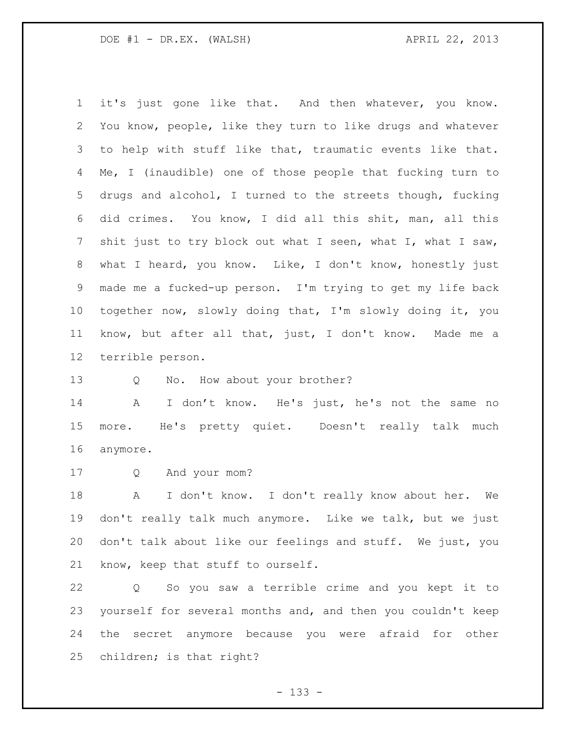it's just gone like that. And then whatever, you know. You know, people, like they turn to like drugs and whatever to help with stuff like that, traumatic events like that. Me, I (inaudible) one of those people that fucking turn to drugs and alcohol, I turned to the streets though, fucking did crimes. You know, I did all this shit, man, all this 7 shit just to try block out what I seen, what I, what I saw, what I heard, you know. Like, I don't know, honestly just made me a fucked-up person. I'm trying to get my life back together now, slowly doing that, I'm slowly doing it, you know, but after all that, just, I don't know. Made me a terrible person.

13 Q No. How about your brother?

 A I don't know. He's just, he's not the same no more. He's pretty quiet. Doesn't really talk much anymore.

Q And your mom?

 A I don't know. I don't really know about her. We don't really talk much anymore. Like we talk, but we just don't talk about like our feelings and stuff. We just, you know, keep that stuff to ourself.

 Q So you saw a terrible crime and you kept it to yourself for several months and, and then you couldn't keep the secret anymore because you were afraid for other children; is that right?

- 133 -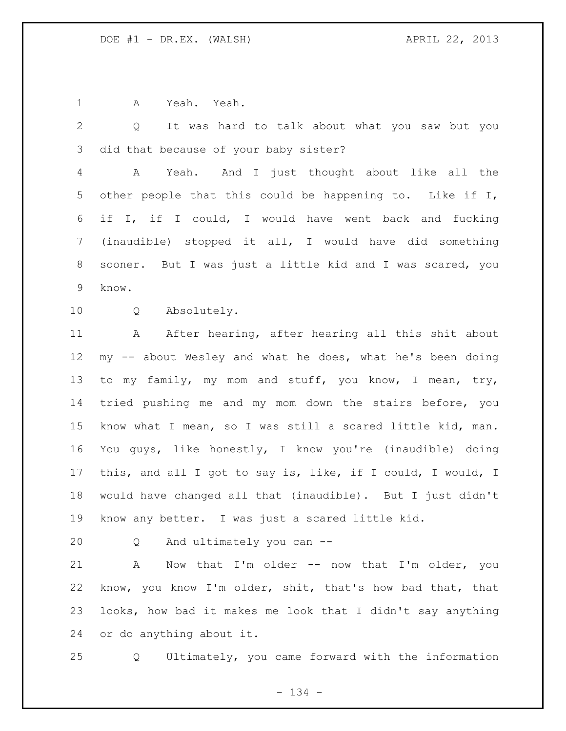A Yeah. Yeah.

 Q It was hard to talk about what you saw but you did that because of your baby sister?

 A Yeah. And I just thought about like all the other people that this could be happening to. Like if I, if I, if I could, I would have went back and fucking (inaudible) stopped it all, I would have did something sooner. But I was just a little kid and I was scared, you know.

Q Absolutely.

 A After hearing, after hearing all this shit about my -- about Wesley and what he does, what he's been doing to my family, my mom and stuff, you know, I mean, try, tried pushing me and my mom down the stairs before, you know what I mean, so I was still a scared little kid, man. You guys, like honestly, I know you're (inaudible) doing this, and all I got to say is, like, if I could, I would, I would have changed all that (inaudible). But I just didn't know any better. I was just a scared little kid.

Q And ultimately you can --

 A Now that I'm older -- now that I'm older, you know, you know I'm older, shit, that's how bad that, that looks, how bad it makes me look that I didn't say anything or do anything about it.

Q Ultimately, you came forward with the information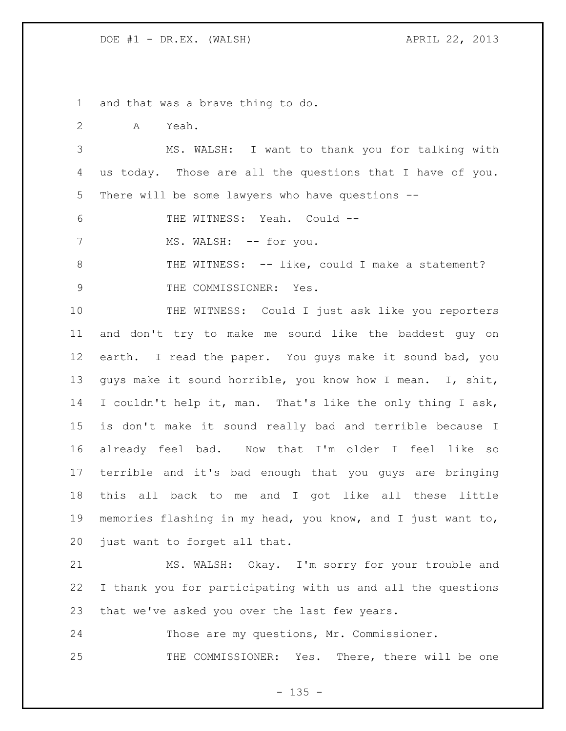and that was a brave thing to do.

A Yeah.

 MS. WALSH: I want to thank you for talking with us today. Those are all the questions that I have of you. There will be some lawyers who have questions --

THE WITNESS: Yeah. Could --

7 MS. WALSH: -- for you.

8 THE WITNESS: -- like, could I make a statement? 9 THE COMMISSIONER: Yes.

10 THE WITNESS: Could I just ask like you reporters and don't try to make me sound like the baddest guy on earth. I read the paper. You guys make it sound bad, you guys make it sound horrible, you know how I mean. I, shit, I couldn't help it, man. That's like the only thing I ask, is don't make it sound really bad and terrible because I already feel bad. Now that I'm older I feel like so terrible and it's bad enough that you guys are bringing this all back to me and I got like all these little memories flashing in my head, you know, and I just want to, just want to forget all that.

 MS. WALSH: Okay. I'm sorry for your trouble and I thank you for participating with us and all the questions that we've asked you over the last few years.

 Those are my questions, Mr. Commissioner. 25 THE COMMISSIONER: Yes. There, there will be one

 $- 135 -$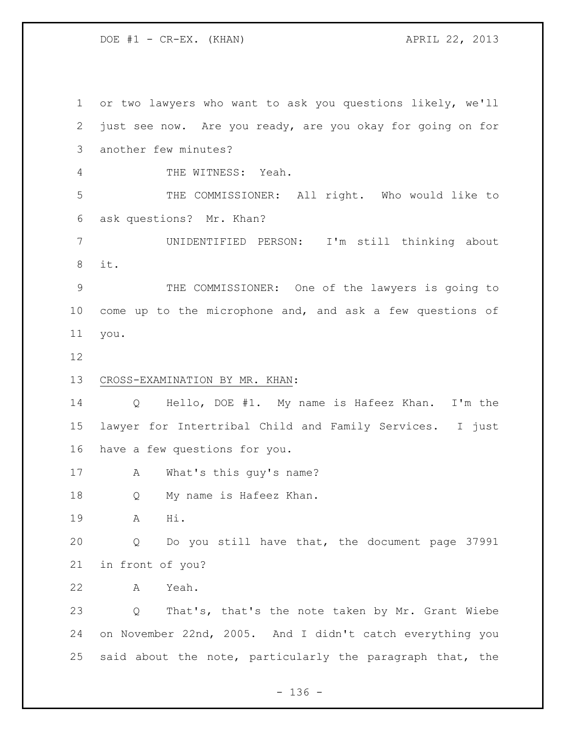DOE #1 - CR-EX. (KHAN) APRIL 22, 2013

 or two lawyers who want to ask you questions likely, we'll just see now. Are you ready, are you okay for going on for another few minutes? THE WITNESS: Yeah. THE COMMISSIONER: All right. Who would like to ask questions? Mr. Khan? UNIDENTIFIED PERSON: I'm still thinking about it. THE COMMISSIONER: One of the lawyers is going to come up to the microphone and, and ask a few questions of you. CROSS-EXAMINATION BY MR. KHAN: Q Hello, DOE #1. My name is Hafeez Khan. I'm the lawyer for Intertribal Child and Family Services. I just have a few questions for you. A What's this guy's name? Q My name is Hafeez Khan. A Hi. Q Do you still have that, the document page 37991 in front of you? A Yeah. Q That's, that's the note taken by Mr. Grant Wiebe on November 22nd, 2005. And I didn't catch everything you said about the note, particularly the paragraph that, the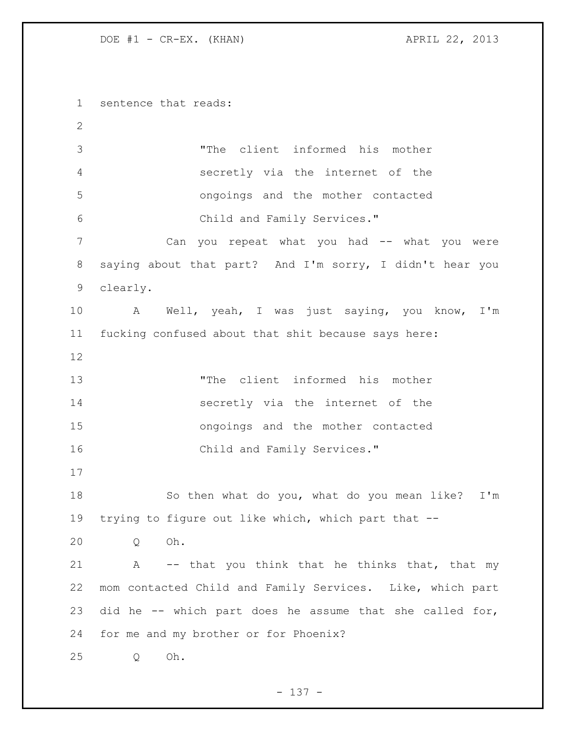DOE #1 - CR-EX. (KHAN) APRIL 22, 2013

 sentence that reads: "The client informed his mother secretly via the internet of the ongoings and the mother contacted Child and Family Services." Can you repeat what you had -- what you were saying about that part? And I'm sorry, I didn't hear you clearly. A Well, yeah, I was just saying, you know, I'm fucking confused about that shit because says here: "The client informed his mother secretly via the internet of the ongoings and the mother contacted 16 Child and Family Services." So then what do you, what do you mean like? I'm trying to figure out like which, which part that -- Q Oh. 21 A -- that you think that he thinks that, that my mom contacted Child and Family Services. Like, which part did he -- which part does he assume that she called for, for me and my brother or for Phoenix? Q Oh.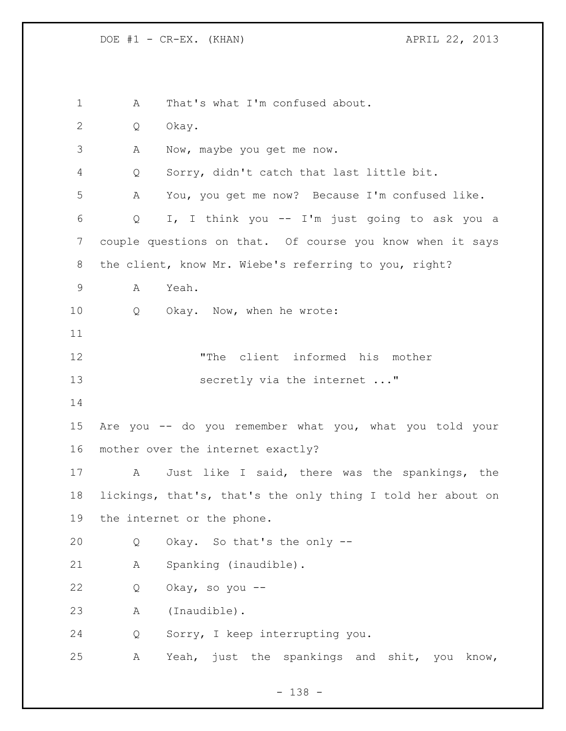A That's what I'm confused about. Q Okay. A Now, maybe you get me now. Q Sorry, didn't catch that last little bit. A You, you get me now? Because I'm confused like. Q I, I think you -- I'm just going to ask you a couple questions on that. Of course you know when it says the client, know Mr. Wiebe's referring to you, right? A Yeah. Q Okay. Now, when he wrote: "The client informed his mother 13 secretly via the internet ..." Are you -- do you remember what you, what you told your mother over the internet exactly? A Just like I said, there was the spankings, the lickings, that's, that's the only thing I told her about on the internet or the phone. Q Okay. So that's the only -- A Spanking (inaudible). Q Okay, so you -- A (Inaudible). Q Sorry, I keep interrupting you. A Yeah, just the spankings and shit, you know,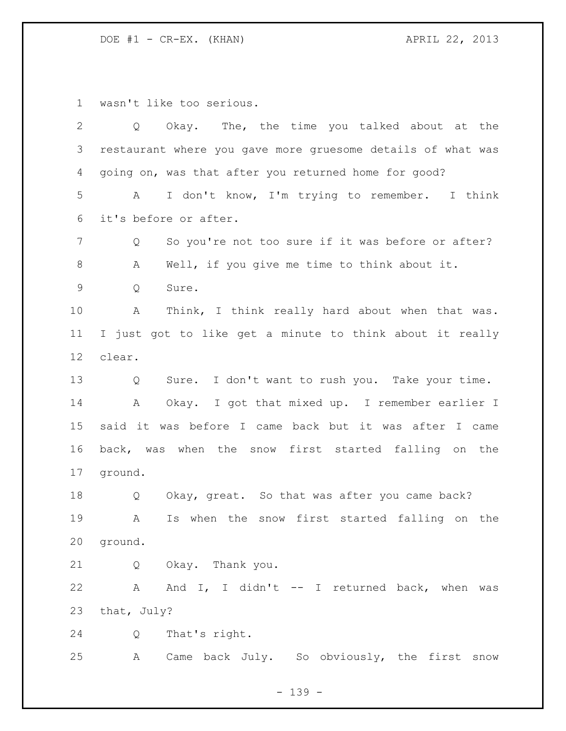DOE #1 - CR-EX. (KHAN) APRIL 22, 2013

wasn't like too serious.

| 2           | Okay. The, the time you talked about at the<br>Q              |
|-------------|---------------------------------------------------------------|
| 3           | restaurant where you gave more gruesome details of what was   |
| 4           | going on, was that after you returned home for good?          |
| 5           | I don't know, I'm trying to remember. I think<br>$\mathbf{A}$ |
| 6           | it's before or after.                                         |
| 7           | So you're not too sure if it was before or after?<br>Q        |
| 8           | Well, if you give me time to think about it.<br>А             |
| $\mathsf 9$ | Q<br>Sure.                                                    |
| 10          | Think, I think really hard about when that was.<br>Α          |
| 11          | I just got to like get a minute to think about it really      |
| 12          | clear.                                                        |
| 13          | Sure. I don't want to rush you. Take your time.<br>Q          |
| 14          | Okay. I got that mixed up. I remember earlier I<br>A          |
| 15          | said it was before I came back but it was after I came        |
| 16          | back, was when the snow first started falling on the          |
| 17          | ground.                                                       |
| 18          | Okay, great. So that was after you came back?<br>Q            |
| 19          | Is when the snow first started falling on the<br>A            |
| 20          | ground.                                                       |
| 21          | Q Okay. Thank you.                                            |
| 22          | A And I, I didn't -- I returned back, when was                |
| 23          | that, July?                                                   |
| 24          | That's right.<br>Q                                            |
| 25          | A Came back July. So obviously, the first snow                |

- 139 -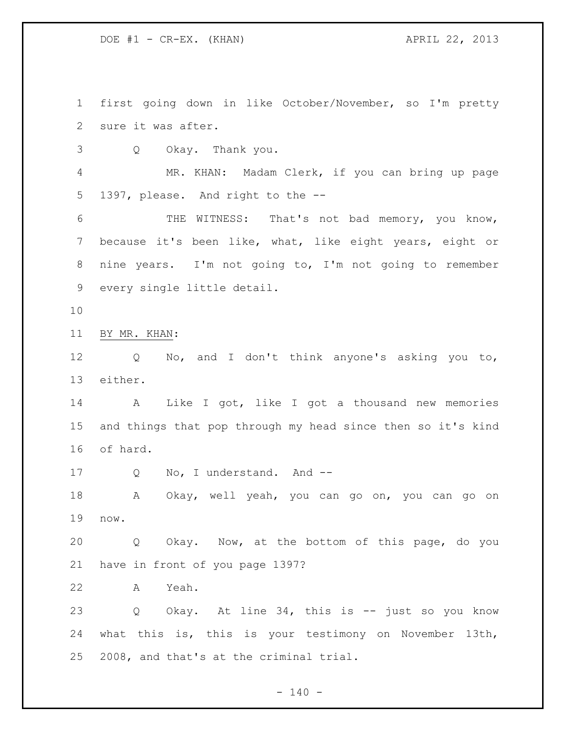DOE #1 - CR-EX. (KHAN) APRIL 22, 2013

 first going down in like October/November, so I'm pretty sure it was after.

Q Okay. Thank you.

 MR. KHAN: Madam Clerk, if you can bring up page 1397, please. And right to the --

 THE WITNESS: That's not bad memory, you know, because it's been like, what, like eight years, eight or nine years. I'm not going to, I'm not going to remember every single little detail.

BY MR. KHAN:

 Q No, and I don't think anyone's asking you to, either.

 A Like I got, like I got a thousand new memories and things that pop through my head since then so it's kind of hard.

17 Q No, I understand. And --

 A Okay, well yeah, you can go on, you can go on now.

 Q Okay. Now, at the bottom of this page, do you have in front of you page 1397?

A Yeah.

 Q Okay. At line 34, this is -- just so you know what this is, this is your testimony on November 13th, 2008, and that's at the criminal trial.

 $- 140 -$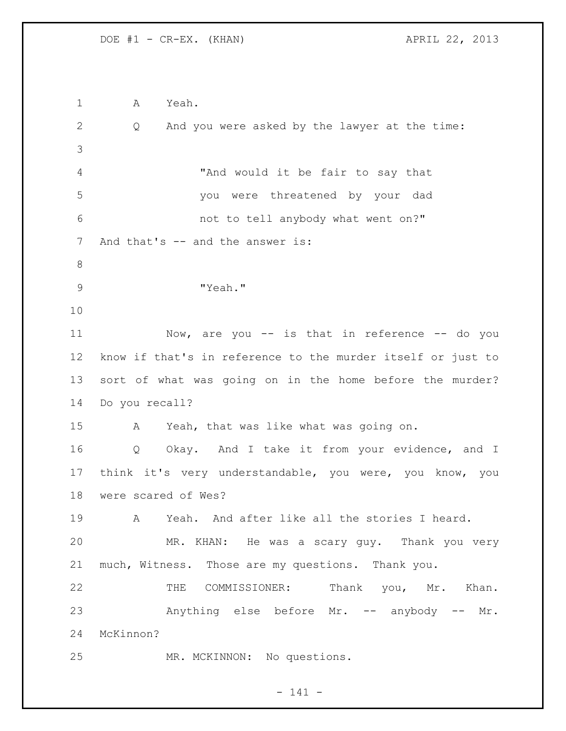A Yeah. Q And you were asked by the lawyer at the time: "And would it be fair to say that you were threatened by your dad not to tell anybody what went on?" 7 And that's -- and the answer is: "Yeah." 11 Now, are you -- is that in reference -- do you know if that's in reference to the murder itself or just to sort of what was going on in the home before the murder? Do you recall? A Yeah, that was like what was going on. 16 Q Okay. And I take it from your evidence, and I think it's very understandable, you were, you know, you were scared of Wes? A Yeah. And after like all the stories I heard. MR. KHAN: He was a scary guy. Thank you very much, Witness. Those are my questions. Thank you. 22 THE COMMISSIONER: Thank you, Mr. Khan. Anything else before Mr. -- anybody -- Mr. McKinnon? MR. MCKINNON: No questions.

 $- 141 -$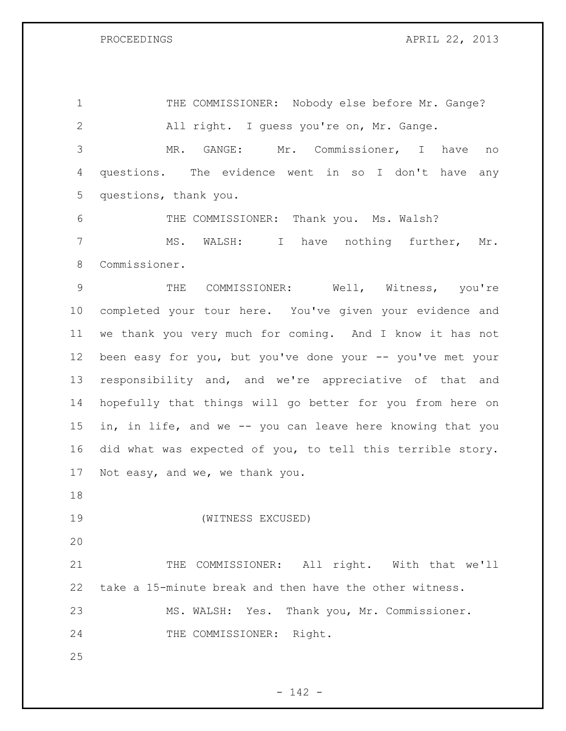PROCEEDINGS APRIL 22, 2013

1 THE COMMISSIONER: Nobody else before Mr. Gange? All right. I guess you're on, Mr. Gange. MR. GANGE: Mr. Commissioner, I have no questions. The evidence went in so I don't have any questions, thank you.

 THE COMMISSIONER: Thank you. Ms. Walsh? MS. WALSH: I have nothing further, Mr. Commissioner.

 THE COMMISSIONER: Well, Witness, you're completed your tour here. You've given your evidence and we thank you very much for coming. And I know it has not 12 been easy for you, but you've done your -- you've met your responsibility and, and we're appreciative of that and hopefully that things will go better for you from here on in, in life, and we -- you can leave here knowing that you did what was expected of you, to tell this terrible story. Not easy, and we, we thank you.

(WITNESS EXCUSED)

21 THE COMMISSIONER: All right. With that we'll take a 15-minute break and then have the other witness. MS. WALSH: Yes. Thank you, Mr. Commissioner. THE COMMISSIONER: Right.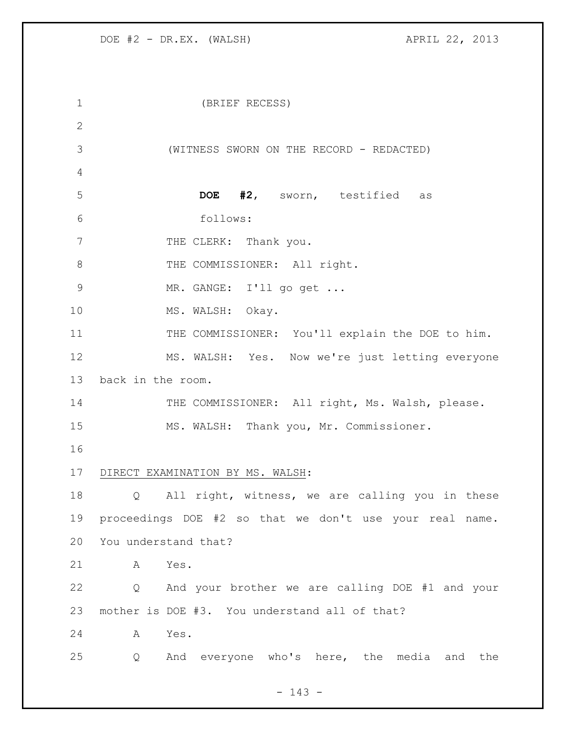| $\mathbf 1$   | (BRIEF RECESS)                                          |
|---------------|---------------------------------------------------------|
| $\mathbf{2}$  |                                                         |
| 3             | (WITNESS SWORN ON THE RECORD - REDACTED)                |
| 4             |                                                         |
| 5             | DOE #2, sworn, testified as                             |
| 6             | follows:                                                |
| 7             | THE CLERK: Thank you.                                   |
| 8             | THE COMMISSIONER: All right.                            |
| $\mathcal{G}$ | MR. GANGE: I'll go get                                  |
| 10            | MS. WALSH: Okay.                                        |
| 11            | THE COMMISSIONER: You'll explain the DOE to him.        |
| 12            | MS. WALSH: Yes. Now we're just letting everyone         |
| 13            | back in the room.                                       |
| 14            | THE COMMISSIONER: All right, Ms. Walsh, please.         |
| 15            | MS. WALSH: Thank you, Mr. Commissioner.                 |
| 16            |                                                         |
| 17            | DIRECT EXAMINATION BY MS. WALSH:                        |
| 18            | All right, witness, we are calling you in these<br>Q    |
| 19            | proceedings DOE #2 so that we don't use your real name. |
| 20            | You understand that?                                    |
| 21            | Α<br>Yes.                                               |
| 22            | And your brother we are calling DOE #1 and your<br>Q    |
| 23            | mother is DOE #3. You understand all of that?           |
| 24            | Yes.<br>A                                               |
| 25            | And everyone who's here, the media and the<br>Q         |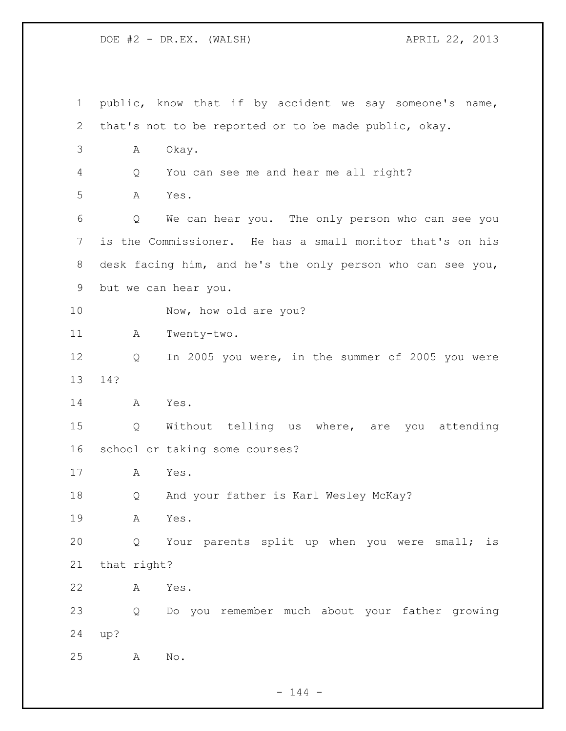| $\mathbf 1$    |             | public, know that if by accident we say someone's name,    |
|----------------|-------------|------------------------------------------------------------|
| 2              |             | that's not to be reported or to be made public, okay.      |
| 3              | Α           | Okay.                                                      |
| 4              | Q           | You can see me and hear me all right?                      |
| 5              | A           | Yes.                                                       |
| 6              | Q           | We can hear you. The only person who can see you           |
| $\overline{7}$ |             | is the Commissioner. He has a small monitor that's on his  |
| 8              |             | desk facing him, and he's the only person who can see you, |
| 9              |             | but we can hear you.                                       |
| 10             |             | Now, how old are you?                                      |
| 11             | A           | Twenty-two.                                                |
| 12             | Q           | In 2005 you were, in the summer of 2005 you were           |
| 13             | 14?         |                                                            |
| 14             | A           | Yes.                                                       |
| 15             | Q           | Without telling us where, are you<br>attending             |
| 16             |             | school or taking some courses?                             |
| 17             | A           | Yes.                                                       |
| 18             | Q           | And your father is Karl Wesley McKay?                      |
| 19             | Α           | Yes.                                                       |
| 20             | Q           | Your parents split up when you were small; is              |
| 21             | that right? |                                                            |
| 22             | Α           | Yes.                                                       |
| 23             | Q           | Do you remember much about your father growing             |
| 24             | up?         |                                                            |
| 25             | A           | No.                                                        |

- 144 -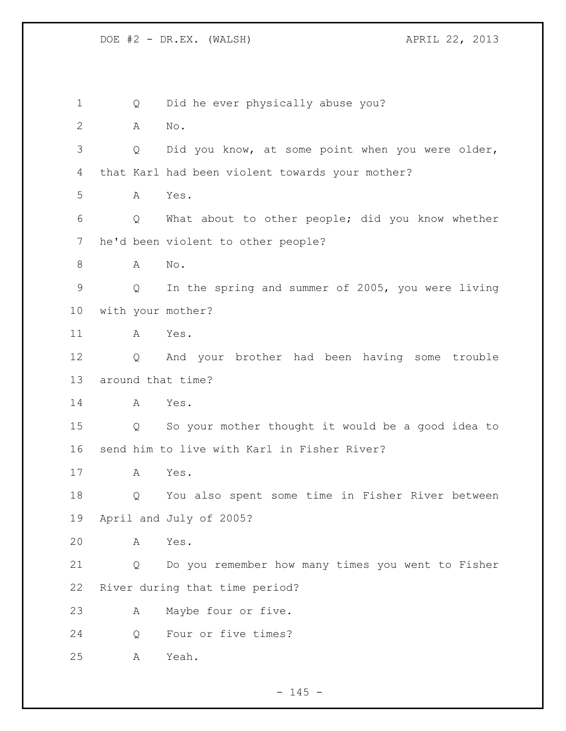Q Did he ever physically abuse you? A No. Q Did you know, at some point when you were older, that Karl had been violent towards your mother? A Yes. Q What about to other people; did you know whether he'd been violent to other people? A No. Q In the spring and summer of 2005, you were living with your mother? A Yes. Q And your brother had been having some trouble around that time? A Yes. Q So your mother thought it would be a good idea to send him to live with Karl in Fisher River? A Yes. Q You also spent some time in Fisher River between April and July of 2005? A Yes. Q Do you remember how many times you went to Fisher River during that time period? A Maybe four or five. Q Four or five times? A Yeah.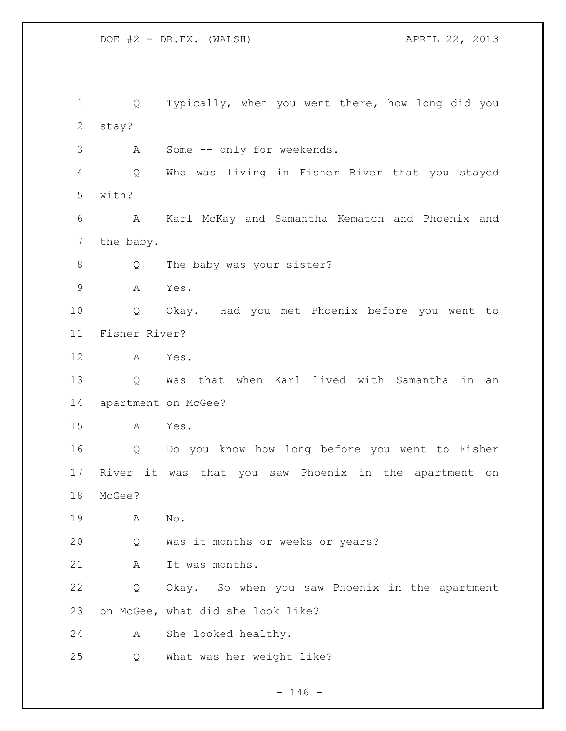Q Typically, when you went there, how long did you stay? A Some -- only for weekends. Q Who was living in Fisher River that you stayed with? A Karl McKay and Samantha Kematch and Phoenix and the baby. 8 Q The baby was your sister? A Yes. Q Okay. Had you met Phoenix before you went to Fisher River? A Yes. Q Was that when Karl lived with Samantha in an 14 apartment on McGee? A Yes. Q Do you know how long before you went to Fisher River it was that you saw Phoenix in the apartment on McGee? A No. Q Was it months or weeks or years? 21 A It was months. Q Okay. So when you saw Phoenix in the apartment on McGee, what did she look like? A She looked healthy. Q What was her weight like?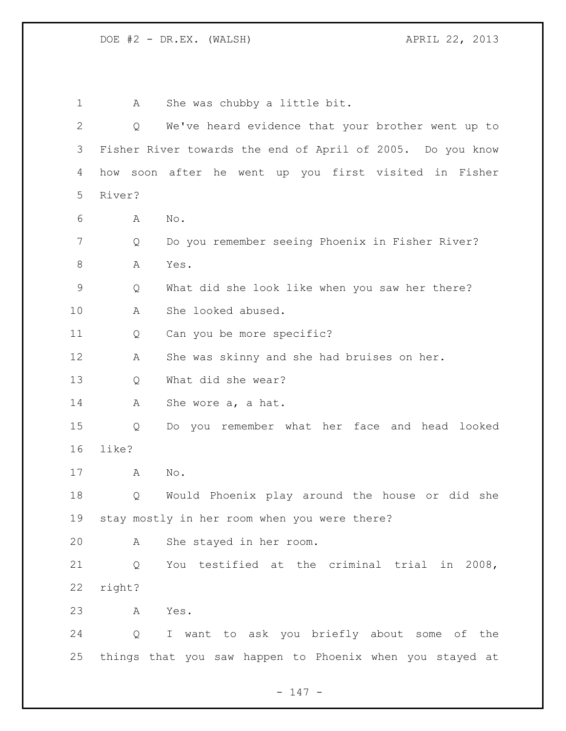1 A She was chubby a little bit. Q We've heard evidence that your brother went up to Fisher River towards the end of April of 2005. Do you know how soon after he went up you first visited in Fisher River? A No. Q Do you remember seeing Phoenix in Fisher River? 8 A Yes. Q What did she look like when you saw her there? A She looked abused. 11 Q Can you be more specific? A She was skinny and she had bruises on her. Q What did she wear? A She wore a, a hat. Q Do you remember what her face and head looked like? A No. Q Would Phoenix play around the house or did she stay mostly in her room when you were there? A She stayed in her room. Q You testified at the criminal trial in 2008, right? A Yes. Q I want to ask you briefly about some of the things that you saw happen to Phoenix when you stayed at

- 147 -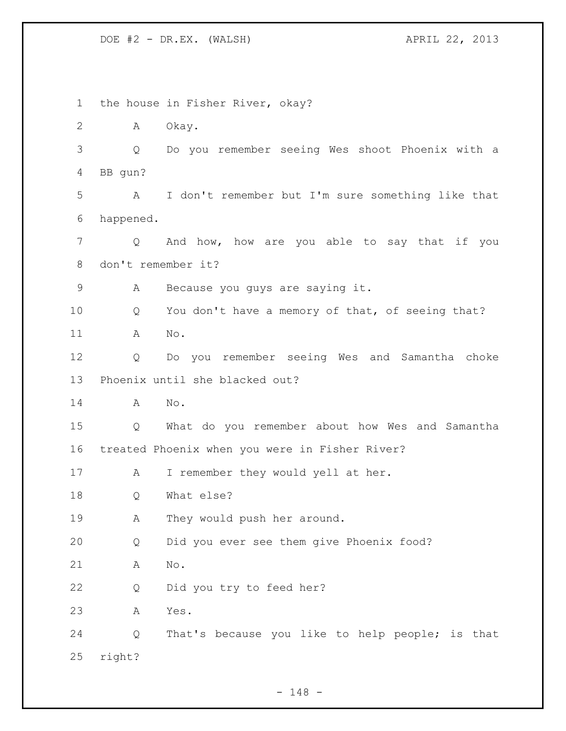the house in Fisher River, okay? A Okay. Q Do you remember seeing Wes shoot Phoenix with a BB gun? A I don't remember but I'm sure something like that happened. Q And how, how are you able to say that if you don't remember it? A Because you guys are saying it. Q You don't have a memory of that, of seeing that? A No. Q Do you remember seeing Wes and Samantha choke Phoenix until she blacked out? A No. Q What do you remember about how Wes and Samantha treated Phoenix when you were in Fisher River? 17 A I remember they would yell at her. Q What else? 19 A They would push her around. Q Did you ever see them give Phoenix food? A No. Q Did you try to feed her? A Yes. Q That's because you like to help people; is that right?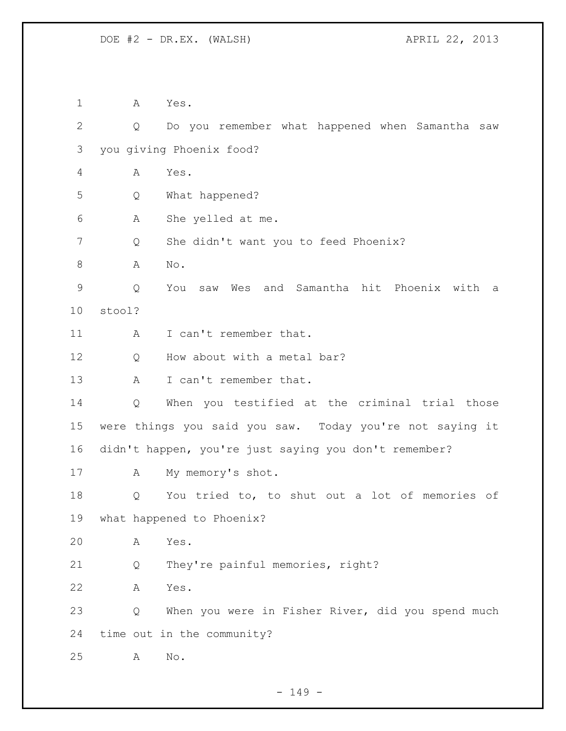A Yes. Q Do you remember what happened when Samantha saw you giving Phoenix food? A Yes. Q What happened? A She yelled at me. Q She didn't want you to feed Phoenix? A No. Q You saw Wes and Samantha hit Phoenix with a stool? 11 A I can't remember that. 12 Q How about with a metal bar? 13 A I can't remember that. Q When you testified at the criminal trial those were things you said you saw. Today you're not saying it didn't happen, you're just saying you don't remember? A My memory's shot. Q You tried to, to shut out a lot of memories of what happened to Phoenix? A Yes. Q They're painful memories, right? A Yes. Q When you were in Fisher River, did you spend much time out in the community? A No.

- 149 -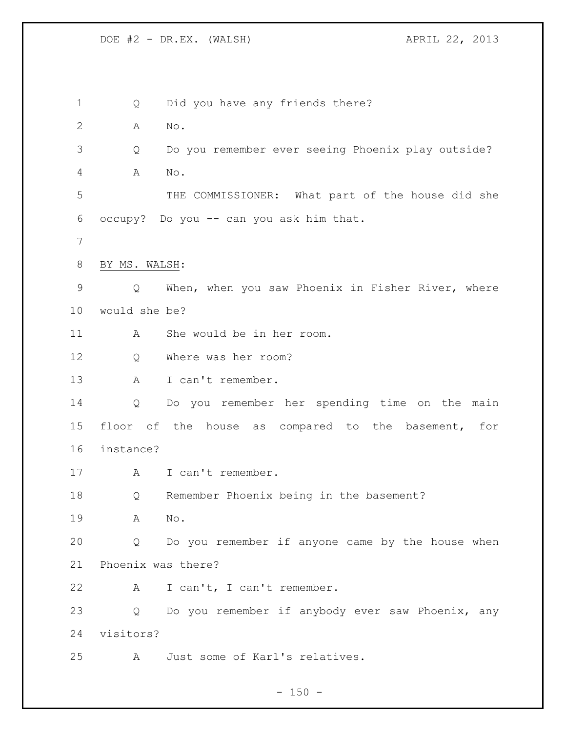Q Did you have any friends there? A No. Q Do you remember ever seeing Phoenix play outside? A No. THE COMMISSIONER: What part of the house did she occupy? Do you -- can you ask him that. BY MS. WALSH: Q When, when you saw Phoenix in Fisher River, where would she be? A She would be in her room. 12 O Where was her room? A I can't remember. Q Do you remember her spending time on the main floor of the house as compared to the basement, for instance? A I can't remember. Q Remember Phoenix being in the basement? A No. Q Do you remember if anyone came by the house when Phoenix was there? A I can't, I can't remember. Q Do you remember if anybody ever saw Phoenix, any visitors? A Just some of Karl's relatives.

 $- 150 -$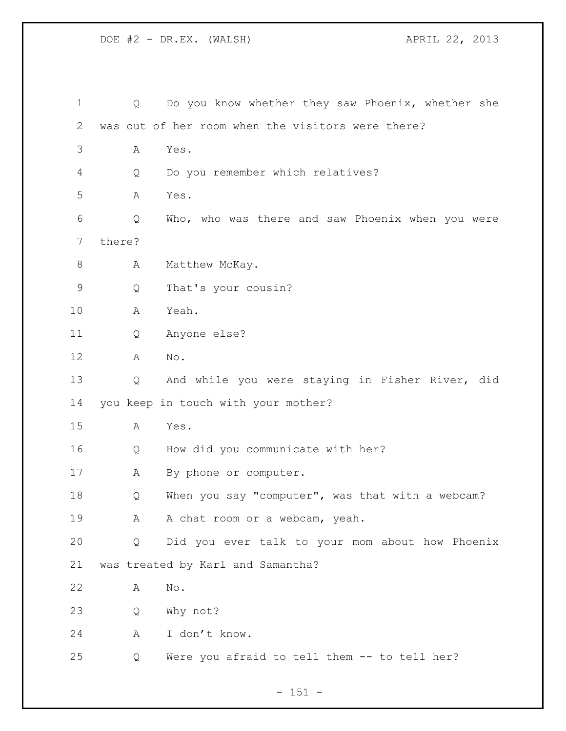| 1            | Q      | Do you know whether they saw Phoenix, whether she |
|--------------|--------|---------------------------------------------------|
| $\mathbf{2}$ |        | was out of her room when the visitors were there? |
| 3            | Α      | Yes.                                              |
| 4            | Q      | Do you remember which relatives?                  |
| 5            | Α      | Yes.                                              |
| 6            | Q      | Who, who was there and saw Phoenix when you were  |
| 7            | there? |                                                   |
| $\,8\,$      | Α      | Matthew McKay.                                    |
| $\mathsf 9$  | Q      | That's your cousin?                               |
| 10           | Α      | Yeah.                                             |
| 11           | Q      | Anyone else?                                      |
| 12           | Α      | No.                                               |
| 13           | Q      | And while you were staying in Fisher River, did   |
| 14           |        | you keep in touch with your mother?               |
| 15           | A      | Yes.                                              |
| 16           | Q      | How did you communicate with her?                 |
| 17           | А      | By phone or computer.                             |
| 18           | Q      | When you say "computer", was that with a webcam?  |
| 19           | A      | A chat room or a webcam, yeah.                    |
| 20           | Q      | Did you ever talk to your mom about how Phoenix   |
| 21           |        | was treated by Karl and Samantha?                 |
| 22           | Α      | No.                                               |
| 23           | Q      | Why not?                                          |
| 24           | A      | I don't know.                                     |
| 25           | Q      | Were you afraid to tell them -- to tell her?      |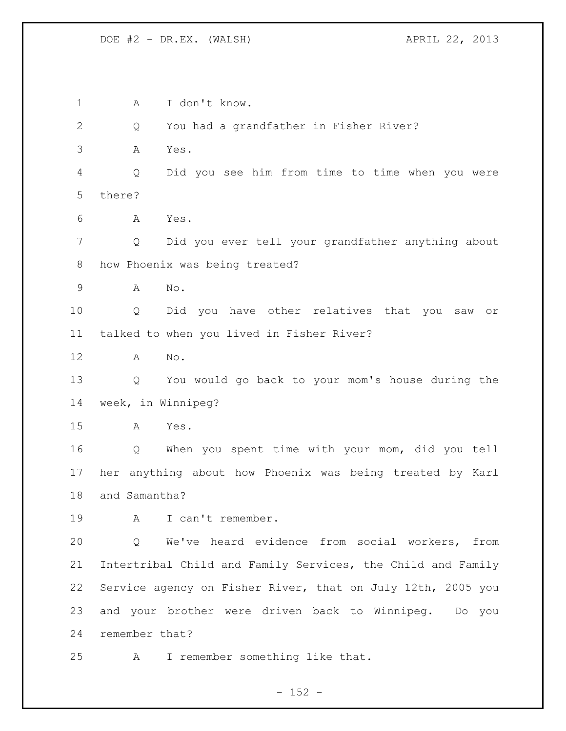A I don't know. Q You had a grandfather in Fisher River? A Yes. Q Did you see him from time to time when you were there? A Yes. Q Did you ever tell your grandfather anything about how Phoenix was being treated? A No. Q Did you have other relatives that you saw or talked to when you lived in Fisher River? A No. Q You would go back to your mom's house during the week, in Winnipeg? A Yes. Q When you spent time with your mom, did you tell her anything about how Phoenix was being treated by Karl and Samantha? A I can't remember. Q We've heard evidence from social workers, from Intertribal Child and Family Services, the Child and Family Service agency on Fisher River, that on July 12th, 2005 you and your brother were driven back to Winnipeg. Do you remember that? A I remember something like that.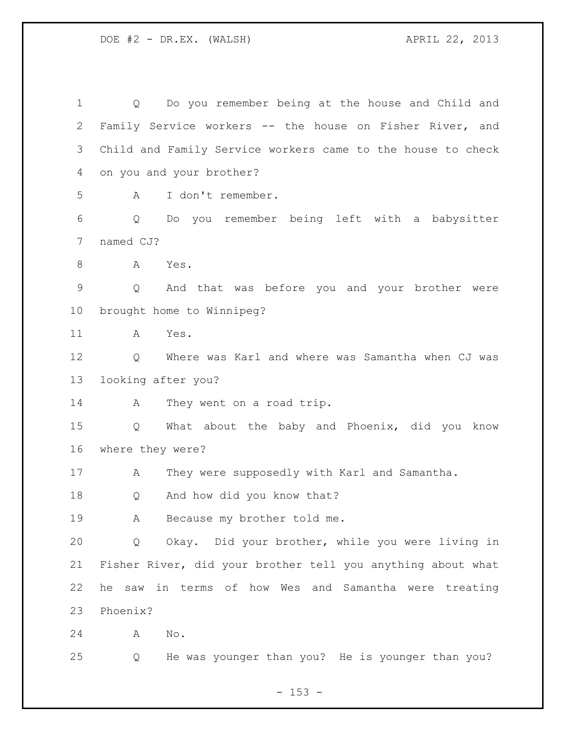Q Do you remember being at the house and Child and Family Service workers -- the house on Fisher River, and Child and Family Service workers came to the house to check on you and your brother? A I don't remember. Q Do you remember being left with a babysitter named CJ? A Yes. Q And that was before you and your brother were brought home to Winnipeg? A Yes. Q Where was Karl and where was Samantha when CJ was looking after you? 14 A They went on a road trip. Q What about the baby and Phoenix, did you know where they were? 17 A They were supposedly with Karl and Samantha. Q And how did you know that? A Because my brother told me. Q Okay. Did your brother, while you were living in Fisher River, did your brother tell you anything about what he saw in terms of how Wes and Samantha were treating Phoenix? A No. Q He was younger than you? He is younger than you?

 $- 153 -$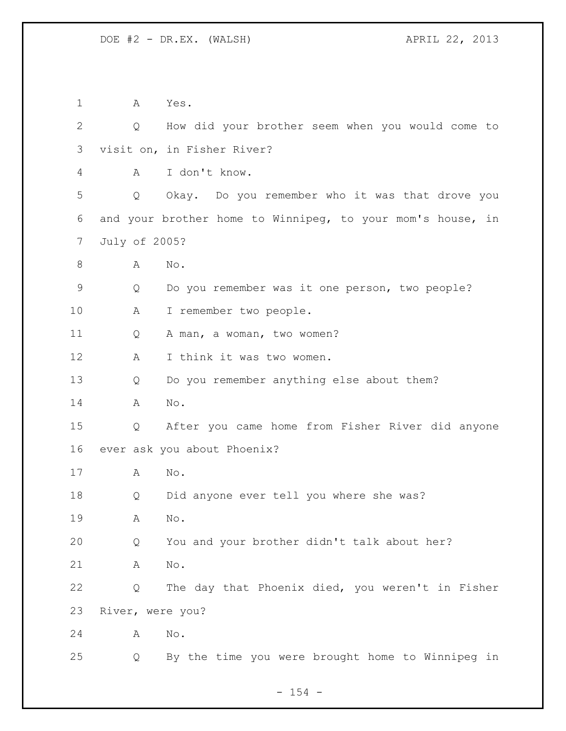A Yes. Q How did your brother seem when you would come to visit on, in Fisher River? A I don't know. Q Okay. Do you remember who it was that drove you and your brother home to Winnipeg, to your mom's house, in July of 2005? 8 A No. Q Do you remember was it one person, two people? A I remember two people. Q A man, a woman, two women? 12 A I think it was two women. Q Do you remember anything else about them? A No. Q After you came home from Fisher River did anyone ever ask you about Phoenix? A No. Q Did anyone ever tell you where she was? A No. Q You and your brother didn't talk about her? A No. Q The day that Phoenix died, you weren't in Fisher River, were you? A No. Q By the time you were brought home to Winnipeg in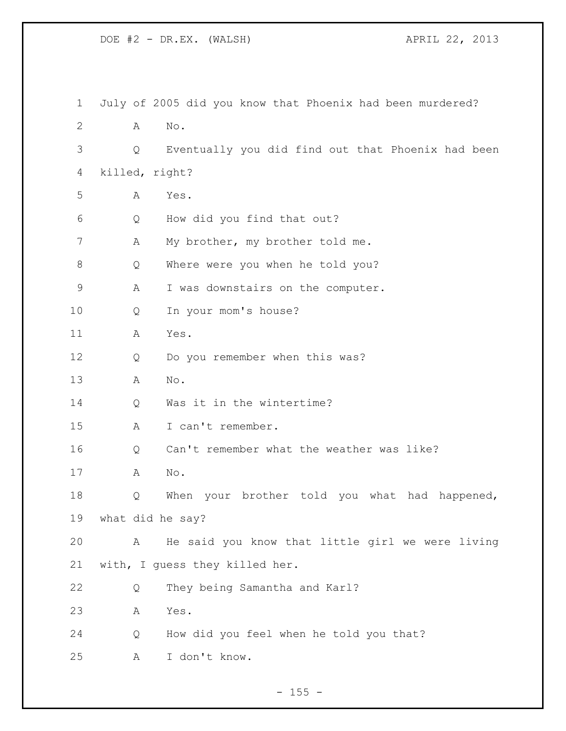| $\mathbf 1$  |                  | July of 2005 did you know that Phoenix had been murdered? |
|--------------|------------------|-----------------------------------------------------------|
| $\mathbf{2}$ | Α                | No.                                                       |
| 3            | Q                | Eventually you did find out that Phoenix had been         |
| 4            | killed, right?   |                                                           |
| 5            | Α                | Yes.                                                      |
| 6            | Q                | How did you find that out?                                |
| 7            | Α                | My brother, my brother told me.                           |
| 8            | Q                | Where were you when he told you?                          |
| 9            | Α                | I was downstairs on the computer.                         |
| 10           | Q                | In your mom's house?                                      |
| 11           | Α                | Yes.                                                      |
| 12           | Q                | Do you remember when this was?                            |
| 13           | Α                | No.                                                       |
| 14           | Q                | Was it in the wintertime?                                 |
| 15           | Α                | I can't remember.                                         |
| 16           | Q                | Can't remember what the weather was like?                 |
| 17           | A                | No.                                                       |
| 18           | Q                | When your brother told you what had happened,             |
| 19           | what did he say? |                                                           |
| 20           | А                | He said you know that little girl we were living          |
| 21           |                  | with, I quess they killed her.                            |
| 22           | Q                | They being Samantha and Karl?                             |
| 23           | Α                | Yes.                                                      |
| 24           | Q                | How did you feel when he told you that?                   |
| 25           | Α                | I don't know.                                             |
|              |                  |                                                           |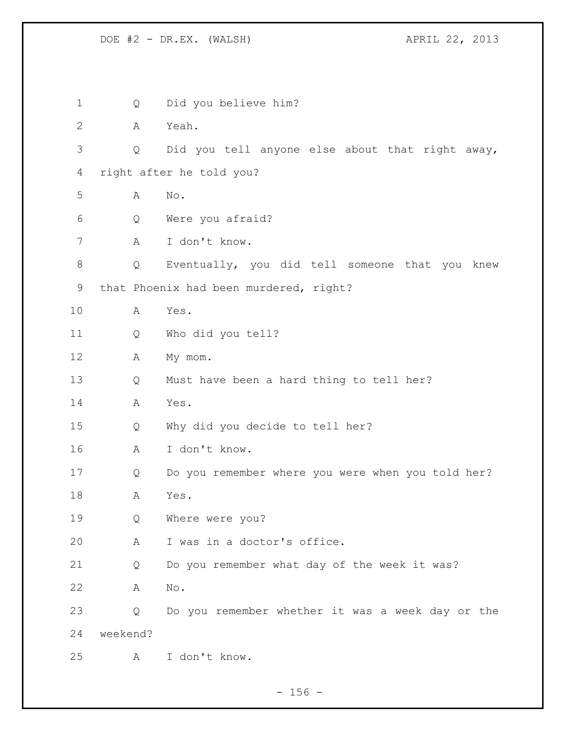| 1              | Q        | Did you believe him?                              |
|----------------|----------|---------------------------------------------------|
| $\overline{2}$ | Α        | Yeah.                                             |
| 3              | Q        | Did you tell anyone else about that right away,   |
| 4              |          | right after he told you?                          |
| 5              | Α        | No.                                               |
| 6              | Q        | Were you afraid?                                  |
| 7              | Α        | I don't know.                                     |
| 8              | Q        | Eventually, you did tell someone that you knew    |
| 9              |          | that Phoenix had been murdered, right?            |
| 10             | Α        | Yes.                                              |
| 11             | Q        | Who did you tell?                                 |
| 12             | Α        | My mom.                                           |
| 13             | Q        | Must have been a hard thing to tell her?          |
| 14             | A        | Yes.                                              |
| 15             | Q        | Why did you decide to tell her?                   |
| 16             | А        | I don't know.                                     |
| 17             | Q        | Do you remember where you were when you told her? |
| 18             | Α        | Yes.                                              |
| 19             | Q        | Where were you?                                   |
| 20             | А        | I was in a doctor's office.                       |
| 21             | Q        | Do you remember what day of the week it was?      |
| 22             | Α        | No.                                               |
| 23             | Q        | Do you remember whether it was a week day or the  |
| 24             | weekend? |                                                   |
| 25             | A        | I don't know.                                     |
|                |          |                                                   |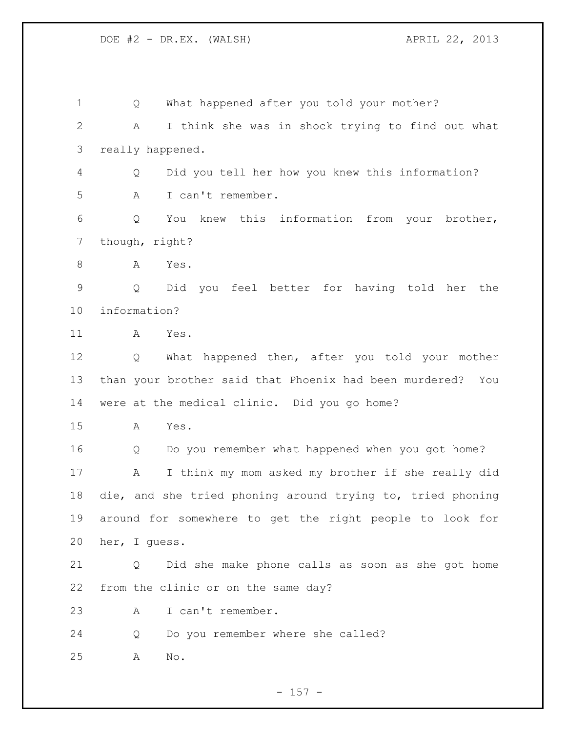Q What happened after you told your mother? A I think she was in shock trying to find out what really happened. Q Did you tell her how you knew this information? A I can't remember. Q You knew this information from your brother, though, right? A Yes. Q Did you feel better for having told her the information? A Yes. Q What happened then, after you told your mother than your brother said that Phoenix had been murdered? You were at the medical clinic. Did you go home? A Yes. Q Do you remember what happened when you got home? A I think my mom asked my brother if she really did die, and she tried phoning around trying to, tried phoning around for somewhere to get the right people to look for her, I guess. Q Did she make phone calls as soon as she got home from the clinic or on the same day? A I can't remember. Q Do you remember where she called? A No.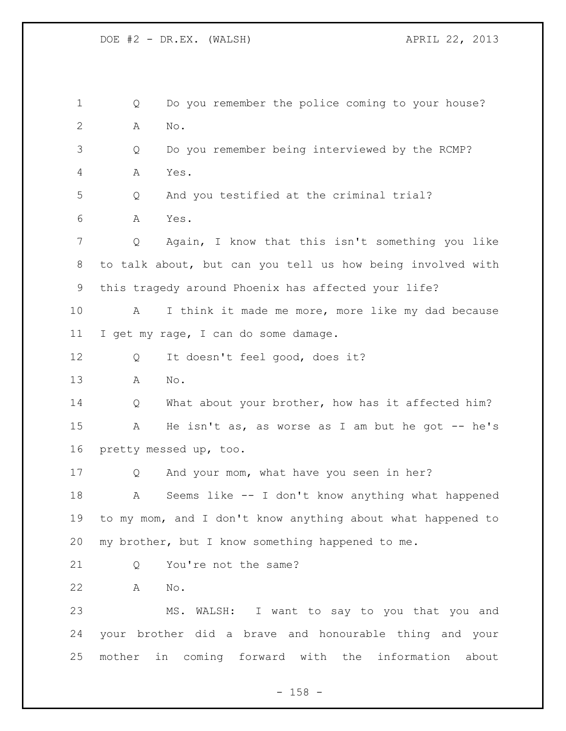Q Do you remember the police coming to your house? A No. Q Do you remember being interviewed by the RCMP? A Yes. Q And you testified at the criminal trial? A Yes. Q Again, I know that this isn't something you like to talk about, but can you tell us how being involved with this tragedy around Phoenix has affected your life? A I think it made me more, more like my dad because I get my rage, I can do some damage. 12 Q It doesn't feel good, does it? A No. 14 Q What about your brother, how has it affected him? 15 A He isn't as, as worse as I am but he got -- he's pretty messed up, too. Q And your mom, what have you seen in her? A Seems like -- I don't know anything what happened to my mom, and I don't know anything about what happened to my brother, but I know something happened to me. 21 O You're not the same? A No. MS. WALSH: I want to say to you that you and your brother did a brave and honourable thing and your mother in coming forward with the information about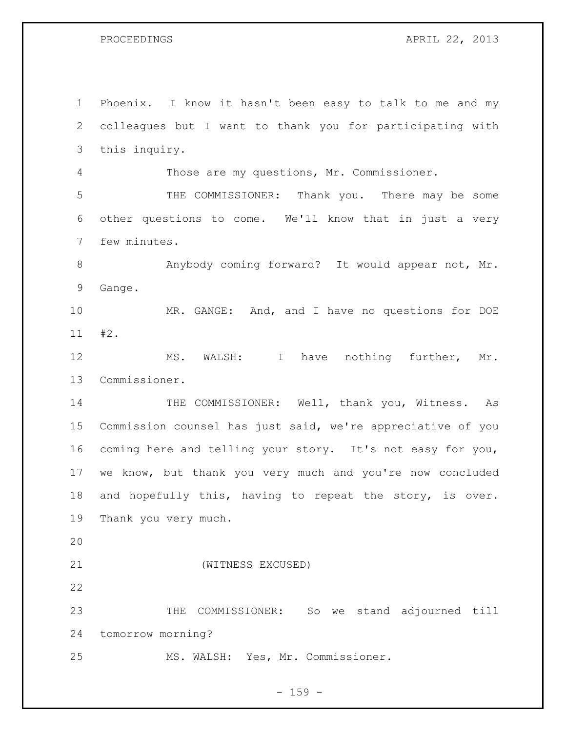PROCEEDINGS APRIL 22, 2013

 Phoenix. I know it hasn't been easy to talk to me and my colleagues but I want to thank you for participating with this inquiry. Those are my questions, Mr. Commissioner. THE COMMISSIONER: Thank you. There may be some other questions to come. We'll know that in just a very few minutes. 8 Anybody coming forward? It would appear not, Mr. Gange. MR. GANGE: And, and I have no questions for DOE #2. MS. WALSH: I have nothing further, Mr. Commissioner. 14 THE COMMISSIONER: Well, thank you, Witness. As Commission counsel has just said, we're appreciative of you coming here and telling your story. It's not easy for you, we know, but thank you very much and you're now concluded and hopefully this, having to repeat the story, is over. Thank you very much. (WITNESS EXCUSED) THE COMMISSIONER: So we stand adjourned till tomorrow morning? MS. WALSH: Yes, Mr. Commissioner.

 $- 159 -$